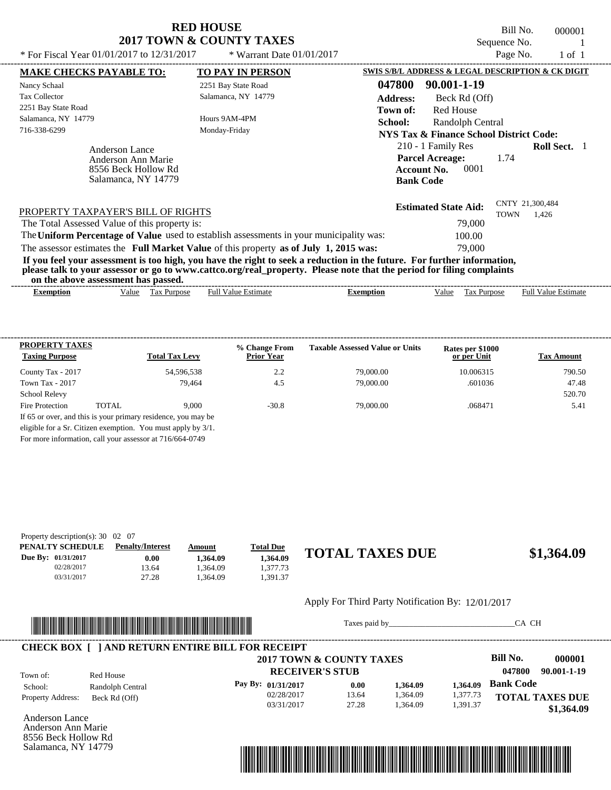Bill No. 000001 Sequence No.  $1$ <br> $\frac{D_{30}Q}{D_{10}}$  No.  $1 \text{ of } 1$ 

| * For Fiscal Year 01/01/2017 to 12/31/2017                                              | * Warrant Date $01/01/2017$ |                                                                                                                                                                                                                                                  | Page No.                       | $1$ of $1$                 |
|-----------------------------------------------------------------------------------------|-----------------------------|--------------------------------------------------------------------------------------------------------------------------------------------------------------------------------------------------------------------------------------------------|--------------------------------|----------------------------|
| <b>MAKE CHECKS PAYABLE TO:</b>                                                          | <b>TO PAY IN PERSON</b>     | SWIS S/B/L ADDRESS & LEGAL DESCRIPTION & CK DIGIT                                                                                                                                                                                                |                                |                            |
| Nancy Schaal                                                                            | 2251 Bay State Road         | 047800<br>90.001-1-19                                                                                                                                                                                                                            |                                |                            |
| <b>Tax Collector</b>                                                                    | Salamanca, NY 14779         | <b>Address:</b><br>Beck Rd (Off)                                                                                                                                                                                                                 |                                |                            |
| 2251 Bay State Road                                                                     |                             | <b>Red House</b><br>Town of:                                                                                                                                                                                                                     |                                |                            |
| Salamanca, NY 14779                                                                     | Hours 9AM-4PM               | School:<br>Randolph Central                                                                                                                                                                                                                      |                                |                            |
| 716-338-6299                                                                            | Monday-Friday               | NYS Tax & Finance School District Code:                                                                                                                                                                                                          |                                |                            |
| Anderson Lance<br>Anderson Ann Marie<br>8556 Beck Hollow Rd<br>Salamanca, NY 14779      |                             | 210 - 1 Family Res<br><b>Parcel Acreage:</b><br>0001<br><b>Account No.</b><br><b>Bank Code</b>                                                                                                                                                   | 1.74                           | <b>Roll Sect.</b> 1        |
| PROPERTY TAXPAYER'S BILL OF RIGHTS                                                      |                             | <b>Estimated State Aid:</b>                                                                                                                                                                                                                      | CNTY 21,300,484<br><b>TOWN</b> | 1,426                      |
| The Total Assessed Value of this property is:                                           |                             | 79,000                                                                                                                                                                                                                                           |                                |                            |
| The Uniform Percentage of Value used to establish assessments in your municipality was: |                             | 100.00                                                                                                                                                                                                                                           |                                |                            |
| The assessor estimates the Full Market Value of this property as of July 1, 2015 was:   |                             | 79,000                                                                                                                                                                                                                                           |                                |                            |
| on the above assessment has passed.                                                     |                             | If you feel your assessment is too high, you have the right to seek a reduction in the future. For further information,<br>please talk to your assessor or go to www.cattco.org/real_property. Please note that the period for filing complaints |                                |                            |
| Value Tax Purpose<br><b>Exemption</b>                                                   | <b>Full Value Estimate</b>  | Tax Purpose<br><b>Exemption</b><br>Value                                                                                                                                                                                                         |                                | <b>Full Value Estimate</b> |

| <b>PROPERTY TAXES</b>                                    |       |                                                                 | % Change From     | <b>Taxable Assessed Value or Units</b> | Rates per \$1000 |                   |
|----------------------------------------------------------|-------|-----------------------------------------------------------------|-------------------|----------------------------------------|------------------|-------------------|
| <b>Taxing Purpose</b>                                    |       | <b>Total Tax Levy</b>                                           | <b>Prior Year</b> |                                        | or per Unit      | <b>Tax Amount</b> |
| County Tax - 2017                                        |       | 54,596,538                                                      | 2.2               | 79,000.00                              | 10.006315        | 790.50            |
| Town Tax - 2017                                          |       | 79.464                                                          | 4.5               | 79,000.00                              | .601036          | 47.48             |
| <b>School Relevy</b>                                     |       |                                                                 |                   |                                        |                  | 520.70            |
| Fire Protection                                          | TOTAL | 9.000                                                           | $-30.8$           | 79,000,00                              | .068471          | 5.41              |
|                                                          |       | If 65 or over, and this is your primary residence, you may be   |                   |                                        |                  |                   |
|                                                          |       | eligible for a Sr. Citizen exemption. You must apply by $3/1$ . |                   |                                        |                  |                   |
| For more information, call your assessor at 716/664-0749 |       |                                                                 |                   |                                        |                  |                   |

| Property description(s): $30 \quad 02 \quad 07$ |                         |          |                  |                        |            |
|-------------------------------------------------|-------------------------|----------|------------------|------------------------|------------|
| PENALTY SCHEDULE                                | <b>Penalty/Interest</b> | Amount   | <b>Total Due</b> |                        |            |
| Due By: 01/31/2017                              | 0.00                    | 1.364.09 | 1.364.09         | <b>TOTAL TAXES DUE</b> | \$1,364.09 |
| 02/28/2017                                      | 13.64                   | .364.09  | .377.73          |                        |            |
| 03/31/2017                                      | 27.28                   | .364.09  | .391.37          |                        |            |

#### Apply For Third Party Notification By: 12/01/2017



Taxes paid by\_\_\_\_\_\_\_\_\_\_\_\_\_\_\_\_\_\_\_\_\_\_\_\_\_\_\_\_\_\_\_CA CH

| Town of:                 | Red House        | 2017 TOWN & COUNTY TAXES<br><b>RECEIVER'S STUB</b> |       |          |          | Bill No.<br>000001<br>$90.001 - 1 - 19$<br>047800 |
|--------------------------|------------------|----------------------------------------------------|-------|----------|----------|---------------------------------------------------|
| School:                  | Randolph Central | Pay By: $01/31/2017$                               | 0.00  | 1,364.09 | 1.364.09 | <b>Bank Code</b>                                  |
| <b>Property Address:</b> | Beck Rd (Off)    | 02/28/2017                                         | 13.64 | 1,364.09 | 1,377.73 | <b>TOTAL TAXES DUE</b>                            |
|                          |                  | 03/31/2017                                         | 27.28 | 1.364.09 | 1.391.37 | \$1,364.09                                        |

Anderson Lance Anderson Ann Marie 8556 Beck Hollow Rd Salamanca, NY 14779

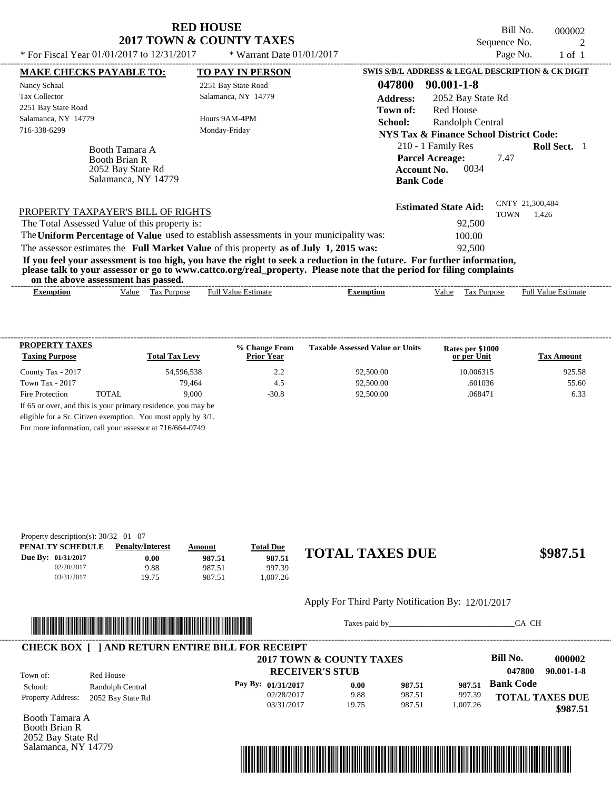Bill No. 000002 Sequence No. 2<br>
Page No. 2<br>  $1 \circ 1$ 

| * For Fiscal Year $01/01/2017$ to $12/31/2017$                                     | * Warrant Date $01/01/2017$                                                                                                                                                                                                                      |                     |                                                                                                | Page No.    | $1$ of $1$                 |  |
|------------------------------------------------------------------------------------|--------------------------------------------------------------------------------------------------------------------------------------------------------------------------------------------------------------------------------------------------|---------------------|------------------------------------------------------------------------------------------------|-------------|----------------------------|--|
| <b>MAKE CHECKS PAYABLE TO:</b>                                                     | <b>TO PAY IN PERSON</b>                                                                                                                                                                                                                          |                     | SWIS S/B/L ADDRESS & LEGAL DESCRIPTION & CK DIGIT                                              |             |                            |  |
| Nancy Schaal                                                                       | 2251 Bay State Road                                                                                                                                                                                                                              | 047800              | $90.001 - 1 - 8$                                                                               |             |                            |  |
| <b>Tax Collector</b>                                                               | Salamanca, NY 14779                                                                                                                                                                                                                              | <b>Address:</b>     | 2052 Bay State Rd                                                                              |             |                            |  |
| 2251 Bay State Road<br>Salamanca, NY 14779<br>716-338-6299                         | Hours 9AM-4PM<br>Monday-Friday                                                                                                                                                                                                                   | Town of:<br>School: | Red House<br>Randolph Central<br><b>NYS Tax &amp; Finance School District Code:</b>            |             |                            |  |
| Booth Tamara A<br><b>Booth Brian R</b><br>2052 Bay State Rd<br>Salamanca, NY 14779 |                                                                                                                                                                                                                                                  |                     | 210 - 1 Family Res<br><b>Parcel Acreage:</b><br>0034<br><b>Account No.</b><br><b>Bank Code</b> | 7.47        | <b>Roll Sect.</b>          |  |
| PROPERTY TAXPAYER'S BILL OF RIGHTS                                                 |                                                                                                                                                                                                                                                  |                     | <b>Estimated State Aid:</b>                                                                    | <b>TOWN</b> | CNTY 21,300,484<br>1.426   |  |
| The Total Assessed Value of this property is:                                      |                                                                                                                                                                                                                                                  |                     | 92,500                                                                                         |             |                            |  |
|                                                                                    | The Uniform Percentage of Value used to establish assessments in your municipality was:                                                                                                                                                          |                     | 100.00                                                                                         |             |                            |  |
|                                                                                    | The assessor estimates the Full Market Value of this property as of July 1, 2015 was:                                                                                                                                                            |                     | 92,500                                                                                         |             |                            |  |
| on the above assessment has passed.                                                | If you feel your assessment is too high, you have the right to seek a reduction in the future. For further information,<br>please talk to your assessor or go to www.cattco.org/real_property. Please note that the period for filing complaints |                     |                                                                                                |             |                            |  |
| Tax Purpose<br>Value<br><b>Exemption</b>                                           | <b>Full Value Estimate</b>                                                                                                                                                                                                                       | <b>Exemption</b>    | Value                                                                                          | Tax Purpose | <b>Full Value Estimate</b> |  |

| <b>PROPERTY TAXES</b><br><b>Taxing Purpose</b> |       | <b>Total Tax Levy</b>                                         | % Change From<br><b>Prior Year</b> | <b>Taxable Assessed Value or Units</b> | Rates per \$1000<br>or per Unit | <b>Tax Amount</b> |
|------------------------------------------------|-------|---------------------------------------------------------------|------------------------------------|----------------------------------------|---------------------------------|-------------------|
| County Tax - 2017                              |       | 54,596,538                                                    | 2.2                                | 92,500.00                              | 10.006315                       | 925.58            |
| Town Tax - 2017                                |       | 79.464                                                        | 4.5                                | 92,500.00                              | .601036                         | 55.60             |
| Fire Protection                                | TOTAL | 9.000                                                         | $-30.8$                            | 92.500.00                              | .068471                         | 6.33              |
|                                                |       | If 65 or over, and this is your primary residence, you may be |                                    |                                        |                                 |                   |
|                                                |       | eligible for a Sr. Citizen exemption. You must apply by 3/1.  |                                    |                                        |                                 |                   |

For more information, call your assessor at 716/664-0749

| Property description(s): $30/32$ 01 07 |                         |        |                  |                        |          |
|----------------------------------------|-------------------------|--------|------------------|------------------------|----------|
| PENALTY SCHEDULE                       | <b>Penalty/Interest</b> | Amount | <b>Total Due</b> |                        |          |
| Due By: 01/31/2017                     | $0.00\,$                | 987.51 | 987.51           | <b>TOTAL TAXES DUE</b> | \$987.51 |
| 02/28/2017                             | 9.88                    | 987.51 | 997.39           |                        |          |
| 03/31/2017                             | 19.75                   | 987.51 | 1.007.26         |                        |          |

#### Apply For Third Party Notification By: 12/01/2017



Taxes paid by\_\_\_\_\_\_\_\_\_\_\_\_\_\_\_\_\_\_\_\_\_\_\_\_\_\_\_\_\_\_\_CA CH

|                          |                   | <b>CHECK BOX [ ] AND RETURN ENTIRE BILL FOR RECEIPT</b> |       |        |          |                  |                        |
|--------------------------|-------------------|---------------------------------------------------------|-------|--------|----------|------------------|------------------------|
|                          |                   | 2017 TOWN & COUNTY TAXES                                |       |        |          | Bill No.         | 000002                 |
| Town of:                 | Red House         | <b>RECEIVER'S STUB</b>                                  |       |        |          | 047800           | $90.001 - 1 - 8$       |
| School:                  | Randolph Central  | Pay By: 01/31/2017                                      | 0.00  | 987.51 | 987.51   | <b>Bank Code</b> |                        |
| <b>Property Address:</b> | 2052 Bay State Rd | 02/28/2017                                              | 9.88  | 987.51 | 997.39   |                  | <b>TOTAL TAXES DUE</b> |
|                          |                   | 03/31/2017                                              | 19.75 | 987.51 | 1.007.26 |                  | \$987.51               |

Booth Tamara A Booth Brian R 2052 Bay State Rd Salamanca, NY 14779

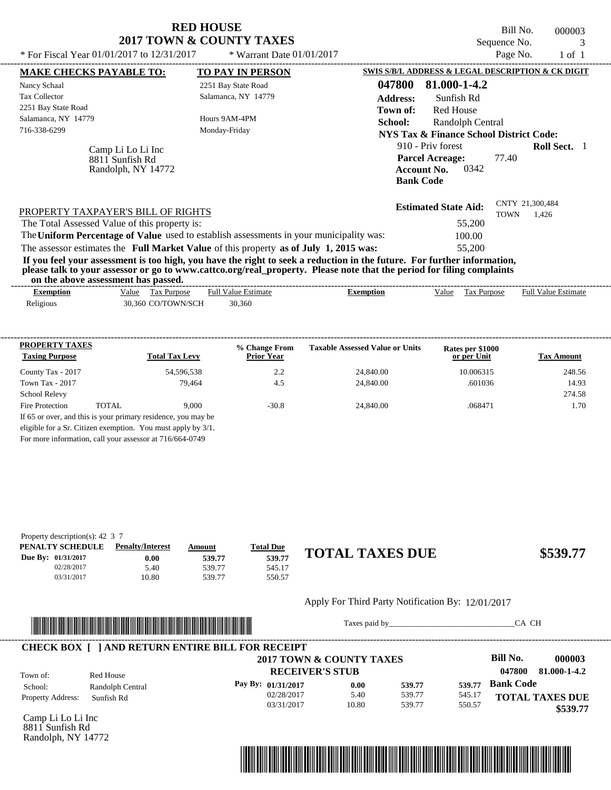| * For Fiscal Year 01/01/2017 to 12/31/2017                                                                                                                                                         | <b>RED HOUSE</b><br><b>2017 TOWN &amp; COUNTY TAXES</b><br>* Warrant Date 01/01/2017                    | Bill No.<br>000003<br>Sequence No.<br>3<br>Page No.<br>$1$ of $1$                                                                                                                                                                                                                                                                                                      |
|----------------------------------------------------------------------------------------------------------------------------------------------------------------------------------------------------|---------------------------------------------------------------------------------------------------------|------------------------------------------------------------------------------------------------------------------------------------------------------------------------------------------------------------------------------------------------------------------------------------------------------------------------------------------------------------------------|
| <b>MAKE CHECKS PAYABLE TO:</b><br>Nancy Schaal<br><b>Tax Collector</b><br>2251 Bay State Road<br>Salamanca, NY 14779<br>716-338-6299<br>Camp Li Lo Li Inc<br>8811 Sunfish Rd<br>Randolph, NY 14772 | <b>TO PAY IN PERSON</b><br>2251 Bay State Road<br>Salamanca, NY 14779<br>Hours 9AM-4PM<br>Monday-Friday | <b>SWIS S/B/L ADDRESS &amp; LEGAL DESCRIPTION &amp; CK DIGIT</b><br>047800<br>81.000-1-4.2<br><b>Address:</b><br>Sunfish Rd<br>Red House<br>Town of:<br><b>School:</b><br>Randolph Central<br>NYS Tax & Finance School District Code:<br>910 - Priv forest<br><b>Roll Sect.</b> 1<br><b>Parcel Acreage:</b><br>77.40<br>0342<br><b>Account No.</b><br><b>Bank Code</b> |
| PROPERTY TAXPAYER'S BILL OF RIGHTS<br>The Total Assessed Value of this property is:                                                                                                                | The Uniform Percentage of Value used to establish assessments in your municipality was:                 | CNTY 21,300,484<br><b>Estimated State Aid:</b><br>TOWN<br>1,426<br>55,200<br>100.00                                                                                                                                                                                                                                                                                    |

The assessor estimates the **Full Market Value** of this property **as of July 1, 2015 was:** 55,200

**If you feel your assessment is too high, you have the right to seek a reduction in the future. For further information, please talk to your assessor or go to www.cattco.org/real\_property. Please note that the period for filing complaints on the above assessment has passed.** ----------------------------------------------------------------------------------------------------------------------------------------------------------------------------------------------------

| Exemption | Full Value Estimate<br>Value<br>Tax Purpose | Exemption | Value | Tax Purpose | <b>Full Value Estimate</b> |
|-----------|---------------------------------------------|-----------|-------|-------------|----------------------------|
| Religious | 30.360 CO/TOWN/SCH<br>30,360                |           |       |             |                            |

| 54,596,538                                                    |         |           | or per Unit |        |
|---------------------------------------------------------------|---------|-----------|-------------|--------|
|                                                               | 2.2     | 24,840.00 | 10.006315   | 248.56 |
| 79.464                                                        | 4.5     | 24,840.00 | .601036     | 14.93  |
|                                                               |         |           |             | 274.58 |
| TOTAL<br>9.000                                                | $-30.8$ | 24,840.00 | .068471     | 1.70   |
| If 65 or over, and this is your primary residence, you may be |         |           |             |        |
| eligible for a Sr. Citizen exemption. You must apply by 3/1.  |         |           |             |        |
|                                                               |         |           |             |        |

For more information, call your assessor at 716/664-0749

| Property description(s): 42 $\,$ 3 $\,$ 7 |                         |        |                         |                        |          |
|-------------------------------------------|-------------------------|--------|-------------------------|------------------------|----------|
| PENALTY SCHEDULE                          | <b>Penalty/Interest</b> | Amount | <u><b>Total Due</b></u> |                        |          |
| Due By: 01/31/2017                        | $0.00\,$                | 539.77 | 539.77                  | <b>TOTAL TAXES DUE</b> | \$539.77 |
| 02/28/2017                                | 5.40                    | 539.77 | 545.17                  |                        |          |
| 03/31/2017                                | 10.80                   | 539.77 | 550.57                  |                        |          |

#### Apply For Third Party Notification By: 12/01/2017



Taxes paid by\_\_\_\_\_\_\_\_\_\_\_\_\_\_\_\_\_\_\_\_\_\_\_\_\_\_\_\_\_\_\_CA CH



Camp Li Lo Li Inc 8811 Sunfish Rd Randolph, NY 14772

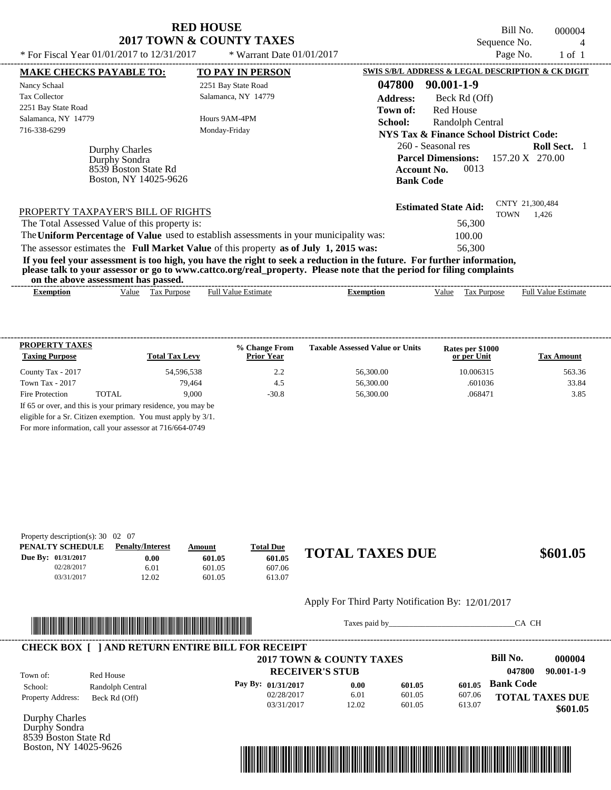Bill No. 000004 Sequence No.  $\frac{4}{P_{200}}$  No.  $\frac{4}{P_{100}}$  1 of 1

| * For Fiscal Year 01/01/2017 to 12/31/2017                                                                                                                                                                                                                                              | * Warrant Date $01/01/2017$ |                  |                                                   | Page No.    | $1$ of $1$                 |  |
|-----------------------------------------------------------------------------------------------------------------------------------------------------------------------------------------------------------------------------------------------------------------------------------------|-----------------------------|------------------|---------------------------------------------------|-------------|----------------------------|--|
| <b>MAKE CHECKS PAYABLE TO:</b>                                                                                                                                                                                                                                                          | <b>TO PAY IN PERSON</b>     |                  | SWIS S/B/L ADDRESS & LEGAL DESCRIPTION & CK DIGIT |             |                            |  |
| Nancy Schaal                                                                                                                                                                                                                                                                            | 2251 Bay State Road         | 047800           | 90.001-1-9                                        |             |                            |  |
| <b>Tax Collector</b>                                                                                                                                                                                                                                                                    | Salamanca, NY 14779         | <b>Address:</b>  | Beck Rd (Off)                                     |             |                            |  |
| 2251 Bay State Road                                                                                                                                                                                                                                                                     |                             | Town of:         | <b>Red House</b>                                  |             |                            |  |
| Salamanca, NY 14779                                                                                                                                                                                                                                                                     | Hours 9AM-4PM               | School:          | Randolph Central                                  |             |                            |  |
| 716-338-6299                                                                                                                                                                                                                                                                            | Monday-Friday               |                  | NYS Tax & Finance School District Code:           |             |                            |  |
| Durphy Charles                                                                                                                                                                                                                                                                          |                             |                  | 260 - Seasonal res                                |             | <b>Roll Sect.</b>          |  |
| Durphy Sondra                                                                                                                                                                                                                                                                           |                             |                  | <b>Parcel Dimensions:</b>                         |             | 157.20 X 270.00            |  |
| 8539 Boston State Rd                                                                                                                                                                                                                                                                    |                             |                  | 0013<br><b>Account No.</b>                        |             |                            |  |
| Boston, NY 14025-9626                                                                                                                                                                                                                                                                   |                             |                  | <b>Bank Code</b>                                  |             |                            |  |
| PROPERTY TAXPAYER'S BILL OF RIGHTS                                                                                                                                                                                                                                                      |                             |                  | <b>Estimated State Aid:</b>                       | <b>TOWN</b> | CNTY 21,300,484<br>1,426   |  |
| The Total Assessed Value of this property is:                                                                                                                                                                                                                                           |                             |                  | 56,300                                            |             |                            |  |
| The Uniform Percentage of Value used to establish assessments in your municipality was:                                                                                                                                                                                                 |                             |                  | 100.00                                            |             |                            |  |
| The assessor estimates the Full Market Value of this property as of July 1, 2015 was:                                                                                                                                                                                                   |                             |                  | 56,300                                            |             |                            |  |
| If you feel your assessment is too high, you have the right to seek a reduction in the future. For further information,<br>please talk to your assessor or go to www.cattco.org/real_property. Please note that the period for filing complaints<br>on the above assessment has passed. |                             |                  |                                                   |             |                            |  |
| Tax Purpose<br><b>Exemption</b><br>Value                                                                                                                                                                                                                                                | <b>Full Value Estimate</b>  | <b>Exemption</b> | Value                                             | Tax Purpose | <b>Full Value Estimate</b> |  |

| <b>PROPERTY TAXES</b><br><b>Taxing Purpose</b> |       | <b>Total Tax Levy</b> | % Change From<br><b>Prior Year</b> | <b>Taxable Assessed Value or Units</b> | Rates per \$1000<br>or per Unit | <b>Tax Amount</b> |
|------------------------------------------------|-------|-----------------------|------------------------------------|----------------------------------------|---------------------------------|-------------------|
| County Tax - 2017                              |       | 54.596.538            | 2.2                                | 56,300.00                              | 10.006315                       | 563.36            |
| Town Tax - 2017                                |       | 79.464                | 4.5                                | 56,300.00                              | .601036                         | 33.84             |
| Fire Protection                                | TOTAL | 9.000                 | $-30.8$                            | 56,300.00                              | .068471                         | 3.85              |

For more information, call your assessor at 716/664-0749

| Property description(s): $30 \quad 02 \quad 07$ |        |                  |                        |
|-------------------------------------------------|--------|------------------|------------------------|
| <b>Penalty/Interest</b>                         | Amount | <b>Total Due</b> |                        |
| $0.00\,$                                        | 601.05 | 601.05           | \$601.05               |
| 6.01                                            | 601.05 | 607.06           |                        |
| 12.02                                           | 601.05 | 613.07           |                        |
|                                                 |        |                  | <b>TOTAL TAXES DUE</b> |

#### Apply For Third Party Notification By: 12/01/2017



Taxes paid by\_\_\_\_\_\_\_\_\_\_\_\_\_\_\_\_\_\_\_\_\_\_\_\_\_\_\_\_\_\_\_CA CH

|                          |                  | 2017 TOWN & COUNTY TAXES |       |        |        | Bill No.               | 000004     |
|--------------------------|------------------|--------------------------|-------|--------|--------|------------------------|------------|
|                          |                  |                          |       |        |        |                        |            |
| Town of:                 | Red House        | <b>RECEIVER'S STUB</b>   |       |        |        | 047800                 | 90.001-1-9 |
| School:                  | Randolph Central | Pay By: $01/31/2017$     | 0.00  | 601.05 | 601.05 | <b>Bank Code</b>       |            |
| <b>Property Address:</b> | Beck Rd (Off)    | 02/28/2017               | 6.01  | 601.05 | 607.06 | <b>TOTAL TAXES DUE</b> |            |
|                          |                  | 03/31/2017               | 12.02 | 601.05 | 613.07 |                        | \$601.05   |

Durphy Charles Durphy Sondra 8539 Boston State Rd Boston, NY 14025-9626

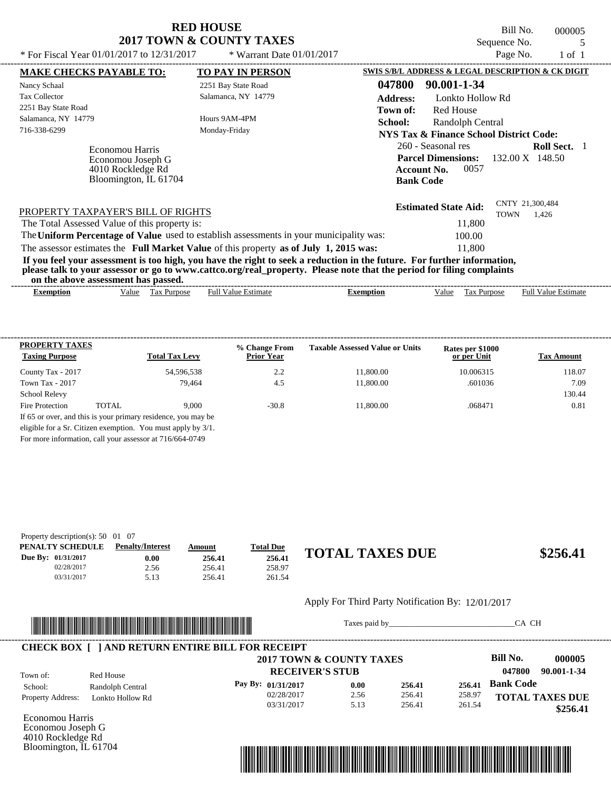Bill No. 000005 Sequence No. 5

| * For Fiscal Year $01/01/2017$ to $12/31/2017$                                                                                                                                                                                                                                          | * Warrant Date $01/01/2017$ |                  |                                                                               | Page No.    | $1$ of $1$                             |  |
|-----------------------------------------------------------------------------------------------------------------------------------------------------------------------------------------------------------------------------------------------------------------------------------------|-----------------------------|------------------|-------------------------------------------------------------------------------|-------------|----------------------------------------|--|
| <b>MAKE CHECKS PAYABLE TO:</b>                                                                                                                                                                                                                                                          | <b>TO PAY IN PERSON</b>     |                  | SWIS S/B/L ADDRESS & LEGAL DESCRIPTION & CK DIGIT                             |             |                                        |  |
| Nancy Schaal                                                                                                                                                                                                                                                                            | 2251 Bay State Road         | 047800           | 90.001-1-34                                                                   |             |                                        |  |
| <b>Tax Collector</b>                                                                                                                                                                                                                                                                    | Salamanca, NY 14779         | <b>Address:</b>  | Lonkto Hollow Rd                                                              |             |                                        |  |
| 2251 Bay State Road                                                                                                                                                                                                                                                                     |                             | Town of:         | <b>Red House</b>                                                              |             |                                        |  |
| Salamanca, NY 14779                                                                                                                                                                                                                                                                     | Hours 9AM-4PM               | School:          | Randolph Central                                                              |             |                                        |  |
| 716-338-6299                                                                                                                                                                                                                                                                            | Monday-Friday               |                  | NYS Tax & Finance School District Code:                                       |             |                                        |  |
| Economou Harris<br>Economou Joseph G<br>4010 Rockledge Rd<br>Bloomington, IL 61704                                                                                                                                                                                                      |                             | <b>Bank Code</b> | 260 - Seasonal res<br><b>Parcel Dimensions:</b><br>0057<br><b>Account No.</b> |             | <b>Roll Sect.</b> 1<br>132.00 X 148.50 |  |
| PROPERTY TAXPAYER'S BILL OF RIGHTS                                                                                                                                                                                                                                                      |                             |                  | <b>Estimated State Aid:</b>                                                   | <b>TOWN</b> | CNTY 21,300,484<br>1.426               |  |
| The Total Assessed Value of this property is:                                                                                                                                                                                                                                           |                             |                  | 11,800                                                                        |             |                                        |  |
| The Uniform Percentage of Value used to establish assessments in your municipality was:                                                                                                                                                                                                 |                             |                  | 100.00                                                                        |             |                                        |  |
| The assessor estimates the Full Market Value of this property as of July 1, 2015 was:                                                                                                                                                                                                   |                             |                  | 11,800                                                                        |             |                                        |  |
| If you feel your assessment is too high, you have the right to seek a reduction in the future. For further information,<br>please talk to your assessor or go to www.cattco.org/real_property. Please note that the period for filing complaints<br>on the above assessment has passed. |                             |                  |                                                                               |             |                                        |  |
| Tax Purpose<br><b>Exemption</b><br>Value                                                                                                                                                                                                                                                | <b>Full Value Estimate</b>  | <b>Exemption</b> | Tax Purpose<br>Value                                                          |             | <b>Full Value Estimate</b>             |  |
|                                                                                                                                                                                                                                                                                         |                             |                  |                                                                               |             |                                        |  |

| PROPERTY TAXES                                           |       |                                                               | % Change From     | <b>Taxable Assessed Value or Units</b> | Rates per \$1000 |                   |
|----------------------------------------------------------|-------|---------------------------------------------------------------|-------------------|----------------------------------------|------------------|-------------------|
| <b>Taxing Purpose</b>                                    |       | <b>Total Tax Levy</b>                                         | <b>Prior Year</b> |                                        | or per Unit      | <b>Tax Amount</b> |
| County Tax - 2017                                        |       | 54,596,538                                                    | 2.2               | 11,800.00                              | 10.006315        | 118.07            |
| Town Tax - 2017                                          |       | 79.464                                                        | 4.5               | 11,800.00                              | .601036          | 7.09              |
| <b>School Relevy</b>                                     |       |                                                               |                   |                                        |                  | 130.44            |
| Fire Protection                                          | TOTAL | 9.000                                                         | $-30.8$           | 11,800.00                              | .068471          | 0.81              |
|                                                          |       | If 65 or over, and this is your primary residence, you may be |                   |                                        |                  |                   |
|                                                          |       | eligible for a Sr. Citizen exemption. You must apply by 3/1.  |                   |                                        |                  |                   |
| For more information, call your assessor at 716/664-0749 |       |                                                               |                   |                                        |                  |                   |

| Property description(s): $50 \quad 01 \quad 07$ |                         |        |                  |             |
|-------------------------------------------------|-------------------------|--------|------------------|-------------|
| PENALTY SCHEDULE                                | <b>Penalty/Interest</b> | Amount | <b>Total Due</b> |             |
| Due By: 01/31/2017                              | 0.00                    | 256.41 | 256.41           | <b>TOTA</b> |
| 02/28/2017                                      | 2.56                    | 256.41 | 258.97           |             |
| 03/31/2017                                      | 5.13                    | 256.41 | 261.54           |             |

# **256.41 256.41**

Apply For Third Party Notification By: 12/01/2017



Taxes paid by\_\_\_\_\_\_\_\_\_\_\_\_\_\_\_\_\_\_\_\_\_\_\_\_\_\_\_\_\_\_\_CA CH

|                          |                  | 2017 TOWN & COUNTY TAXES |      |        |        | Bill No.<br>000005     |
|--------------------------|------------------|--------------------------|------|--------|--------|------------------------|
| Town of:                 | Red House        | <b>RECEIVER'S STUB</b>   |      |        |        | 90.001-1-34<br>047800  |
| School:                  | Randolph Central | Pay By: $01/31/2017$     | 0.00 | 256.41 | 256.41 | <b>Bank Code</b>       |
| <b>Property Address:</b> | Lonkto Hollow Rd | 02/28/2017               | 2.56 | 256.41 | 258.97 | <b>TOTAL TAXES DUE</b> |
|                          |                  | 03/31/2017               | 5.13 | 256.41 | 261.54 | \$256.41               |

Economou Harris Economou Joseph G 4010 Rockledge Rd Bloomington, IL 61704

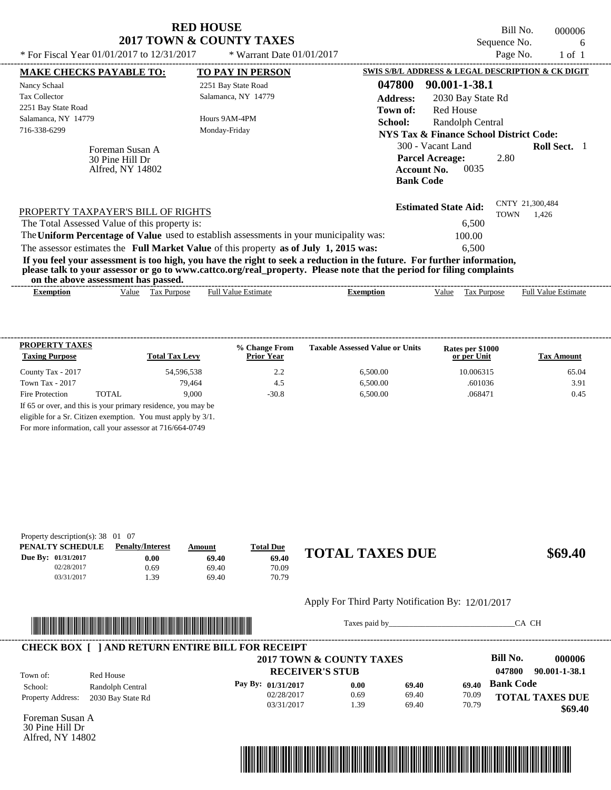Bill No. 000006 Sequence No. 6<br> $P_{30}P_{0}N_{0}$  1 of 1

| * For Fiscal Year $01/01/2017$ to $12/31/2017$                                                                                                                                                                                                                                          | * Warrant Date $01/01/2017$ |                 |                                                                                               | Page No.    | $1$ of $1$                 |  |
|-----------------------------------------------------------------------------------------------------------------------------------------------------------------------------------------------------------------------------------------------------------------------------------------|-----------------------------|-----------------|-----------------------------------------------------------------------------------------------|-------------|----------------------------|--|
| <b>MAKE CHECKS PAYABLE TO:</b>                                                                                                                                                                                                                                                          | <b>TO PAY IN PERSON</b>     |                 | SWIS S/B/L ADDRESS & LEGAL DESCRIPTION & CK DIGIT                                             |             |                            |  |
| Nancy Schaal                                                                                                                                                                                                                                                                            | 2251 Bay State Road         | 047800          | 90.001-1-38.1                                                                                 |             |                            |  |
| <b>Tax Collector</b>                                                                                                                                                                                                                                                                    | Salamanca, NY 14779         | <b>Address:</b> | 2030 Bay State Rd                                                                             |             |                            |  |
| 2251 Bay State Road                                                                                                                                                                                                                                                                     |                             | Town of:        | <b>Red House</b>                                                                              |             |                            |  |
| Salamanca, NY 14779                                                                                                                                                                                                                                                                     | Hours 9AM-4PM               | School:         | Randolph Central                                                                              |             |                            |  |
| 716-338-6299                                                                                                                                                                                                                                                                            | Monday-Friday               |                 | NYS Tax & Finance School District Code:                                                       |             |                            |  |
| Foreman Susan A<br>30 Pine Hill Dr<br>Alfred, NY 14802                                                                                                                                                                                                                                  |                             |                 | 300 - Vacant Land<br><b>Parcel Acreage:</b><br>0035<br><b>Account No.</b><br><b>Bank Code</b> | 2.80        | <b>Roll Sect.</b> 1        |  |
| PROPERTY TAXPAYER'S BILL OF RIGHTS                                                                                                                                                                                                                                                      |                             |                 | <b>Estimated State Aid:</b>                                                                   | <b>TOWN</b> | CNTY 21,300,484<br>1,426   |  |
| The Total Assessed Value of this property is:                                                                                                                                                                                                                                           |                             |                 | 6,500                                                                                         |             |                            |  |
| The Uniform Percentage of Value used to establish assessments in your municipality was:                                                                                                                                                                                                 |                             |                 | 100.00                                                                                        |             |                            |  |
| The assessor estimates the Full Market Value of this property as of July 1, 2015 was:                                                                                                                                                                                                   |                             |                 | 6.500                                                                                         |             |                            |  |
| If you feel your assessment is too high, you have the right to seek a reduction in the future. For further information,<br>please talk to your assessor or go to www.cattco.org/real_property. Please note that the period for filing complaints<br>on the above assessment has passed. |                             |                 |                                                                                               |             |                            |  |
|                                                                                                                                                                                                                                                                                         | <b>Full Value Estimate</b>  |                 |                                                                                               | Tax Purpose | <b>Full Value Estimate</b> |  |

| <b>PROPERTY TAXES</b><br><b>Taxing Purpose</b> |        | <b>Total Tax Levy</b>                                         | % Change From<br><b>Prior Year</b> | <b>Taxable Assessed Value or Units</b> | Rates per \$1000<br>or per Unit | <b>Tax Amount</b> |
|------------------------------------------------|--------|---------------------------------------------------------------|------------------------------------|----------------------------------------|---------------------------------|-------------------|
| County Tax - 2017                              |        | 54,596,538                                                    | 2.2                                | 6.500.00                               | 10.006315                       | 65.04             |
| Town Tax - 2017                                |        | 79.464                                                        | 4.5                                | 6.500.00                               | .601036                         | 3.91              |
| Fire Protection                                | TOTAL. | 9.000                                                         | $-30.8$                            | 6,500.00                               | .068471                         | 0.45              |
|                                                |        | If 65 or over, and this is your primary residence, you may be |                                    |                                        |                                 |                   |
|                                                |        | eligible for a Sr. Citizen exemption. You must apply by 3/1.  |                                    |                                        |                                 |                   |

For more information, call your assessor at 716/664-0749

| Property description(s): $38 \quad 01 \quad 07$ |                         |        |                  |                        |         |
|-------------------------------------------------|-------------------------|--------|------------------|------------------------|---------|
| PENALTY SCHEDULE                                | <b>Penalty/Interest</b> | Amount | <b>Total Due</b> |                        |         |
| Due By: 01/31/2017                              | $0.00\,$                | 69.40  | 69.40            | <b>TOTAL TAXES DUE</b> | \$69.40 |
| 02/28/2017                                      | 0.69                    | 69.40  | 70.09            |                        |         |
| 03/31/2017                                      | .39                     | 69.40  | 70.79            |                        |         |

#### Apply For Third Party Notification By: 12/01/2017



Taxes paid by\_\_\_\_\_\_\_\_\_\_\_\_\_\_\_\_\_\_\_\_\_\_\_\_\_\_\_\_\_\_\_CA CH

|                          |                   | <b>CHECK BOX   JAND RETURN ENTIRE BILL FOR RECEIPT</b><br>2017 TOWN & COUNTY TAXES |      |       |       | Bill No.         | 000006                 |
|--------------------------|-------------------|------------------------------------------------------------------------------------|------|-------|-------|------------------|------------------------|
|                          |                   | <b>RECEIVER'S STUB</b>                                                             |      |       |       | 047800           | 90.001-1-38.1          |
| Town of:<br>School:      | Red House         |                                                                                    |      |       |       |                  |                        |
|                          | Randolph Central  | Pay By: 01/31/2017                                                                 | 0.00 | 69.40 | 69.40 | <b>Bank Code</b> |                        |
| <b>Property Address:</b> | 2030 Bay State Rd | 02/28/2017                                                                         | 0.69 | 69.40 | 70.09 |                  | <b>TOTAL TAXES DUE</b> |
|                          |                   | 03/31/2017                                                                         | .39  | 69.40 | 70.79 |                  | \$69.40                |

Foreman Susan A 30 Pine Hill Dr Alfred, NY 14802

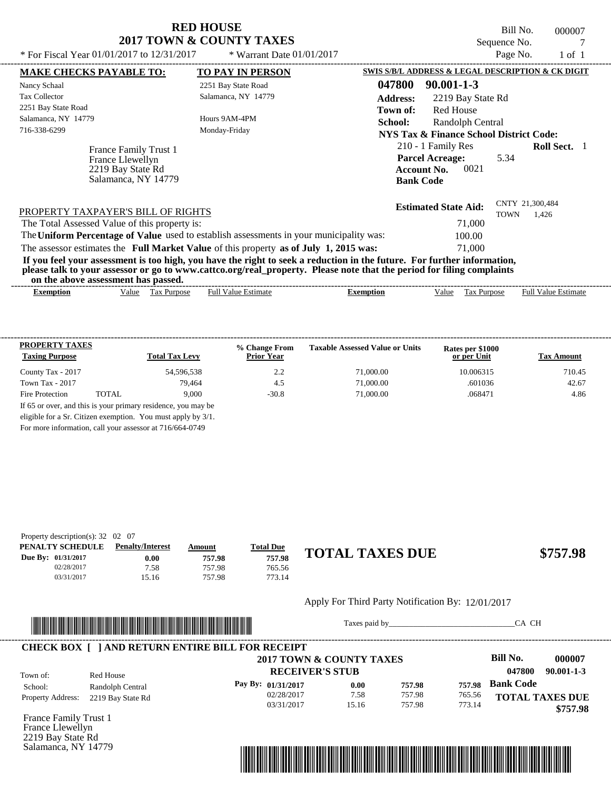Bill No. 000007 Sequence No. 7

| * For Fiscal Year $01/01/2017$ to $12/31/2017$                                                                                                                                                                                                                                          | * Warrant Date $01/01/2017$ |                  |                                                                                                | Page No.    | $1$ of $1$                 |  |
|-----------------------------------------------------------------------------------------------------------------------------------------------------------------------------------------------------------------------------------------------------------------------------------------|-----------------------------|------------------|------------------------------------------------------------------------------------------------|-------------|----------------------------|--|
| <b>MAKE CHECKS PAYABLE TO:</b>                                                                                                                                                                                                                                                          | <b>TO PAY IN PERSON</b>     |                  | SWIS S/B/L ADDRESS & LEGAL DESCRIPTION & CK DIGIT                                              |             |                            |  |
| Nancy Schaal                                                                                                                                                                                                                                                                            | 2251 Bay State Road         | 047800           | $90.001 - 1 - 3$                                                                               |             |                            |  |
| <b>Tax Collector</b>                                                                                                                                                                                                                                                                    | Salamanca, NY 14779         | <b>Address:</b>  | 2219 Bay State Rd                                                                              |             |                            |  |
| 2251 Bay State Road                                                                                                                                                                                                                                                                     |                             | Town of:         | <b>Red House</b>                                                                               |             |                            |  |
| Salamanca, NY 14779                                                                                                                                                                                                                                                                     | Hours 9AM-4PM               | School:          | Randolph Central                                                                               |             |                            |  |
| 716-338-6299                                                                                                                                                                                                                                                                            | Monday-Friday               |                  | <b>NYS Tax &amp; Finance School District Code:</b>                                             |             |                            |  |
| France Family Trust 1<br>France Llewellyn<br>2219 Bay State Rd<br>Salamanca, NY 14779                                                                                                                                                                                                   |                             |                  | 210 - 1 Family Res<br><b>Parcel Acreage:</b><br>0021<br><b>Account No.</b><br><b>Bank Code</b> | 5.34        | <b>Roll Sect.</b> 1        |  |
| PROPERTY TAXPAYER'S BILL OF RIGHTS                                                                                                                                                                                                                                                      |                             |                  | <b>Estimated State Aid:</b>                                                                    | <b>TOWN</b> | CNTY 21,300,484<br>1,426   |  |
| The Total Assessed Value of this property is:                                                                                                                                                                                                                                           |                             |                  | 71,000                                                                                         |             |                            |  |
| The Uniform Percentage of Value used to establish assessments in your municipality was:                                                                                                                                                                                                 |                             |                  | 100.00                                                                                         |             |                            |  |
| The assessor estimates the Full Market Value of this property as of July 1, 2015 was:                                                                                                                                                                                                   |                             |                  | 71,000                                                                                         |             |                            |  |
| If you feel your assessment is too high, you have the right to seek a reduction in the future. For further information,<br>please talk to your assessor or go to www.cattco.org/real_property. Please note that the period for filing complaints<br>on the above assessment has passed. |                             |                  |                                                                                                |             |                            |  |
| Tax Purpose<br><b>Exemption</b><br>Value                                                                                                                                                                                                                                                | <b>Full Value Estimate</b>  | <b>Exemption</b> | Value                                                                                          | Tax Purpose | <b>Full Value Estimate</b> |  |
|                                                                                                                                                                                                                                                                                         |                             |                  |                                                                                                |             |                            |  |

| <b>PROPERTY TAXES</b><br><b>Taxing Purpose</b> |       | <b>Total Tax Levy</b> | % Change From<br><b>Prior Year</b> | <b>Taxable Assessed Value or Units</b> | Rates per \$1000<br>or per Unit | <b>Tax Amount</b> |
|------------------------------------------------|-------|-----------------------|------------------------------------|----------------------------------------|---------------------------------|-------------------|
| County Tax - 2017                              |       | 54.596.538            | 2.2                                | 71,000.00                              | 10.006315                       | 710.45            |
| Town Tax - 2017                                |       | 79.464                | 4.5                                | 71,000.00                              | .601036                         | 42.67             |
| Fire Protection                                | TOTAL | 9.000                 | $-30.8$                            | 71,000.00                              | .068471                         | 4.86              |

For more information, call your assessor at 716/664-0749

| Property description(s): $32 \quad 02 \quad 07$ |                         |        |                  |                        |          |
|-------------------------------------------------|-------------------------|--------|------------------|------------------------|----------|
| PENALTY SCHEDULE                                | <b>Penalty/Interest</b> | Amount | <b>Total Due</b> |                        |          |
| Due By: 01/31/2017                              | 0.00                    | 757.98 | 757.98           | <b>TOTAL TAXES DUE</b> | \$757.98 |
| 02/28/2017                                      | 7.58                    | 757.98 | 765.56           |                        |          |
| 03/31/2017                                      | 15.16                   | 757.98 | 773.14           |                        |          |

#### Apply For Third Party Notification By: 12/01/2017



Taxes paid by\_\_\_\_\_\_\_\_\_\_\_\_\_\_\_\_\_\_\_\_\_\_\_\_\_\_\_\_\_\_\_CA CH

|                          |                   | 2017 TOWN & COUNTY TAXES |       |        |        | Bill No.<br>000007         |
|--------------------------|-------------------|--------------------------|-------|--------|--------|----------------------------|
| Town of:                 | Red House         | <b>RECEIVER'S STUB</b>   |       |        |        | $90.001 - 1 - 3$<br>047800 |
| School:                  | Randolph Central  | Pay By: $01/31/2017$     | 0.00  | 757.98 | 757.98 | <b>Bank Code</b>           |
| <b>Property Address:</b> | 2219 Bay State Rd | 02/28/2017               | 7.58  | 757.98 | 765.56 | <b>TOTAL TAXES DUE</b>     |
|                          |                   | 03/31/2017               | 15.16 | 757.98 | 773.14 | \$757.98                   |

France Family Trust 1 France Llewellyn 2219 Bay State Rd Salamanca, NY 14779

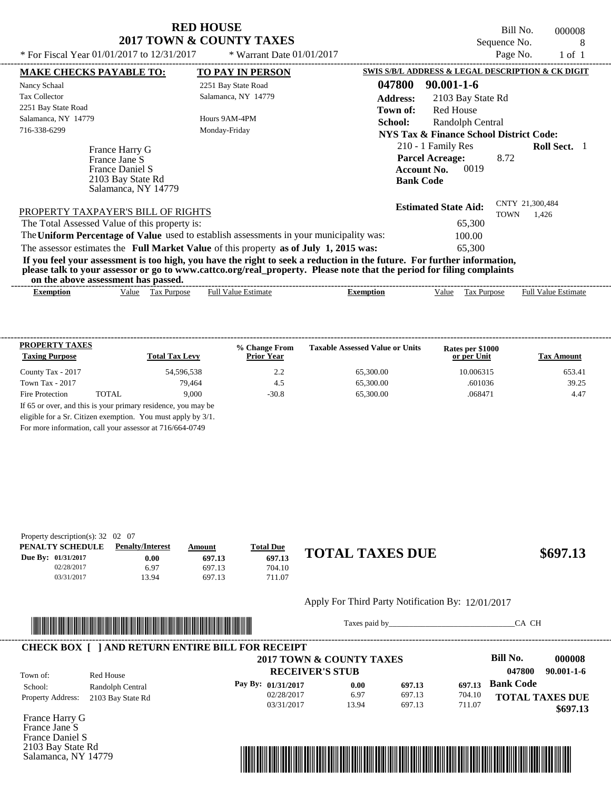Bill No. 000008 Sequence No. 8

| * For Fiscal Year 01/01/2017 to 12/31/2017                  | * Warrant Date $01/01/2017$                                                                                                                                                                                                                      | Page No.<br>$1$ of $1$                                                      |
|-------------------------------------------------------------|--------------------------------------------------------------------------------------------------------------------------------------------------------------------------------------------------------------------------------------------------|-----------------------------------------------------------------------------|
| <b>MAKE CHECKS PAYABLE TO:</b>                              | <b>TO PAY IN PERSON</b>                                                                                                                                                                                                                          | <b>SWIS S/B/L ADDRESS &amp; LEGAL DESCRIPTION &amp; CK DIGIT</b>            |
| Nancy Schaal                                                | 2251 Bay State Road                                                                                                                                                                                                                              | 047800<br>$90.001 - 1 - 6$                                                  |
| <b>Tax Collector</b>                                        | Salamanca, NY 14779                                                                                                                                                                                                                              | <b>Address:</b><br>2103 Bay State Rd                                        |
| 2251 Bay State Road                                         |                                                                                                                                                                                                                                                  | Red House<br>Town of:                                                       |
| Salamanca, NY 14779                                         | Hours 9AM-4PM                                                                                                                                                                                                                                    | <b>School:</b><br>Randolph Central                                          |
| 716-338-6299                                                | Monday-Friday                                                                                                                                                                                                                                    | NYS Tax & Finance School District Code:                                     |
| France Harry G<br>France Jane S                             |                                                                                                                                                                                                                                                  | 210 - 1 Family Res<br><b>Roll Sect.</b> 1<br><b>Parcel Acreage:</b><br>8.72 |
| France Daniel S<br>2103 Bay State Rd<br>Salamanca, NY 14779 |                                                                                                                                                                                                                                                  | 0019<br><b>Account No.</b><br><b>Bank Code</b>                              |
| PROPERTY TAXPAYER'S BILL OF RIGHTS                          |                                                                                                                                                                                                                                                  | CNTY 21,300,484<br><b>Estimated State Aid:</b><br><b>TOWN</b><br>1,426      |
| The Total Assessed Value of this property is:               |                                                                                                                                                                                                                                                  | 65,300                                                                      |
|                                                             | The Uniform Percentage of Value used to establish assessments in your municipality was:                                                                                                                                                          | 100.00                                                                      |
|                                                             | The assessor estimates the Full Market Value of this property as of July 1, 2015 was:                                                                                                                                                            | 65,300                                                                      |
| on the above assessment has passed.                         | If you feel your assessment is too high, you have the right to seek a reduction in the future. For further information,<br>please talk to your assessor or go to www.cattco.org/real_property. Please note that the period for filing complaints |                                                                             |

| - Full <sup>V</sup><br>√alue<br>alue<br>Estimate<br><b>Estimate</b><br><b>Purpose</b><br>lax<br>alu<br>Purpose<br>Ful<br>Exemption<br>$\mathcal{L}$ xemption<br>≙וו'<br>__ |
|----------------------------------------------------------------------------------------------------------------------------------------------------------------------------|
|                                                                                                                                                                            |

| <b>PROPERTY TAXES</b><br><b>Taxing Purpose</b> |       | <b>Total Tax Levy</b> | % Change From<br><b>Prior Year</b> | <b>Taxable Assessed Value or Units</b> | Rates per \$1000<br>or per Unit | <b>Tax Amount</b> |
|------------------------------------------------|-------|-----------------------|------------------------------------|----------------------------------------|---------------------------------|-------------------|
| County Tax - 2017                              |       | 54.596.538            | 2.2                                | 65,300.00                              | 10.006315                       | 653.41            |
| Town Tax - 2017                                |       | 79.464                | 4.5                                | 65,300.00                              | .601036                         | 39.25             |
| Fire Protection                                | TOTAL | 9.000                 | $-30.8$                            | 65,300.00                              | .068471                         | 4.47              |

For more information, call your assessor at 716/664-0749

| Property description(s): $32 \quad 02 \quad 07$ |                         |        |                  |                        |          |
|-------------------------------------------------|-------------------------|--------|------------------|------------------------|----------|
| PENALTY SCHEDULE                                | <b>Penalty/Interest</b> | Amount | <u>Total Due</u> |                        |          |
| Due By: 01/31/2017                              | $0.00\,$                | 697.13 | 697.13           | <b>TOTAL TAXES DUE</b> | \$697.13 |
| 02/28/2017                                      | 6.97                    | 697.13 | 704.10           |                        |          |
| 03/31/2017                                      | 13.94                   | 697.13 | 711.07           |                        |          |

### Apply For Third Party Notification By: 12/01/2017



Taxes paid by\_\_\_\_\_\_\_\_\_\_\_\_\_\_\_\_\_\_\_\_\_\_\_\_\_\_\_\_\_\_\_CA CH

|                          |                   | 2017 TOWN & COUNTY TAXES |       |        |        | Bill No.<br>000008         |
|--------------------------|-------------------|--------------------------|-------|--------|--------|----------------------------|
| Town of:                 | Red House         | <b>RECEIVER'S STUB</b>   |       |        |        | $90.001 - 1 - 6$<br>047800 |
| School:                  | Randolph Central  | Pay By: $01/31/2017$     | 0.00  | 697.13 | 697.13 | <b>Bank Code</b>           |
| <b>Property Address:</b> | 2103 Bay State Rd | 02/28/2017               | 6.97  | 697.13 | 704.10 | <b>TOTAL TAXES DUE</b>     |
|                          |                   | 03/31/2017               | 13.94 | 697.13 | 711.07 | \$697.13                   |

France Harry G France Jane S France Daniel S 2103 Bay State Rd Salamanca, NY 14779

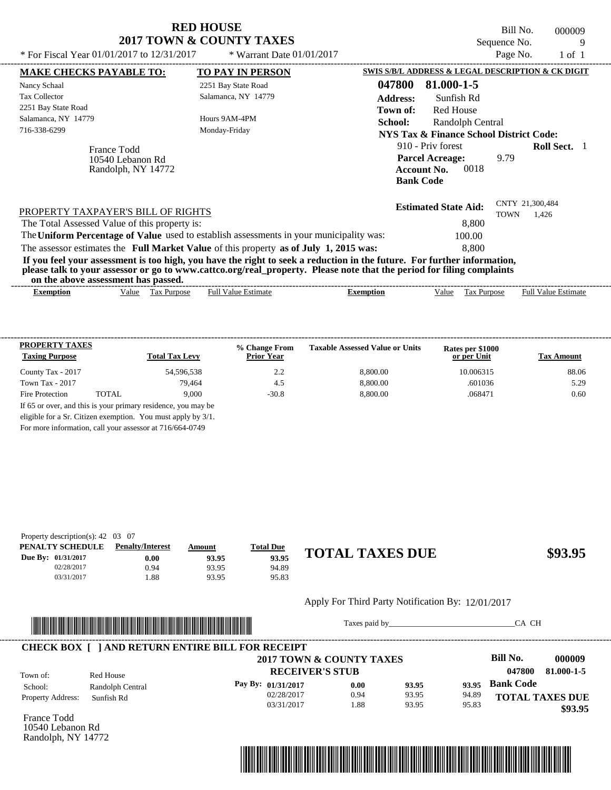|                                                                                                                                                                                                                                                                                         | <b>RED HOUSE</b><br><b>2017 TOWN &amp; COUNTY TAXES</b>                                       |                                                    | Bill No.<br>Sequence No. | 000009<br>9 |  |  |
|-----------------------------------------------------------------------------------------------------------------------------------------------------------------------------------------------------------------------------------------------------------------------------------------|-----------------------------------------------------------------------------------------------|----------------------------------------------------|--------------------------|-------------|--|--|
| * For Fiscal Year 01/01/2017 to 12/31/2017                                                                                                                                                                                                                                              | Page No.<br>$1$ of $1$                                                                        |                                                    |                          |             |  |  |
| <b>MAKE CHECKS PAYABLE TO:</b>                                                                                                                                                                                                                                                          | <b>TO PAY IN PERSON</b>                                                                       | SWIS S/B/L ADDRESS & LEGAL DESCRIPTION & CK DIGIT  |                          |             |  |  |
| Nancy Schaal                                                                                                                                                                                                                                                                            | 2251 Bay State Road                                                                           | 047800<br>81.000-1-5                               |                          |             |  |  |
| <b>Tax Collector</b>                                                                                                                                                                                                                                                                    | Salamanca, NY 14779                                                                           | <b>Address:</b><br>Sunfish Rd                      |                          |             |  |  |
| 2251 Bay State Road                                                                                                                                                                                                                                                                     | <b>Red House</b><br>Town of:                                                                  |                                                    |                          |             |  |  |
| Salamanca, NY 14779                                                                                                                                                                                                                                                                     | Hours 9AM-4PM<br>Monday-Friday                                                                | School:<br>Randolph Central                        |                          |             |  |  |
| 716-338-6299                                                                                                                                                                                                                                                                            |                                                                                               | <b>NYS Tax &amp; Finance School District Code:</b> |                          |             |  |  |
| France Todd<br>10540 Lebanon Rd<br>Randolph, NY 14772                                                                                                                                                                                                                                   | 910 - Priv forest<br><b>Parcel Acreage:</b><br>0018<br><b>Account No.</b><br><b>Bank Code</b> | 9.79                                               | <b>Roll Sect.</b> 1      |             |  |  |
| PROPERTY TAXPAYER'S BILL OF RIGHTS<br>The Total Assessed Value of this property is:<br>The Uniform Percentage of Value used to establish assessments in your municipality was:                                                                                                          |                                                                                               | <b>Estimated State Aid:</b><br>8,800<br>100.00     | CNTY 21,300,484<br>TOWN  | 1,426       |  |  |
| The assessor estimates the Full Market Value of this property as of July 1, 2015 was:                                                                                                                                                                                                   |                                                                                               | 8.800                                              |                          |             |  |  |
| If you feel your assessment is too high, you have the right to seek a reduction in the future. For further information,<br>please talk to your assessor or go to www.cattco.org/real_property. Please note that the period for filing complaints<br>on the above assessment has passed. |                                                                                               |                                                    |                          |             |  |  |

| Full $V$<br>√alue<br>alue<br>Purpose<br>Estimate<br>ax:<br>Estimate<br>Ful<br>Value<br>Purpose<br>Exemption<br>Exemption<br>٦1Α<br>1 U.A | ----- | ,,,,<br>ww | . азэсээнісні наз базэса. |  |  | -------------- |
|------------------------------------------------------------------------------------------------------------------------------------------|-------|------------|---------------------------|--|--|----------------|
|                                                                                                                                          |       |            |                           |  |  |                |

| <b>PROPERTY TAXES</b><br><b>Taxing Purpose</b> |       | <b>Total Tax Levy</b>                                         | % Change From<br><b>Prior Year</b> | <b>Taxable Assessed Value or Units</b> | Rates per \$1000<br>or per Unit | <b>Tax Amount</b> |
|------------------------------------------------|-------|---------------------------------------------------------------|------------------------------------|----------------------------------------|---------------------------------|-------------------|
| County Tax - 2017                              |       | 54,596,538                                                    | 2.2                                | 8,800.00                               | 10.006315                       | 88.06             |
| Town Tax - 2017                                |       | 79.464                                                        | 4.5                                | 8,800.00                               | .601036                         | 5.29              |
| Fire Protection                                | TOTAL | 9.000                                                         | $-30.8$                            | 8.800.00                               | .068471                         | 0.60              |
|                                                |       | If 65 or over, and this is your primary residence, you may be |                                    |                                        |                                 |                   |
|                                                |       | eligible for a Sr. Citizen exemption. You must apply by 3/1.  |                                    |                                        |                                 |                   |

For more information, call your assessor at 716/664-0749

| Property description(s): $42 \quad 03 \quad 07$ |                         |        |                  |                        |         |
|-------------------------------------------------|-------------------------|--------|------------------|------------------------|---------|
| PENALTY SCHEDULE                                | <b>Penalty/Interest</b> | Amount | <b>Total Due</b> |                        |         |
| Due By: 01/31/2017                              | 0.00                    | 93.95  | 93.95            | <b>TOTAL TAXES DUE</b> | \$93.95 |
| 02/28/2017                                      | 0.94                    | 93.95  | 94.89            |                        |         |
| 03/31/2017                                      | .88                     | 93.95  | 95.83            |                        |         |

#### Apply For Third Party Notification By: 12/01/2017



Taxes paid by\_\_\_\_\_\_\_\_\_\_\_\_\_\_\_\_\_\_\_\_\_\_\_\_\_\_\_\_\_\_\_CA CH

|                          |                  | <b>CHECK BOX   JAND RETURN ENTIRE BILL FOR RECEIPT</b><br>2017 TOWN & COUNTY TAXES |      |       |       | Bill No.               | 000009     |
|--------------------------|------------------|------------------------------------------------------------------------------------|------|-------|-------|------------------------|------------|
| Town of:                 | Red House        | <b>RECEIVER'S STUB</b>                                                             |      |       |       | 047800                 | 81.000-1-5 |
| School:                  | Randolph Central | Pay By: 01/31/2017                                                                 | 0.00 | 93.95 | 93.95 | <b>Bank Code</b>       |            |
| <b>Property Address:</b> | Sunfish Rd       | 02/28/2017                                                                         | 0.94 | 93.95 | 94.89 | <b>TOTAL TAXES DUE</b> |            |
|                          |                  | 03/31/2017                                                                         | .88  | 93.95 | 95.83 |                        | \$93.95    |

France Todd 10540 Lebanon Rd Randolph, NY 14772

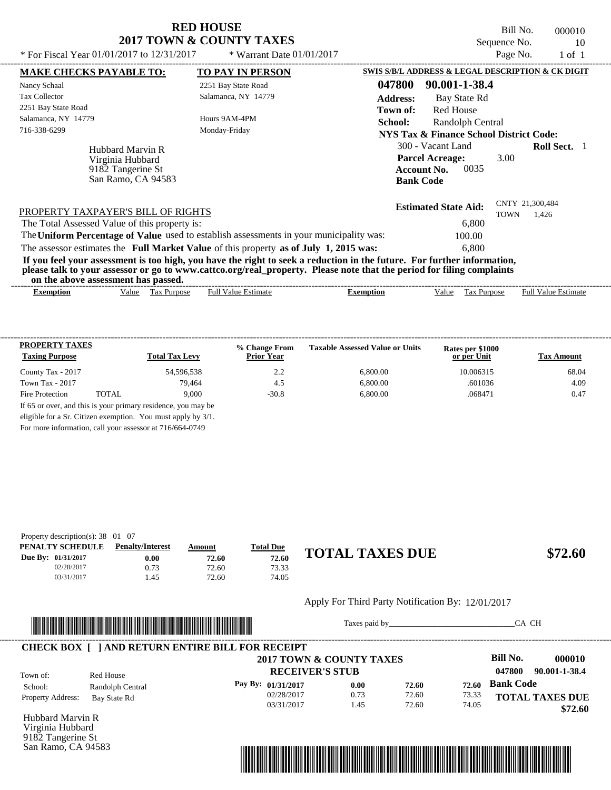Bill No. 000010 Sequence No. 10

| * For Fiscal Year 01/01/2017 to 12/31/2017                                                                              | * Warrant Date 01/01/2017  |                  |                                                   | Page No.    | $1$ of $1$                 |  |
|-------------------------------------------------------------------------------------------------------------------------|----------------------------|------------------|---------------------------------------------------|-------------|----------------------------|--|
| <b>MAKE CHECKS PAYABLE TO:</b>                                                                                          | <b>TO PAY IN PERSON</b>    |                  | SWIS S/B/L ADDRESS & LEGAL DESCRIPTION & CK DIGIT |             |                            |  |
| Nancy Schaal                                                                                                            | 2251 Bay State Road        | 047800           | 90.001-1-38.4                                     |             |                            |  |
| <b>Tax Collector</b>                                                                                                    | Salamanca, NY 14779        | <b>Address:</b>  | Bay State Rd                                      |             |                            |  |
| 2251 Bay State Road                                                                                                     |                            | Town of:         | <b>Red House</b>                                  |             |                            |  |
| Salamanca, NY 14779                                                                                                     | Hours 9AM-4PM              | School:          | Randolph Central                                  |             |                            |  |
| 716-338-6299                                                                                                            | Monday-Friday              |                  | NYS Tax & Finance School District Code:           |             |                            |  |
| Hubbard Marvin R                                                                                                        |                            |                  | 300 - Vacant Land                                 |             | <b>Roll Sect.</b> 1        |  |
| Virginia Hubbard                                                                                                        |                            |                  | <b>Parcel Acreage:</b>                            | 3.00        |                            |  |
| 9182 Tangerine St                                                                                                       |                            |                  | 0035<br><b>Account No.</b>                        |             |                            |  |
| San Ramo, CA 94583                                                                                                      |                            |                  | <b>Bank Code</b>                                  |             |                            |  |
|                                                                                                                         |                            |                  | <b>Estimated State Aid:</b>                       |             | CNTY 21,300,484            |  |
| PROPERTY TAXPAYER'S BILL OF RIGHTS                                                                                      |                            |                  |                                                   | <b>TOWN</b> | 1,426                      |  |
| The Total Assessed Value of this property is:                                                                           |                            |                  | 6,800                                             |             |                            |  |
| The Uniform Percentage of Value used to establish assessments in your municipality was:                                 |                            |                  | 100.00                                            |             |                            |  |
| The assessor estimates the Full Market Value of this property as of July 1, 2015 was:                                   |                            |                  | 6.800                                             |             |                            |  |
| If you feel your assessment is too high, you have the right to seek a reduction in the future. For further information, |                            |                  |                                                   |             |                            |  |
| please talk to your assessor or go to www.cattco.org/real_property. Please note that the period for filing complaints   |                            |                  |                                                   |             |                            |  |
| on the above assessment has passed.                                                                                     |                            |                  |                                                   |             |                            |  |
| Tax Purpose<br><b>Exemption</b><br>Value                                                                                | <b>Full Value Estimate</b> | <b>Exemption</b> | Value                                             | Tax Purpose | <b>Full Value Estimate</b> |  |

| <b>PROPERTY TAXES</b><br><b>Taxing Purpose</b> |       | <b>Total Tax Levy</b> | % Change From<br><b>Prior Year</b> | <b>Taxable Assessed Value or Units</b> | Rates per \$1000<br>or per Unit | <b>Tax Amount</b> |
|------------------------------------------------|-------|-----------------------|------------------------------------|----------------------------------------|---------------------------------|-------------------|
| County Tax - 2017                              |       | 54.596.538            | 2.2                                | 6,800.00                               | 10.006315                       | 68.04             |
| Town Tax - 2017                                |       | 79.464                | 4.5                                | 6.800.00                               | .601036                         | 4.09              |
| Fire Protection                                | TOTAL | 9.000                 | $-30.8$                            | 6,800.00                               | .068471                         | 0.47              |

For more information, call your assessor at 716/664-0749

| Property description(s): $38 \quad 01 \quad 07$ |                         |        |                  |                        |         |
|-------------------------------------------------|-------------------------|--------|------------------|------------------------|---------|
| PENALTY SCHEDULE                                | <b>Penalty/Interest</b> | Amount | <b>Total Due</b> |                        |         |
| Due By: 01/31/2017                              | 0.00                    | 72.60  | 72.60            | <b>TOTAL TAXES DUE</b> | \$72.60 |
| 02/28/2017                                      | 0.73                    | 72.60  | 73.33            |                        |         |
| 03/31/2017                                      | . 45                    | 72.60  | 74.05            |                        |         |

#### Apply For Third Party Notification By: 12/01/2017



Taxes paid by\_\_\_\_\_\_\_\_\_\_\_\_\_\_\_\_\_\_\_\_\_\_\_\_\_\_\_\_\_\_\_CA CH

|                          |                  | <b>CHECK BOX   JAND RETURN ENTIRE BILL FOR RECEIPT</b><br>2017 TOWN & COUNTY TAXES |      |       |       | Bill No.         | 000010                 |
|--------------------------|------------------|------------------------------------------------------------------------------------|------|-------|-------|------------------|------------------------|
| Town of:                 | Red House        | <b>RECEIVER'S STUB</b>                                                             |      |       |       | 047800           | 90.001-1-38.4          |
| School:                  | Randolph Central | Pay By: 01/31/2017                                                                 | 0.00 | 72.60 | 72.60 | <b>Bank Code</b> |                        |
| <b>Property Address:</b> | Bay State Rd     | 02/28/2017                                                                         | 0.73 | 72.60 | 73.33 |                  | <b>TOTAL TAXES DUE</b> |
|                          |                  | 03/31/2017                                                                         | . 45 | 72.60 | 74.05 |                  | \$72.60                |

Hubbard Marvin R Virginia Hubbard 9182 Tangerine St San Ramo, CA 94583

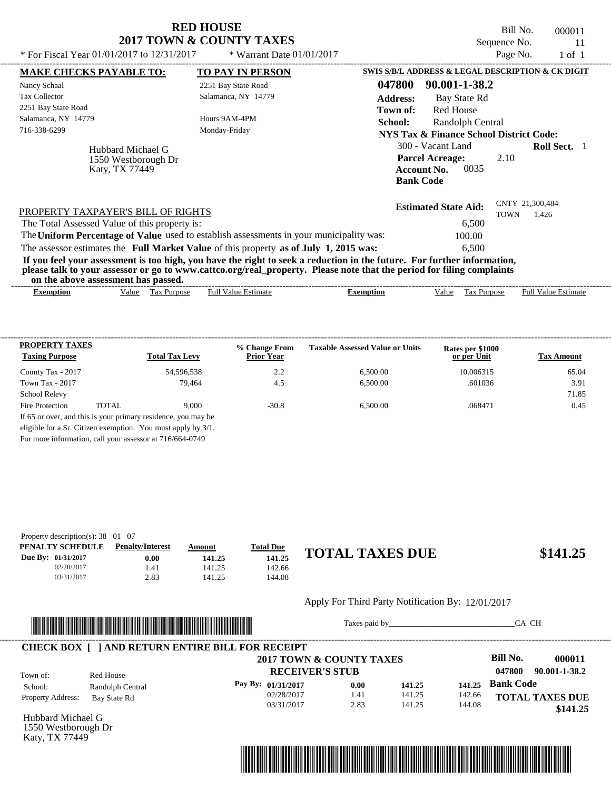| <b>RED HOUSE</b>         |  |
|--------------------------|--|
| 2017 TOWN & COUNTY TAXES |  |

Bill No. 000011 Sequence No. 11

| * For Fiscal Year $01/01/2017$ to $12/31/2017$ |                      | * Warrant Date $01/01/2017$                                                                                                                                                                                                                      |                  |                                                                  | Page No.                       | $1 \text{ of } 1$          |  |
|------------------------------------------------|----------------------|--------------------------------------------------------------------------------------------------------------------------------------------------------------------------------------------------------------------------------------------------|------------------|------------------------------------------------------------------|--------------------------------|----------------------------|--|
| <b>MAKE CHECKS PAYABLE TO:</b>                 |                      | <b>TO PAY IN PERSON</b>                                                                                                                                                                                                                          |                  | <b>SWIS S/B/L ADDRESS &amp; LEGAL DESCRIPTION &amp; CK DIGIT</b> |                                |                            |  |
| Nancy Schaal                                   |                      | 2251 Bay State Road                                                                                                                                                                                                                              | 047800           | 90.001-1-38.2                                                    |                                |                            |  |
| <b>Tax Collector</b>                           |                      | Salamanca, NY 14779                                                                                                                                                                                                                              | <b>Address:</b>  | Bay State Rd                                                     |                                |                            |  |
| 2251 Bay State Road                            |                      |                                                                                                                                                                                                                                                  | Town of:         | <b>Red House</b>                                                 |                                |                            |  |
| Salamanca, NY 14779                            |                      | Hours 9AM-4PM                                                                                                                                                                                                                                    | School:          | Randolph Central                                                 |                                |                            |  |
| 716-338-6299                                   |                      | Monday-Friday                                                                                                                                                                                                                                    |                  | <b>NYS Tax &amp; Finance School District Code:</b>               |                                |                            |  |
|                                                | Hubbard Michael G    |                                                                                                                                                                                                                                                  |                  | 300 - Vacant Land                                                |                                | <b>Roll Sect.</b>          |  |
|                                                | 1550 Westborough Dr  |                                                                                                                                                                                                                                                  |                  | <b>Parcel Acreage:</b>                                           | 2.10                           |                            |  |
|                                                | Katy, TX 77449       |                                                                                                                                                                                                                                                  |                  | 0035<br><b>Account No.</b>                                       |                                |                            |  |
|                                                |                      |                                                                                                                                                                                                                                                  |                  | <b>Bank Code</b>                                                 |                                |                            |  |
| PROPERTY TAXPAYER'S BILL OF RIGHTS             |                      |                                                                                                                                                                                                                                                  |                  | <b>Estimated State Aid:</b>                                      | CNTY 21,300,484<br><b>TOWN</b> | 1,426                      |  |
| The Total Assessed Value of this property is:  |                      |                                                                                                                                                                                                                                                  |                  | 6,500                                                            |                                |                            |  |
|                                                |                      | The Uniform Percentage of Value used to establish assessments in your municipality was:                                                                                                                                                          |                  | 100.00                                                           |                                |                            |  |
|                                                |                      | The assessor estimates the Full Market Value of this property as of July 1, 2015 was:                                                                                                                                                            |                  | 6.500                                                            |                                |                            |  |
| on the above assessment has passed.            |                      | If you feel your assessment is too high, you have the right to seek a reduction in the future. For further information,<br>please talk to your assessor or go to www.cattco.org/real_property. Please note that the period for filing complaints |                  |                                                                  |                                |                            |  |
| <b>Exemption</b>                               | Tax Purpose<br>Value | <b>Full Value Estimate</b>                                                                                                                                                                                                                       | <b>Exemption</b> | Value<br>Tax Purpose                                             |                                | <b>Full Value Estimate</b> |  |
|                                                |                      |                                                                                                                                                                                                                                                  |                  |                                                                  |                                |                            |  |

| PROPERTY TAXES                                           |       |                                                               | % Change From     | <b>Taxable Assessed Value or Units</b> | Rates per \$1000 |                   |
|----------------------------------------------------------|-------|---------------------------------------------------------------|-------------------|----------------------------------------|------------------|-------------------|
| <b>Taxing Purpose</b>                                    |       | <b>Total Tax Levy</b>                                         | <b>Prior Year</b> |                                        | or per Unit      | <b>Tax Amount</b> |
| County Tax - 2017                                        |       | 54,596,538                                                    | 2.2               | 6.500.00                               | 10.006315        | 65.04             |
| Town Tax - 2017                                          |       | 79.464                                                        | 4.5               | 6.500.00                               | .601036          | 3.91              |
| <b>School Relevy</b>                                     |       |                                                               |                   |                                        |                  | 71.85             |
| Fire Protection                                          | TOTAL | 9.000                                                         | $-30.8$           | 6.500.00                               | .068471          | 0.45              |
|                                                          |       | If 65 or over, and this is your primary residence, you may be |                   |                                        |                  |                   |
|                                                          |       | eligible for a Sr. Citizen exemption. You must apply by 3/1.  |                   |                                        |                  |                   |
| For more information, call your assessor at 716/664-0749 |       |                                                               |                   |                                        |                  |                   |

| Property description(s): $38 \quad 01 \quad 07$ |                         |        |                  |                        |          |
|-------------------------------------------------|-------------------------|--------|------------------|------------------------|----------|
| PENALTY SCHEDULE                                | <b>Penalty/Interest</b> | Amount | <b>Total Due</b> |                        |          |
| Due By: 01/31/2017                              | 0.00                    | 141.25 | 141.25           | <b>TOTAL TAXES DUE</b> | \$141.25 |
| 02/28/2017                                      | . 41                    | 141.25 | 142.66           |                        |          |
| 03/31/2017                                      | 2.83                    | 141.25 | 144.08           |                        |          |

#### Apply For Third Party Notification By: 12/01/2017



Taxes paid by\_\_\_\_\_\_\_\_\_\_\_\_\_\_\_\_\_\_\_\_\_\_\_\_\_\_\_\_\_\_\_CA CH

|                          |                  | <b>CHECK BOX [ ] AND RETURN ENTIRE BILL FOR RECEIPT</b> |      |        |        |                         |
|--------------------------|------------------|---------------------------------------------------------|------|--------|--------|-------------------------|
|                          |                  | 2017 TOWN & COUNTY TAXES                                |      |        |        | Bill No.<br>000011      |
| Town of:                 | Red House        | <b>RECEIVER'S STUB</b>                                  |      |        |        | 90.001-1-38.2<br>047800 |
| School:                  | Randolph Central | Pay By: 01/31/2017                                      | 0.00 | 141.25 | 141.25 | <b>Bank Code</b>        |
| <b>Property Address:</b> | Bay State Rd     | 02/28/2017                                              | 1.41 | 141.25 | 142.66 | <b>TOTAL TAXES DUE</b>  |
|                          |                  | 03/31/2017                                              | 2.83 | 141.25 | 144.08 | \$141.25                |

Hubbard Michael G 1550 Westborough Dr Katy, TX 77449

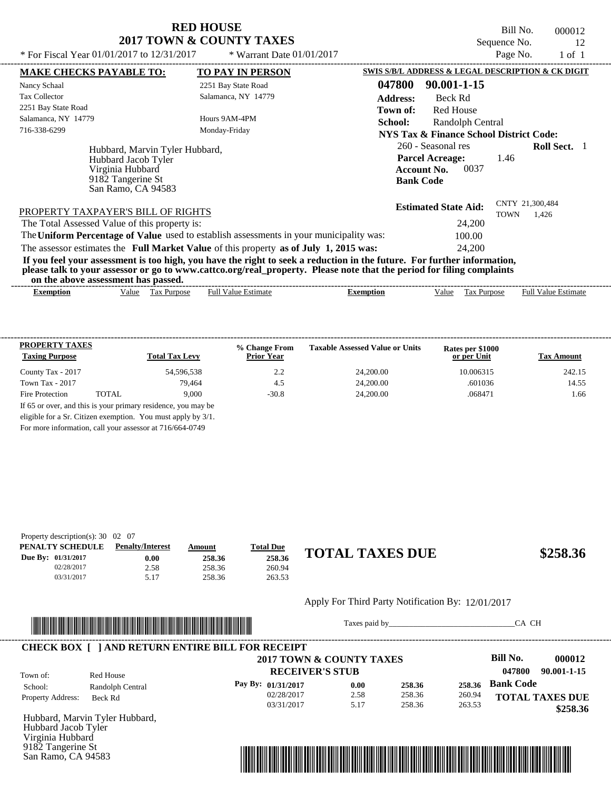Bill No. 000012 Sequence No. 12

| * For Fiscal Year $01/01/2017$ to $12/31/2017$                                                                       | * Warrant Date 01/01/2017                                                                                                                                                                                                                        | Page No.<br>1 of 1                                                                                                            |
|----------------------------------------------------------------------------------------------------------------------|--------------------------------------------------------------------------------------------------------------------------------------------------------------------------------------------------------------------------------------------------|-------------------------------------------------------------------------------------------------------------------------------|
| <b>MAKE CHECKS PAYABLE TO:</b>                                                                                       | <b>TO PAY IN PERSON</b>                                                                                                                                                                                                                          | SWIS S/B/L ADDRESS & LEGAL DESCRIPTION & CK DIGIT                                                                             |
| Nancy Schaal                                                                                                         | 2251 Bay State Road                                                                                                                                                                                                                              | 047800<br>90.001-1-15                                                                                                         |
| <b>Tax Collector</b>                                                                                                 | Salamanca, NY 14779                                                                                                                                                                                                                              | <b>Address:</b><br>Beck Rd                                                                                                    |
| 2251 Bay State Road                                                                                                  |                                                                                                                                                                                                                                                  | Red House<br>Town of:                                                                                                         |
| Salamanca, NY 14779                                                                                                  | Hours 9AM-4PM                                                                                                                                                                                                                                    | <b>School:</b><br>Randolph Central                                                                                            |
| 716-338-6299                                                                                                         | Monday-Friday                                                                                                                                                                                                                                    | <b>NYS Tax &amp; Finance School District Code:</b>                                                                            |
| Hubbard, Marvin Tyler Hubbard,<br>Hubbard Jacob Tyler<br>Virginia Hubbard<br>9182 Tangerine St<br>San Ramo, CA 94583 |                                                                                                                                                                                                                                                  | 260 - Seasonal res<br><b>Roll Sect.</b> 1<br><b>Parcel Acreage:</b><br>1.46<br>0037<br><b>Account No.</b><br><b>Bank Code</b> |
| PROPERTY TAXPAYER'S BILL OF RIGHTS<br>The Total Assessed Value of this property is:                                  |                                                                                                                                                                                                                                                  | CNTY 21,300,484<br><b>Estimated State Aid:</b><br>TOWN<br>1,426<br>24,200                                                     |
|                                                                                                                      | The Uniform Percentage of Value used to establish assessments in your municipality was:                                                                                                                                                          | 100.00                                                                                                                        |
|                                                                                                                      | The assessor estimates the Full Market Value of this property as of July 1, 2015 was:                                                                                                                                                            | 24,200                                                                                                                        |
| on the above assessment has passed.                                                                                  | If you feel your assessment is too high, you have the right to seek a reduction in the future. For further information,<br>please talk to your assessor or go to www.cattco.org/real_property. Please note that the period for filing complaints |                                                                                                                               |

| Full $V$<br>√alue<br>alue<br>Purpose<br>Estimate<br>ax:<br>Estimate<br>Ful<br>Value<br>Purpose<br>Exemption<br>Exemption<br>٦1Α<br>1 U.A | ----- | ,,,,<br>ww | . азэсээнісні наз базэса. |  |  | -------------- |
|------------------------------------------------------------------------------------------------------------------------------------------|-------|------------|---------------------------|--|--|----------------|
|                                                                                                                                          |       |            |                           |  |  |                |

| <b>PROPERTY TAXES</b><br><b>Taxing Purpose</b> |       | <b>Total Tax Levy</b> | % Change From<br><b>Prior Year</b> | <b>Taxable Assessed Value or Units</b> | Rates per \$1000<br>or per Unit | <b>Tax Amount</b> |
|------------------------------------------------|-------|-----------------------|------------------------------------|----------------------------------------|---------------------------------|-------------------|
| County Tax - 2017                              |       | 54,596,538            | 2.2                                | 24,200.00                              | 10.006315                       | 242.15            |
| Town Tax - 2017                                |       | 79.464                | 4.5                                | 24,200.00                              | .601036                         | 14.55             |
| Fire Protection                                | TOTAL | 9.000                 | $-30.8$                            | 24,200.00                              | .068471                         | 1.66              |

For more information, call your assessor at 716/664-0749

| Property description(s): $30 \quad 02 \quad 07$ |                         |        |                  |                        |          |
|-------------------------------------------------|-------------------------|--------|------------------|------------------------|----------|
| PENALTY SCHEDULE                                | <b>Penalty/Interest</b> | Amount | <u>Total Due</u> |                        |          |
| Due By: 01/31/2017                              | 0.00                    | 258.36 | 258.36           | <b>TOTAL TAXES DUE</b> | \$258.36 |
| 02/28/2017                                      | 2.58                    | 258.36 | 260.94           |                        |          |
| 03/31/2017                                      | 5.17                    | 258.36 | 263.53           |                        |          |

#### Apply For Third Party Notification By: 12/01/2017



Taxes paid by\_\_\_\_\_\_\_\_\_\_\_\_\_\_\_\_\_\_\_\_\_\_\_\_\_\_\_\_\_\_\_CA CH

|                          |                  | 2017 TOWN & COUNTY TAXES |                        |        |        | Bill No.<br>000012     |
|--------------------------|------------------|--------------------------|------------------------|--------|--------|------------------------|
| Town of:                 | Red House        |                          | <b>RECEIVER'S STUB</b> |        |        | 047800<br>90.001-1-15  |
| School:                  | Randolph Central | Pay By: $01/31/2017$     | 0.00                   | 258.36 | 258.36 | <b>Bank Code</b>       |
| <b>Property Address:</b> | Beck Rd          | 02/28/2017               | 2.58                   | 258.36 | 260.94 | <b>TOTAL TAXES DUE</b> |
|                          |                  | 03/31/2017               | 5.17                   | 258.36 | 263.53 | \$258.36               |

Hubbard, Marvin Tyler Hubbard, Hubbard Jacob Tyler Virginia Hubbard 9182 Tangerine St San Ramo, CA 94583

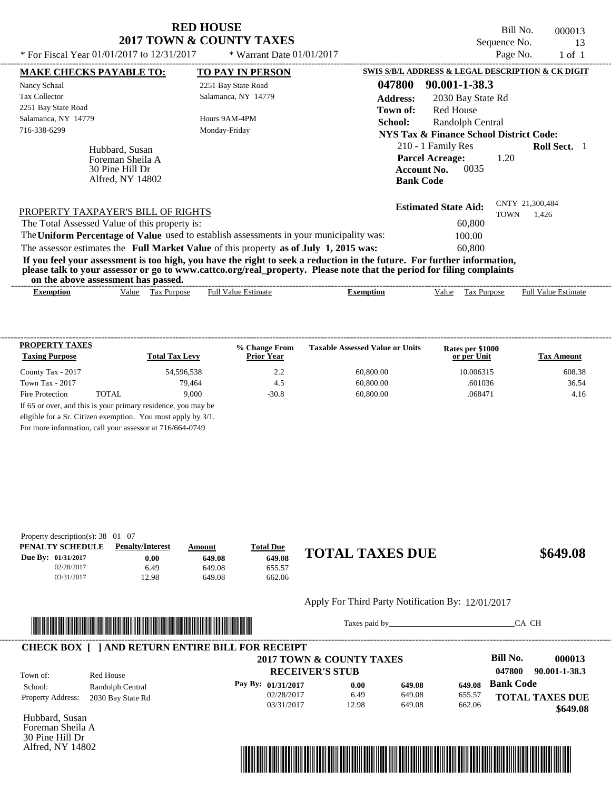Bill No. 000013 Sequence No. 13

| * For Fiscal Year $01/01/2017$ to $12/31/2017$                                                                                                                                                                                                                                          | * Warrant Date $01/01/2017$ |                                                   |                                                                                        |                   | Page No.    | $1$ of $1$                 |  |
|-----------------------------------------------------------------------------------------------------------------------------------------------------------------------------------------------------------------------------------------------------------------------------------------|-----------------------------|---------------------------------------------------|----------------------------------------------------------------------------------------|-------------------|-------------|----------------------------|--|
| <b>MAKE CHECKS PAYABLE TO:</b>                                                                                                                                                                                                                                                          | <b>TO PAY IN PERSON</b>     | SWIS S/B/L ADDRESS & LEGAL DESCRIPTION & CK DIGIT |                                                                                        |                   |             |                            |  |
| Nancy Schaal                                                                                                                                                                                                                                                                            | 2251 Bay State Road         | 047800                                            | 90.001-1-38.3                                                                          |                   |             |                            |  |
| <b>Tax Collector</b>                                                                                                                                                                                                                                                                    | Salamanca, NY 14779         | <b>Address:</b>                                   |                                                                                        | 2030 Bay State Rd |             |                            |  |
| 2251 Bay State Road                                                                                                                                                                                                                                                                     |                             | Town of:                                          | Red House                                                                              |                   |             |                            |  |
| Salamanca, NY 14779                                                                                                                                                                                                                                                                     | Hours 9AM-4PM               | School:                                           |                                                                                        | Randolph Central  |             |                            |  |
| 716-338-6299                                                                                                                                                                                                                                                                            | Monday-Friday               |                                                   | NYS Tax & Finance School District Code:                                                |                   |             |                            |  |
| Hubbard, Susan<br>Foreman Sheila A<br>30 Pine Hill Dr<br>Alfred, NY 14802                                                                                                                                                                                                               |                             |                                                   | 210 - 1 Family Res<br><b>Parcel Acreage:</b><br><b>Account No.</b><br><b>Bank Code</b> | 0035              | 1.20        | <b>Roll Sect.</b>          |  |
| PROPERTY TAXPAYER'S BILL OF RIGHTS                                                                                                                                                                                                                                                      |                             |                                                   | <b>Estimated State Aid:</b>                                                            |                   | <b>TOWN</b> | CNTY 21,300,484<br>1.426   |  |
| The Total Assessed Value of this property is:                                                                                                                                                                                                                                           |                             |                                                   |                                                                                        | 60,800            |             |                            |  |
| The Uniform Percentage of Value used to establish assessments in your municipality was:                                                                                                                                                                                                 |                             |                                                   |                                                                                        | 100.00            |             |                            |  |
| The assessor estimates the Full Market Value of this property as of July 1, 2015 was:                                                                                                                                                                                                   |                             |                                                   |                                                                                        | 60,800            |             |                            |  |
| If you feel your assessment is too high, you have the right to seek a reduction in the future. For further information,<br>please talk to your assessor or go to www.cattco.org/real_property. Please note that the period for filing complaints<br>on the above assessment has passed. |                             |                                                   |                                                                                        |                   |             |                            |  |
| Tax Purpose<br><b>Exemption</b><br>Value                                                                                                                                                                                                                                                | <b>Full Value Estimate</b>  | <b>Exemption</b>                                  | Value                                                                                  | Tax Purpose       |             | <b>Full Value Estimate</b> |  |

| <b>PROPERTY TAXES</b><br><b>Taxing Purpose</b> |       | <b>Total Tax Levy</b> | % Change From<br><b>Prior Year</b> | <b>Taxable Assessed Value or Units</b> | Rates per \$1000<br>or per Unit | <b>Tax Amount</b> |
|------------------------------------------------|-------|-----------------------|------------------------------------|----------------------------------------|---------------------------------|-------------------|
| County Tax - 2017                              |       | 54.596.538            | 2.2                                | 60,800.00                              | 10.006315                       | 608.38            |
| Town Tax - 2017                                |       | 79.464                | 4.5                                | 60,800.00                              | .601036                         | 36.54             |
| Fire Protection                                | TOTAL | 9.000                 | $-30.8$                            | 60,800.00                              | .068471                         | 4.16              |

For more information, call your assessor at 716/664-0749

| Property description(s): $38 \quad 01 \quad 07$ |                         |        |                  |                        |          |
|-------------------------------------------------|-------------------------|--------|------------------|------------------------|----------|
| PENALTY SCHEDULE                                | <b>Penalty/Interest</b> | Amount | <b>Total Due</b> |                        |          |
| Due By: 01/31/2017                              | 0.00                    | 649.08 | 649.08           | <b>TOTAL TAXES DUE</b> | \$649.08 |
| 02/28/2017                                      | 6.49                    | 649.08 | 655.57           |                        |          |
| 03/31/2017                                      | 12.98                   | 649.08 | 662.06           |                        |          |

#### Apply For Third Party Notification By: 12/01/2017



Taxes paid by\_\_\_\_\_\_\_\_\_\_\_\_\_\_\_\_\_\_\_\_\_\_\_\_\_\_\_\_\_\_\_CA CH

|                          |                   | <b>CHECK BOX [ ] AND RETURN ENTIRE BILL FOR RECEIPT</b> |                        |        |        |                        |               |
|--------------------------|-------------------|---------------------------------------------------------|------------------------|--------|--------|------------------------|---------------|
|                          |                   | 2017 TOWN & COUNTY TAXES                                |                        |        |        | Bill No.               | 000013        |
| Town of:                 | Red House         |                                                         | <b>RECEIVER'S STUB</b> |        |        | 047800                 | 90.001-1-38.3 |
| School:                  | Randolph Central  | Pay By: 01/31/2017                                      | 0.00                   | 649.08 | 649.08 | <b>Bank Code</b>       |               |
| <b>Property Address:</b> | 2030 Bay State Rd | 02/28/2017                                              | 6.49                   | 649.08 | 655.57 | <b>TOTAL TAXES DUE</b> |               |
|                          |                   | 03/31/2017                                              | 12.98                  | 649.08 | 662.06 |                        | \$649.08      |

Hubbard, Susan Foreman Sheila A 30 Pine Hill Dr Alfred, NY 14802

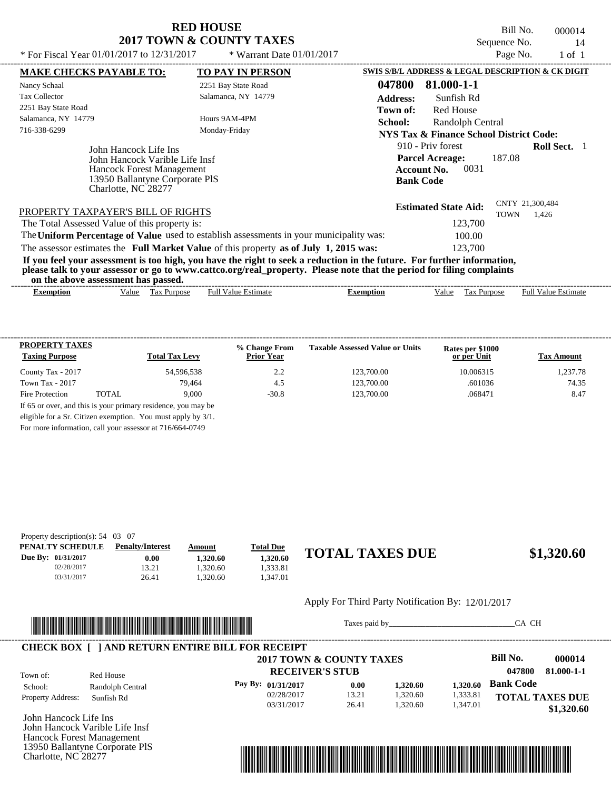Bill No. 000014 Sequence No. 14

| * For Fiscal Year 01/01/2017 to 12/31/2017                                       | * Warrant Date $01/01/2017$                                                             |                                                                                                                                                                                                                                                  | Page No.<br>1 of 1                                 |  |  |
|----------------------------------------------------------------------------------|-----------------------------------------------------------------------------------------|--------------------------------------------------------------------------------------------------------------------------------------------------------------------------------------------------------------------------------------------------|----------------------------------------------------|--|--|
| <b>MAKE CHECKS PAYABLE TO:</b>                                                   | <b>TO PAY IN PERSON</b>                                                                 | SWIS S/B/L ADDRESS & LEGAL DESCRIPTION & CK DIGIT                                                                                                                                                                                                |                                                    |  |  |
| Nancy Schaal                                                                     | 2251 Bay State Road                                                                     | 047800<br>81.000-1-1                                                                                                                                                                                                                             |                                                    |  |  |
| <b>Tax Collector</b>                                                             | Salamanca, NY 14779                                                                     | <b>Address:</b><br>Sunfish Rd                                                                                                                                                                                                                    |                                                    |  |  |
| 2251 Bay State Road                                                              |                                                                                         | <b>Red House</b><br>Town of:                                                                                                                                                                                                                     |                                                    |  |  |
| Salamanca, NY 14779                                                              | Hours 9AM-4PM                                                                           | School:<br>Randolph Central                                                                                                                                                                                                                      |                                                    |  |  |
| 716-338-6299                                                                     | Monday-Friday                                                                           |                                                                                                                                                                                                                                                  | <b>NYS Tax &amp; Finance School District Code:</b> |  |  |
| John Hancock Life Ins<br><b>Hancock Forest Management</b><br>Charlotte, NC 28277 | John Hancock Varible Life Insf<br>13950 Ballantyne Corporate PIS                        | 910 - Priv forest<br><b>Parcel Acreage:</b><br>0031<br><b>Account No.</b><br><b>Bank Code</b>                                                                                                                                                    | <b>Roll Sect.</b> 1<br>187.08                      |  |  |
| PROPERTY TAXPAYER'S BILL OF RIGHTS                                               |                                                                                         | <b>Estimated State Aid:</b>                                                                                                                                                                                                                      | CNTY 21,300,484<br><b>TOWN</b><br>1.426            |  |  |
| The Total Assessed Value of this property is:                                    |                                                                                         | 123,700                                                                                                                                                                                                                                          |                                                    |  |  |
|                                                                                  | The Uniform Percentage of Value used to establish assessments in your municipality was: | 100.00                                                                                                                                                                                                                                           |                                                    |  |  |
|                                                                                  | The assessor estimates the Full Market Value of this property as of July 1, 2015 was:   | 123,700                                                                                                                                                                                                                                          |                                                    |  |  |
| on the above assessment has passed.                                              |                                                                                         | If you feel your assessment is too high, you have the right to seek a reduction in the future. For further information,<br>please talk to your assessor or go to www.cattco.org/real_property. Please note that the period for filing complaints |                                                    |  |  |
| <b>Exemption</b>                                                                 | <b>Full Value Estimate</b><br>Value Tax Purpose                                         | Tax Purpose<br><b>Exemption</b><br>Value                                                                                                                                                                                                         | <b>Full Value Estimate</b>                         |  |  |

| <b>PROPERTY TAXES</b><br><b>Taxing Purpose</b> |       | <b>Total Tax Levy</b> | % Change From<br><b>Prior Year</b> | <b>Taxable Assessed Value or Units</b> | Rates per \$1000<br>or per Unit | <b>Tax Amount</b> |
|------------------------------------------------|-------|-----------------------|------------------------------------|----------------------------------------|---------------------------------|-------------------|
| County Tax - 2017                              |       | 54,596,538            | 2.2                                | 123,700.00                             | 10.006315                       | 1.237.78          |
| Town Tax - 2017                                |       | 79.464                | 4.5                                | 123,700.00                             | .601036                         | 74.35             |
| Fire Protection                                | TOTAL | 9.000                 | $-30.8$                            | 123,700.00                             | .068471                         | 8.47              |

For more information, call your assessor at 716/664-0749

| Property description(s): $54 \quad 03 \quad 07$ |                         |          |                  |                        |            |
|-------------------------------------------------|-------------------------|----------|------------------|------------------------|------------|
| PENALTY SCHEDULE                                | <b>Penalty/Interest</b> | Amount   | <u>Total Due</u> |                        |            |
| Due By: 01/31/2017                              | 0.00                    | 1.320.60 | 1.320.60         | <b>TOTAL TAXES DUE</b> | \$1,320.60 |
| 02/28/2017                                      | 13.21                   | .320.60  | .333.81          |                        |            |
| 03/31/2017                                      | 26.41                   | .320.60  | .347.01          |                        |            |

#### Apply For Third Party Notification By: 12/01/2017



Taxes paid by\_\_\_\_\_\_\_\_\_\_\_\_\_\_\_\_\_\_\_\_\_\_\_\_\_\_\_\_\_\_\_CA CH

| Town of:                 | Red House        | 2017 TOWN & COUNTY TAXES<br><b>RECEIVER'S STUB</b> |       |          |          | Bill No.<br>047800     | 000014<br>81.000-1-1 |
|--------------------------|------------------|----------------------------------------------------|-------|----------|----------|------------------------|----------------------|
| School:                  | Randolph Central | Pay By: $01/31/2017$                               | 0.00  | 1,320.60 | 1.320.60 | <b>Bank Code</b>       |                      |
| <b>Property Address:</b> | Sunfish Rd       | 02/28/2017                                         | 13.21 | 1,320.60 | 1,333.81 | <b>TOTAL TAXES DUE</b> |                      |
|                          |                  | 03/31/2017                                         | 26.41 | 1.320.60 | 1.347.01 |                        | \$1,320.60           |

John Hancock Life Ins John Hancock Varible Life Insf Hancock Forest Management 13950 Ballantyne Corporate PlS Charlotte, NC 28277

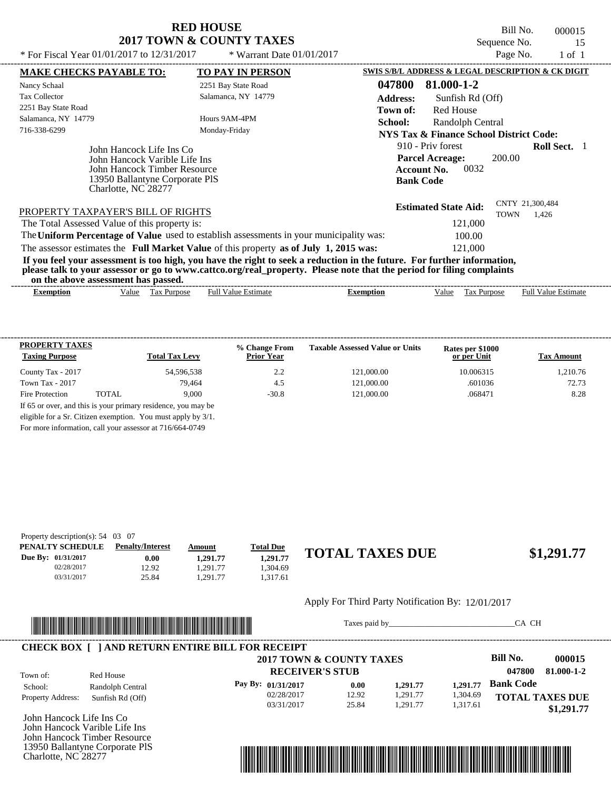Bill No. 000015 Sequence No. 15<br>Page No. 1 of 1

| * For Fiscal Year 01/01/2017 to 12/31/2017                                                                                                                                       | * Warrant Date $01/01/2017$ | Page No.                                                                                                                                                                                                                                         | $1$ of $1$ |
|----------------------------------------------------------------------------------------------------------------------------------------------------------------------------------|-----------------------------|--------------------------------------------------------------------------------------------------------------------------------------------------------------------------------------------------------------------------------------------------|------------|
| <b>MAKE CHECKS PAYABLE TO:</b>                                                                                                                                                   | <b>TO PAY IN PERSON</b>     | SWIS S/B/L ADDRESS & LEGAL DESCRIPTION & CK DIGIT                                                                                                                                                                                                |            |
| Nancy Schaal                                                                                                                                                                     | 2251 Bay State Road         | 81.000-1-2<br>047800                                                                                                                                                                                                                             |            |
| <b>Tax Collector</b>                                                                                                                                                             | Salamanca, NY 14779         | <b>Address:</b><br>Sunfish Rd (Off)                                                                                                                                                                                                              |            |
| 2251 Bay State Road                                                                                                                                                              |                             | <b>Red House</b><br>Town of:                                                                                                                                                                                                                     |            |
| Salamanca, NY 14779                                                                                                                                                              | Hours 9AM-4PM               | School:<br>Randolph Central                                                                                                                                                                                                                      |            |
| 716-338-6299                                                                                                                                                                     | Monday-Friday               | NYS Tax & Finance School District Code:                                                                                                                                                                                                          |            |
| John Hancock Life Ins Co<br>John Hancock Varible Life Ins<br>John Hancock Timber Resource<br>13950 Ballantyne Corporate PIS<br>Charlotte, NC 28277                               |                             | 910 - Priv forest<br><b>Roll Sect.</b><br><b>Parcel Acreage:</b><br>200.00<br>0032<br><b>Account No.</b><br><b>Bank Code</b>                                                                                                                     |            |
| PROPERTY TAXPAYER'S BILL OF RIGHTS<br>The Total Assessed Value of this property is:                                                                                              |                             | CNTY 21,300,484<br><b>Estimated State Aid:</b><br><b>TOWN</b><br>1,426<br>121,000                                                                                                                                                                |            |
| The Uniform Percentage of Value used to establish assessments in your municipality was:<br>The assessor estimates the Full Market Value of this property as of July 1, 2015 was: |                             | 100.00<br>121,000                                                                                                                                                                                                                                |            |
| on the above assessment has passed.                                                                                                                                              |                             | If you feel your assessment is too high, you have the right to seek a reduction in the future. For further information,<br>please talk to your assessor or go to www.cattco.org/real_property. Please note that the period for filing complaints |            |
| Value Tax Purpose<br><b>Exemption</b>                                                                                                                                            | <b>Full Value Estimate</b>  | <b>Full Value Estimate</b><br>Tax Purpose<br><b>Exemption</b><br>Value                                                                                                                                                                           |            |

| <b>PROPERTY TAXES</b><br><b>Taxing Purpose</b> |       | <b>Total Tax Levy</b> | % Change From<br><b>Prior Year</b> | <b>Taxable Assessed Value or Units</b> | Rates per \$1000<br>or per Unit | <b>Tax Amount</b> |
|------------------------------------------------|-------|-----------------------|------------------------------------|----------------------------------------|---------------------------------|-------------------|
| County Tax - 2017                              |       | 54.596.538            | 2.2                                | 121,000.00                             | 10.006315                       | 1.210.76          |
| Town Tax - 2017                                |       | 79.464                | 4.5                                | 121,000.00                             | .601036                         | 72.73             |
| Fire Protection                                | TOTAL | 9.000                 | $-30.8$                            | 121,000.00                             | .068471                         | 8.28              |

For more information, call your assessor at 716/664-0749

| Property description(s): $54 \quad 03 \quad 07$ |                         |          |                  |                        |            |
|-------------------------------------------------|-------------------------|----------|------------------|------------------------|------------|
| PENALTY SCHEDULE                                | <b>Penalty/Interest</b> | Amount   | <b>Total Due</b> |                        |            |
| Due By: 01/31/2017                              | $0.00\,$                | 1,291.77 | 1.291.77         | <b>TOTAL TAXES DUE</b> | \$1,291.77 |
| 02/28/2017                                      | 12.92                   | .291.77  | .304.69          |                        |            |
| 03/31/2017                                      | 25.84                   | .291.77  | 1.317.61         |                        |            |

#### Apply For Third Party Notification By: 12/01/2017



Taxes paid by\_\_\_\_\_\_\_\_\_\_\_\_\_\_\_\_\_\_\_\_\_\_\_\_\_\_\_\_\_\_\_CA CH

|                          |                  | 2017 TOWN & COUNTY TAXES |       |          |          | <b>Bill No.</b>        | 000015     |
|--------------------------|------------------|--------------------------|-------|----------|----------|------------------------|------------|
| Town of:                 | Red House        | <b>RECEIVER'S STUB</b>   |       |          |          | 047800                 | 81.000-1-2 |
| School:                  | Randolph Central | Pay By: $01/31/2017$     | 0.00  | 1.291.77 | 1.291.77 | <b>Bank Code</b>       |            |
| <b>Property Address:</b> | Sunfish Rd (Off) | 02/28/2017               | 12.92 | 1.291.77 | 1,304.69 | <b>TOTAL TAXES DUE</b> |            |
|                          |                  | 03/31/2017               | 25.84 | 1.291.77 | 1,317.61 |                        | \$1,291.77 |

John Hancock Life Ins Co John Hancock Varible Life Ins John Hancock Timber Resource 13950 Ballantyne Corporate PlS Charlotte, NC 28277

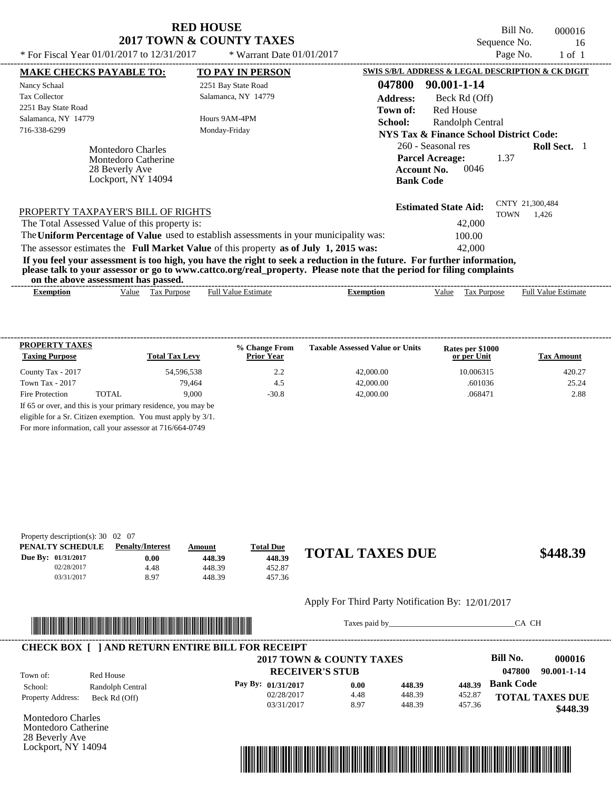Bill No. 000016 Sequence No. 16<br>Page No. 1 of 1

| * For Fiscal Year $01/01/2017$ to $12/31/2017$ |                                                                                  | * Warrant Date $01/01/2017$                                                             |                                                                                                                                                                                                                                                  |                                                                                        |                                         | Page No.                       | $1$ of $1$                 |  |
|------------------------------------------------|----------------------------------------------------------------------------------|-----------------------------------------------------------------------------------------|--------------------------------------------------------------------------------------------------------------------------------------------------------------------------------------------------------------------------------------------------|----------------------------------------------------------------------------------------|-----------------------------------------|--------------------------------|----------------------------|--|
| <b>MAKE CHECKS PAYABLE TO:</b>                 |                                                                                  | <b>TO PAY IN PERSON</b>                                                                 | SWIS S/B/L ADDRESS & LEGAL DESCRIPTION & CK DIGIT                                                                                                                                                                                                |                                                                                        |                                         |                                |                            |  |
| Nancy Schaal                                   |                                                                                  | 2251 Bay State Road                                                                     | 047800                                                                                                                                                                                                                                           | 90.001-1-14                                                                            |                                         |                                |                            |  |
| <b>Tax Collector</b>                           |                                                                                  | Salamanca, NY 14779                                                                     | <b>Address:</b>                                                                                                                                                                                                                                  |                                                                                        | Beck Rd (Off)                           |                                |                            |  |
| 2251 Bay State Road                            |                                                                                  |                                                                                         | Town of:                                                                                                                                                                                                                                         | Red House                                                                              |                                         |                                |                            |  |
| Salamanca, NY 14779                            |                                                                                  | Hours 9AM-4PM                                                                           | School:                                                                                                                                                                                                                                          |                                                                                        | Randolph Central                        |                                |                            |  |
| 716-338-6299                                   |                                                                                  | Monday-Friday                                                                           |                                                                                                                                                                                                                                                  |                                                                                        | NYS Tax & Finance School District Code: |                                |                            |  |
|                                                | Montedoro Charles<br>Montedoro Catherine<br>28 Beverly Ave<br>Lockport, NY 14094 |                                                                                         |                                                                                                                                                                                                                                                  | 260 - Seasonal res<br><b>Parcel Acreage:</b><br><b>Account No.</b><br><b>Bank Code</b> | 0046                                    | 1.37                           | <b>Roll Sect.</b>          |  |
| PROPERTY TAXPAYER'S BILL OF RIGHTS             |                                                                                  |                                                                                         |                                                                                                                                                                                                                                                  | <b>Estimated State Aid:</b>                                                            |                                         | CNTY 21,300,484<br><b>TOWN</b> | 1.426                      |  |
| The Total Assessed Value of this property is:  |                                                                                  |                                                                                         |                                                                                                                                                                                                                                                  |                                                                                        | 42,000                                  |                                |                            |  |
|                                                |                                                                                  | The Uniform Percentage of Value used to establish assessments in your municipality was: |                                                                                                                                                                                                                                                  |                                                                                        | 100.00                                  |                                |                            |  |
|                                                |                                                                                  | The assessor estimates the Full Market Value of this property as of July 1, 2015 was:   |                                                                                                                                                                                                                                                  |                                                                                        | 42,000                                  |                                |                            |  |
| on the above assessment has passed.            |                                                                                  |                                                                                         | If you feel your assessment is too high, you have the right to seek a reduction in the future. For further information,<br>please talk to your assessor or go to www.cattco.org/real_property. Please note that the period for filing complaints |                                                                                        |                                         |                                |                            |  |
| <b>Exemption</b>                               | Tax Purpose<br>Value                                                             | <b>Full Value Estimate</b>                                                              | <b>Exemption</b>                                                                                                                                                                                                                                 | Value                                                                                  | Tax Purpose                             |                                | <b>Full Value Estimate</b> |  |

| <b>PROPERTY TAXES</b><br><b>Taxing Purpose</b> |       | <b>Total Tax Levy</b> | % Change From<br><b>Prior Year</b> | <b>Taxable Assessed Value or Units</b> | Rates per \$1000<br>or per Unit | <b>Tax Amount</b> |
|------------------------------------------------|-------|-----------------------|------------------------------------|----------------------------------------|---------------------------------|-------------------|
| County Tax - 2017                              |       | 54.596.538            | 2.2                                | 42,000.00                              | 10.006315                       | 420.27            |
| Town Tax - 2017                                |       | 79.464                | 4.5                                | 42,000.00                              | .601036                         | 25.24             |
| Fire Protection                                | TOTAL | 9.000                 | $-30.8$                            | 42,000.00                              | .068471                         | 2.88              |

For more information, call your assessor at 716/664-0749

| Property description(s): $30 \quad 02 \quad 07$ |                         |        |                  |                        |          |
|-------------------------------------------------|-------------------------|--------|------------------|------------------------|----------|
| PENALTY SCHEDULE                                | <b>Penalty/Interest</b> | Amount | <b>Total Due</b> |                        |          |
| Due By: 01/31/2017                              | $0.00\,$                | 448.39 | 448.39           | <b>TOTAL TAXES DUE</b> | \$448.39 |
| 02/28/2017                                      | 4.48                    | 448.39 | 452.87           |                        |          |
| 03/31/2017                                      | 8.97                    | 448.39 | 457.36           |                        |          |

#### Apply For Third Party Notification By: 12/01/2017



Taxes paid by\_\_\_\_\_\_\_\_\_\_\_\_\_\_\_\_\_\_\_\_\_\_\_\_\_\_\_\_\_\_\_CA CH

|                          |                  | 2017 TOWN & COUNTY TAXES |      |        |        | Bill No.<br>000016     |
|--------------------------|------------------|--------------------------|------|--------|--------|------------------------|
| Town of:                 | Red House        | <b>RECEIVER'S STUB</b>   |      |        |        | 047800<br>90.001-1-14  |
| School:                  | Randolph Central | Pay By: 01/31/2017       | 0.00 | 448.39 | 448.39 | <b>Bank Code</b>       |
| <b>Property Address:</b> | Beck Rd (Off)    | 02/28/2017               | 4.48 | 448.39 | 452.87 | <b>TOTAL TAXES DUE</b> |
|                          |                  | 03/31/2017               | 8.97 | 448.39 | 457.36 | \$448.39               |

Montedoro Charles Montedoro Catherine 28 Beverly Ave Lockport, NY 14094

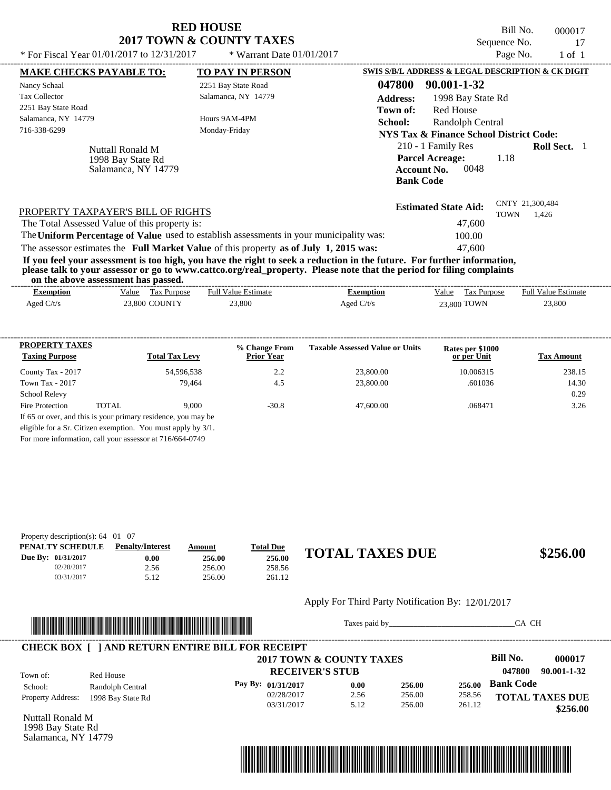| * For Fiscal Year $01/01/2017$ to $12/31/2017$                                                                                                                                                       | <b>RED HOUSE</b><br><b>2017 TOWN &amp; COUNTY TAXES</b><br>* Warrant Date $01/01/2017$                                                                                           | Bill No.<br>000017<br>Sequence No.<br>17<br>Page No.<br>$1$ of $1$                                                                                                                                                                                                                                                                                            |
|------------------------------------------------------------------------------------------------------------------------------------------------------------------------------------------------------|----------------------------------------------------------------------------------------------------------------------------------------------------------------------------------|---------------------------------------------------------------------------------------------------------------------------------------------------------------------------------------------------------------------------------------------------------------------------------------------------------------------------------------------------------------|
| <b>MAKE CHECKS PAYABLE TO:</b><br>Nancy Schaal<br><b>Tax Collector</b><br>2251 Bay State Road<br>Salamanca, NY 14779<br>716-338-6299<br>Nuttall Ronald M<br>1998 Bay State Rd<br>Salamanca, NY 14779 | <b>TO PAY IN PERSON</b><br>2251 Bay State Road<br>Salamanca, NY 14779<br>Hours 9AM-4PM<br>Monday-Friday                                                                          | SWIS S/B/L ADDRESS & LEGAL DESCRIPTION & CK DIGIT<br>047800<br>90.001-1-32<br><b>Address:</b><br>1998 Bay State Rd<br><b>Red House</b><br>Town of:<br>School:<br>Randolph Central<br>NYS Tax & Finance School District Code:<br>210 - 1 Family Res<br><b>Roll Sect.</b> 1<br><b>Parcel Acreage:</b><br>1.18<br>0048<br><b>Account No.</b><br><b>Bank Code</b> |
| PROPERTY TAXPAYER'S BILL OF RIGHTS<br>The Total Assessed Value of this property is:                                                                                                                  | The Uniform Percentage of Value used to establish assessments in your municipality was:<br>The assessor estimates the Full Market Value of this property as of July 1, 2015 was: | CNTY 21,300,484<br><b>Estimated State Aid:</b><br>TOWN<br>1,426<br>47,600<br>100.00<br>47,600                                                                                                                                                                                                                                                                 |

**If you feel your assessment is too high, you have the right to seek a reduction in the future. For further information, please talk to your assessor or go to www.cattco.org/real\_property. Please note that the period for filing complaints on the above assessment has passed.** ----------------------------------------------------------------------------------------------------------------------------------------------------------------------------------------------------

| <b>Exemption</b> | Value<br><b>Tax Purpose</b> | <b>Full Value Estimate</b> | <b>Exemption</b> | Value<br><b>Tax Purpose</b> | <b>Full Value Estimate</b> |  |
|------------------|-----------------------------|----------------------------|------------------|-----------------------------|----------------------------|--|
| Aged $C/t/s$     | <b>23,800 COUNTY</b>        | 23,800                     | Aged $C/t/s$     | 23.800 TOWN                 | 23,800                     |  |
|                  |                             |                            |                  |                             |                            |  |
|                  |                             |                            |                  |                             |                            |  |

| <b>PROPERTY TAXES</b><br><b>Taxing Purpose</b> |       | <b>Total Tax Levy</b>                                                                                                         | % Change From<br><b>Prior Year</b> | <b>Taxable Assessed Value or Units</b> | Rates per \$1000<br>or per Unit | <b>Tax Amount</b> |
|------------------------------------------------|-------|-------------------------------------------------------------------------------------------------------------------------------|------------------------------------|----------------------------------------|---------------------------------|-------------------|
| County Tax - 2017                              |       | 54,596,538                                                                                                                    | 2.2                                | 23,800.00                              | 10.006315                       | 238.15            |
| Town Tax - 2017                                |       | 79.464                                                                                                                        | 4.5                                | 23,800.00                              | .601036                         | 14.30             |
| <b>School Relevy</b>                           |       |                                                                                                                               |                                    |                                        |                                 | 0.29              |
| Fire Protection                                | TOTAL | 9.000                                                                                                                         | $-30.8$                            | 47,600.00                              | .068471                         | 3.26              |
|                                                |       | If 65 or over, and this is your primary residence, you may be<br>eligible for a Sr. Citizen exemption. You must apply by 3/1. |                                    |                                        |                                 |                   |

For more information, call your assessor at 716/664-0749

| Property description(s): $64 \quad 01 \quad 07$ |                         |        |                  |                        |          |
|-------------------------------------------------|-------------------------|--------|------------------|------------------------|----------|
| PENALTY SCHEDULE                                | <b>Penalty/Interest</b> | Amount | <b>Total Due</b> |                        |          |
| Due By: 01/31/2017                              | 0.00                    | 256.00 | 256.00           | <b>TOTAL TAXES DUE</b> | \$256.00 |
| 02/28/2017                                      | 2.56                    | 256.00 | 258.56           |                        |          |
| 03/31/2017                                      | 5.12                    | 256.00 | 261.12           |                        |          |

#### Apply For Third Party Notification By: 12/01/2017



Taxes paid by\_\_\_\_\_\_\_\_\_\_\_\_\_\_\_\_\_\_\_\_\_\_\_\_\_\_\_\_\_\_\_CA CH

|                          |                               | 2017 TOWN & COUNTY TAXES<br><b>RECEIVER'S STUB</b> |      |        |        | Bill No.<br>000017<br>047800<br>90.001-1-32 |
|--------------------------|-------------------------------|----------------------------------------------------|------|--------|--------|---------------------------------------------|
| Town of:<br>School:      | Red House<br>Randolph Central | Pay By: 01/31/2017                                 | 0.00 | 256.00 | 256.00 | <b>Bank Code</b>                            |
| <b>Property Address:</b> | 1998 Bay State Rd             | 02/28/2017                                         | 2.56 | 256.00 | 258.56 | <b>TOTAL TAXES DUE</b>                      |
|                          |                               | 03/31/2017                                         | 5.12 | 256.00 | 261.12 | \$256.00                                    |

Nuttall Ronald M 1998 Bay State Rd Salamanca, NY 14779

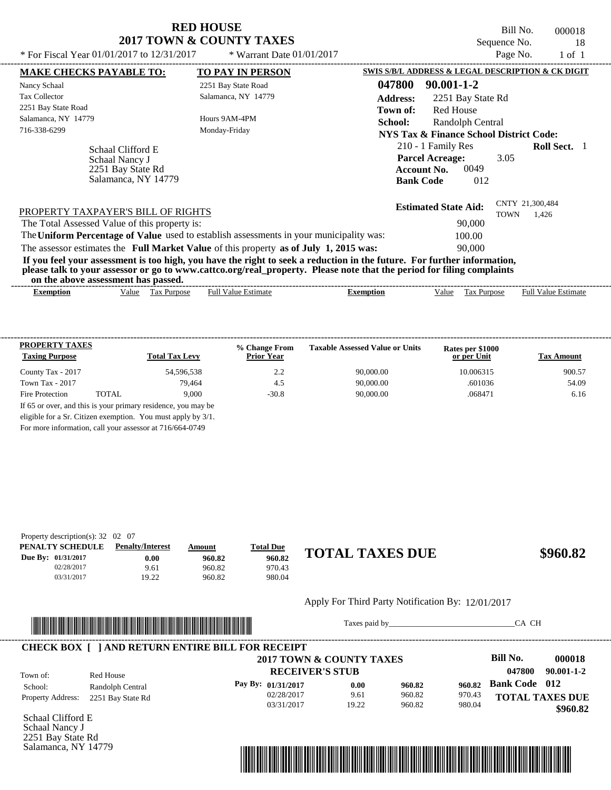Bill No. 000018 Sequence No. 18

| * For Fiscal Year 01/01/2017 to 12/31/2017                                      | * Warrant Date $01/01/2017$                                                             | Page No.<br>$1$ of $1$                                                                                                                                                                                                                           |
|---------------------------------------------------------------------------------|-----------------------------------------------------------------------------------------|--------------------------------------------------------------------------------------------------------------------------------------------------------------------------------------------------------------------------------------------------|
| <b>MAKE CHECKS PAYABLE TO:</b>                                                  | <b>TO PAY IN PERSON</b>                                                                 | SWIS S/B/L ADDRESS & LEGAL DESCRIPTION & CK DIGIT                                                                                                                                                                                                |
| Nancy Schaal                                                                    | 2251 Bay State Road                                                                     | 047800<br>$90.001 - 1 - 2$                                                                                                                                                                                                                       |
| <b>Tax Collector</b>                                                            | Salamanca, NY 14779                                                                     | <b>Address:</b><br>2251 Bay State Rd                                                                                                                                                                                                             |
| 2251 Bay State Road                                                             |                                                                                         | <b>Red House</b><br>Town of:                                                                                                                                                                                                                     |
| Salamanca, NY 14779                                                             | Hours 9AM-4PM                                                                           | School:<br>Randolph Central                                                                                                                                                                                                                      |
| 716-338-6299                                                                    | Monday-Friday                                                                           | NYS Tax & Finance School District Code:                                                                                                                                                                                                          |
| Schaal Clifford E<br>Schaal Nancy J<br>2251 Bay State Rd<br>Salamanca, NY 14779 |                                                                                         | 210 - 1 Family Res<br><b>Roll Sect.</b> 1<br><b>Parcel Acreage:</b><br>3.05<br>0049<br><b>Account No.</b><br><b>Bank Code</b><br>012                                                                                                             |
| PROPERTY TAXPAYER'S BILL OF RIGHTS                                              |                                                                                         | CNTY 21,300,484<br><b>Estimated State Aid:</b><br><b>TOWN</b><br>1,426<br>90,000                                                                                                                                                                 |
| The Total Assessed Value of this property is:                                   | The Uniform Percentage of Value used to establish assessments in your municipality was: | 100.00                                                                                                                                                                                                                                           |
|                                                                                 |                                                                                         | 90,000                                                                                                                                                                                                                                           |
|                                                                                 | The assessor estimates the Full Market Value of this property as of July 1, 2015 was:   |                                                                                                                                                                                                                                                  |
| on the above assessment has passed.                                             |                                                                                         | If you feel your assessment is too high, you have the right to seek a reduction in the future. For further information,<br>please talk to your assessor or go to www.cattco.org/real_property. Please note that the period for filing complaints |
| Value<br><b>Exemption</b>                                                       | <b>Full Value Estimate</b><br>Tax Purpose                                               | <b>Full Value Estimate</b><br>Value<br>Tax Purpose<br><b>Exemption</b>                                                                                                                                                                           |
|                                                                                 |                                                                                         |                                                                                                                                                                                                                                                  |

| <b>PROPERTY TAXES</b><br><b>Taxing Purpose</b> |       | <b>Total Tax Levy</b> | % Change From<br><b>Prior Year</b> | <b>Taxable Assessed Value or Units</b> | Rates per \$1000<br>or per Unit | <b>Tax Amount</b> |
|------------------------------------------------|-------|-----------------------|------------------------------------|----------------------------------------|---------------------------------|-------------------|
| County Tax - 2017                              |       | 54.596.538            | 2.2                                | 90,000.00                              | 10.006315                       | 900.57            |
| Town Tax - 2017                                |       | 79.464                | 4.5                                | 90,000.00                              | .601036                         | 54.09             |
| Fire Protection                                | TOTAL | 9.000                 | $-30.8$                            | 90,000.00                              | .068471                         | 6.16              |

For more information, call your assessor at 716/664-0749

| Property description(s): $32 \quad 02 \quad 07$ |                         |        |                  |                        |          |
|-------------------------------------------------|-------------------------|--------|------------------|------------------------|----------|
| PENALTY SCHEDULE                                | <b>Penalty/Interest</b> | Amount | <b>Total Due</b> |                        |          |
| Due By: 01/31/2017                              | 0.00                    | 960.82 | 960.82           | <b>TOTAL TAXES DUE</b> | \$960.82 |
| 02/28/2017                                      | 9.61                    | 960.82 | 970.43           |                        |          |
| 03/31/2017                                      | 19.22                   | 960.82 | 980.04           |                        |          |

#### Apply For Third Party Notification By: 12/01/2017



Taxes paid by\_\_\_\_\_\_\_\_\_\_\_\_\_\_\_\_\_\_\_\_\_\_\_\_\_\_\_\_\_\_\_CA CH

|                          |                   | 2017 TOWN & COUNTY TAXES |       |        |        | Bill No.             | 000018                 |
|--------------------------|-------------------|--------------------------|-------|--------|--------|----------------------|------------------------|
| Town of:                 | Red House         | <b>RECEIVER'S STUB</b>   |       |        |        | 047800               | 90.001-1-2             |
| School:                  | Randolph Central  | Pay By: $01/31/2017$     | 0.00  | 960.82 | 960.82 | <b>Bank Code</b> 012 |                        |
| <b>Property Address:</b> | 2251 Bay State Rd | 02/28/2017               | 9.61  | 960.82 | 970.43 |                      | <b>TOTAL TAXES DUE</b> |
|                          |                   | 03/31/2017               | 19.22 | 960.82 | 980.04 |                      | \$960.82               |

Schaal Clifford E Schaal Nancy J 2251 Bay State Rd Salamanca, NY 14779

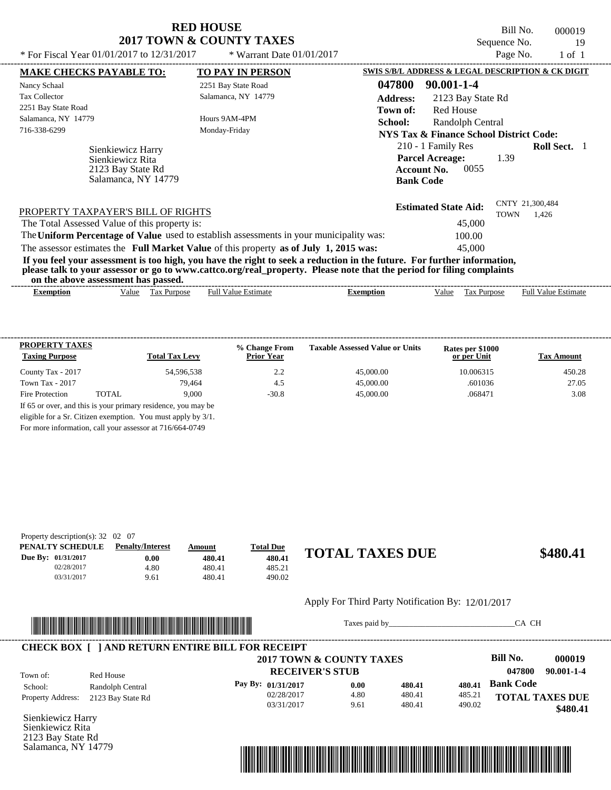Bill No. 000019 Sequence No. 19

| * For Fiscal Year $01/01/2017$ to $12/31/2017$                                                                                                                                                                                                                                          | * Warrant Date $01/01/2017$ |                  |                                                                                                | Page No.    |                            | $1$ of $1$ |
|-----------------------------------------------------------------------------------------------------------------------------------------------------------------------------------------------------------------------------------------------------------------------------------------|-----------------------------|------------------|------------------------------------------------------------------------------------------------|-------------|----------------------------|------------|
| <b>MAKE CHECKS PAYABLE TO:</b>                                                                                                                                                                                                                                                          | <b>TO PAY IN PERSON</b>     |                  | SWIS S/B/L ADDRESS & LEGAL DESCRIPTION & CK DIGIT                                              |             |                            |            |
| Nancy Schaal                                                                                                                                                                                                                                                                            | 2251 Bay State Road         | 047800           | 90.001-1-4                                                                                     |             |                            |            |
| <b>Tax Collector</b>                                                                                                                                                                                                                                                                    | Salamanca, NY 14779         | <b>Address:</b>  | 2123 Bay State Rd                                                                              |             |                            |            |
| 2251 Bay State Road                                                                                                                                                                                                                                                                     |                             | Town of:         | <b>Red House</b>                                                                               |             |                            |            |
| Salamanca, NY 14779                                                                                                                                                                                                                                                                     | Hours 9AM-4PM               | School:          | Randolph Central                                                                               |             |                            |            |
| 716-338-6299                                                                                                                                                                                                                                                                            | Monday-Friday               |                  | NYS Tax & Finance School District Code:                                                        |             |                            |            |
| Sienkiewicz Harry<br>Sienkiewicz Rita<br>2123 Bay State Rd<br>Salamanca, NY 14779                                                                                                                                                                                                       |                             |                  | 210 - 1 Family Res<br><b>Parcel Acreage:</b><br>0055<br><b>Account No.</b><br><b>Bank Code</b> | 1.39        | <b>Roll Sect.</b> 1        |            |
| PROPERTY TAXPAYER'S BILL OF RIGHTS                                                                                                                                                                                                                                                      |                             |                  | <b>Estimated State Aid:</b>                                                                    | <b>TOWN</b> | CNTY 21,300,484<br>1.426   |            |
| The Total Assessed Value of this property is:                                                                                                                                                                                                                                           |                             |                  | 45,000                                                                                         |             |                            |            |
| The Uniform Percentage of Value used to establish assessments in your municipality was:                                                                                                                                                                                                 |                             |                  | 100.00                                                                                         |             |                            |            |
| The assessor estimates the Full Market Value of this property as of July 1, 2015 was:                                                                                                                                                                                                   |                             |                  | 45,000                                                                                         |             |                            |            |
| If you feel your assessment is too high, you have the right to seek a reduction in the future. For further information,<br>please talk to your assessor or go to www.cattco.org/real_property. Please note that the period for filing complaints<br>on the above assessment has passed. |                             |                  |                                                                                                |             |                            |            |
| Tax Purpose<br><b>Exemption</b><br>Value                                                                                                                                                                                                                                                | <b>Full Value Estimate</b>  | <b>Exemption</b> | Tax Purpose<br>Value                                                                           |             | <b>Full Value Estimate</b> |            |

| <b>PROPERTY TAXES</b><br><b>Taxing Purpose</b> |       | <b>Total Tax Levy</b> | % Change From<br><b>Prior Year</b> | <b>Taxable Assessed Value or Units</b> | Rates per \$1000<br>or per Unit | <b>Tax Amount</b> |
|------------------------------------------------|-------|-----------------------|------------------------------------|----------------------------------------|---------------------------------|-------------------|
| County Tax - 2017                              |       | 54.596.538            | 2.2                                | 45,000.00                              | 10.006315                       | 450.28            |
| Town Tax - 2017                                |       | 79.464                | 4.5                                | 45,000.00                              | .601036                         | 27.05             |
| Fire Protection                                | TOTAL | 9.000                 | $-30.8$                            | 45,000.00                              | .068471                         | 3.08              |

For more information, call your assessor at 716/664-0749

| Property description(s): $32 \quad 02 \quad 07$ |                         |        |                  |                        |          |
|-------------------------------------------------|-------------------------|--------|------------------|------------------------|----------|
| PENALTY SCHEDULE                                | <b>Penalty/Interest</b> | Amount | <b>Total Due</b> |                        |          |
| Due By: 01/31/2017                              | 0.00                    | 480.41 | 480.41           | <b>TOTAL TAXES DUE</b> | \$480.41 |
| 02/28/2017                                      | 4.80                    | 480.41 | 485.21           |                        |          |
| 03/31/2017                                      | 9.61                    | 480.41 | 490.02           |                        |          |

#### Apply For Third Party Notification By: 12/01/2017



Taxes paid by\_\_\_\_\_\_\_\_\_\_\_\_\_\_\_\_\_\_\_\_\_\_\_\_\_\_\_\_\_\_\_CA CH



Sienkiewicz Harry Sienkiewicz Rita 2123 Bay State Rd Salamanca, NY 14779

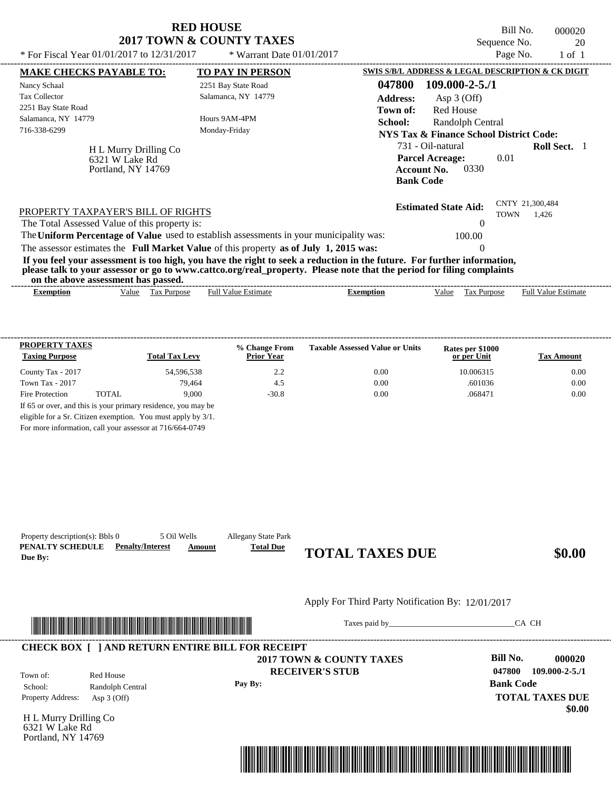|                                                               | <b>RED HOUSE</b><br>2017 TOWN & COUNTY TAXES                                            | Bill No.<br>000020<br>Sequence No.<br>20                                                                                                                                                                                                         |
|---------------------------------------------------------------|-----------------------------------------------------------------------------------------|--------------------------------------------------------------------------------------------------------------------------------------------------------------------------------------------------------------------------------------------------|
| * For Fiscal Year $01/01/2017$ to $12/31/2017$                | * Warrant Date $01/01/2017$                                                             | Page No.<br>$1$ of $1$                                                                                                                                                                                                                           |
| <b>MAKE CHECKS PAYABLE TO:</b>                                | <b>TO PAY IN PERSON</b>                                                                 | SWIS S/B/L ADDRESS & LEGAL DESCRIPTION & CK DIGIT                                                                                                                                                                                                |
| Nancy Schaal                                                  | 2251 Bay State Road                                                                     | 047800<br>$109.000 - 2 - 5.71$                                                                                                                                                                                                                   |
| <b>Tax Collector</b>                                          | Salamanca, NY 14779                                                                     | <b>Address:</b><br>Asp $3$ (Off)                                                                                                                                                                                                                 |
| 2251 Bay State Road                                           |                                                                                         | Red House<br>Town of:                                                                                                                                                                                                                            |
| Salamanca, NY 14779                                           | Hours 9AM-4PM                                                                           | Randolph Central<br>School:                                                                                                                                                                                                                      |
| 716-338-6299                                                  | Monday-Friday                                                                           | NYS Tax & Finance School District Code:                                                                                                                                                                                                          |
| H L Murry Drilling Co<br>6321 W Lake Rd<br>Portland, NY 14769 |                                                                                         | 731 - Oil-natural<br><b>Roll Sect.</b> 1<br><b>Parcel Acreage:</b><br>0.01<br>0330<br><b>Account No.</b><br><b>Bank Code</b>                                                                                                                     |
| PROPERTY TAXPAYER'S BILL OF RIGHTS                            |                                                                                         | CNTY 21,300,484<br><b>Estimated State Aid:</b>                                                                                                                                                                                                   |
| The Total Assessed Value of this property is:                 |                                                                                         | <b>TOWN</b><br>1.426                                                                                                                                                                                                                             |
|                                                               | The Uniform Percentage of Value used to establish assessments in your municipality was: | 100.00                                                                                                                                                                                                                                           |
|                                                               | The assessor estimates the Full Market Value of this property as of July 1, 2015 was:   |                                                                                                                                                                                                                                                  |
| on the above assessment has passed.                           |                                                                                         | If you feel your assessment is too high, you have the right to seek a reduction in the future. For further information,<br>please talk to your assessor or go to www.cattco.org/real_property. Please note that the period for filing complaints |
| Tax Purpose<br>Value<br><b>Exemption</b>                      | <b>Full Value Estimate</b>                                                              | <b>Full Value Estimate</b><br>Tax Purpose<br>Value<br><b>Exemption</b>                                                                                                                                                                           |

| <b>PROPERTY TAXES</b><br><b>Taxing Purpose</b> |       | <b>Total Tax Levy</b>                                         | % Change From<br><b>Prior Year</b> | <b>Taxable Assessed Value or Units</b> | Rates per \$1000<br>or per Unit | Tax Amount |
|------------------------------------------------|-------|---------------------------------------------------------------|------------------------------------|----------------------------------------|---------------------------------|------------|
| County Tax - 2017                              |       | 54,596,538                                                    | 2.2                                | 0.00                                   | 10.006315                       | 0.00       |
| Town Tax - 2017                                |       | 79.464                                                        | 4.5                                | 0.00                                   | .601036                         | 0.00       |
| Fire Protection                                | TOTAL | 9.000                                                         | $-30.8$                            | 0.00                                   | .068471                         | 0.00       |
|                                                |       | If 65 or over, and this is your primary residence, you may be |                                    |                                        |                                 |            |
|                                                |       | eligible for a Sr. Citizen exemption. You must apply by 3/1.  |                                    |                                        |                                 |            |

For more information, call your assessor at 716/664-0749

| Property description(s): Bbls 0<br>PENALTY SCHEDULE<br>Due By: | 5 Oil Wells<br><b>Penalty/Interest</b>                       | <b>Allegany State Park</b><br><b>Total Due</b><br>Amount | <b>TOTAL TAXES DUE</b>                             | \$0.00                                                                   |
|----------------------------------------------------------------|--------------------------------------------------------------|----------------------------------------------------------|----------------------------------------------------|--------------------------------------------------------------------------|
|                                                                |                                                              |                                                          | Apply For Third Party Notification By: 12/01/2017  |                                                                          |
|                                                                | <u> 1989 - Andrea Stadt British, Amerikaansk politiker (</u> |                                                          |                                                    | CA CH                                                                    |
|                                                                | <b>CHECK BOX [ ] AND RETURN ENTIRE BILL FOR RECEIPT</b>      |                                                          |                                                    |                                                                          |
| Town of:<br>School:                                            | Red House<br>Randolph Central                                | Pay By:                                                  | 2017 TOWN & COUNTY TAXES<br><b>RECEIVER'S STUB</b> | Bill No.<br>000020<br>047800<br>$109.000 - 2 - 5.71$<br><b>Bank Code</b> |
| Property Address:                                              | Asp $3$ (Off)                                                |                                                          |                                                    | <b>TOTAL TAXES DUE</b><br>\$0.00                                         |
| H L Murry Drilling Co<br>6321 W Lake Rd                        |                                                              |                                                          |                                                    |                                                                          |
| Portland, NY 14769                                             |                                                              |                                                          |                                                    |                                                                          |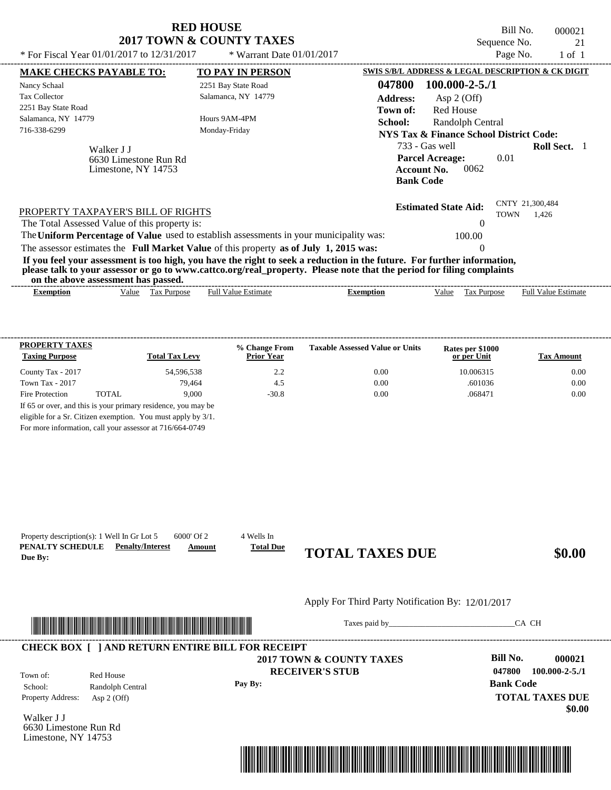|                                                                                                                                                                                                                                                  | <b>RED HOUSE</b><br>2017 TOWN & COUNTY TAXES |                                                                                            | Bill No.<br>Sequence No.       | 000021<br>21               |
|--------------------------------------------------------------------------------------------------------------------------------------------------------------------------------------------------------------------------------------------------|----------------------------------------------|--------------------------------------------------------------------------------------------|--------------------------------|----------------------------|
| * For Fiscal Year 01/01/2017 to 12/31/2017                                                                                                                                                                                                       | * Warrant Date $01/01/2017$                  |                                                                                            | Page No.                       | $1$ of $1$                 |
| <b>MAKE CHECKS PAYABLE TO:</b>                                                                                                                                                                                                                   | TO PAY IN PERSON                             | SWIS S/B/L ADDRESS & LEGAL DESCRIPTION & CK DIGIT                                          |                                |                            |
| Nancy Schaal                                                                                                                                                                                                                                     | 2251 Bay State Road                          | 047800<br>$100.000 - 2 - 5.71$                                                             |                                |                            |
| <b>Tax Collector</b>                                                                                                                                                                                                                             | Salamanca, NY 14779                          | <b>Address:</b><br>Asp $2$ (Off)                                                           |                                |                            |
| 2251 Bay State Road                                                                                                                                                                                                                              |                                              | <b>Red House</b><br>Town of:                                                               |                                |                            |
| Salamanca, NY 14779                                                                                                                                                                                                                              | Hours 9AM-4PM                                | School:<br>Randolph Central                                                                |                                |                            |
| 716-338-6299                                                                                                                                                                                                                                     | Monday-Friday                                | <b>NYS Tax &amp; Finance School District Code:</b>                                         |                                |                            |
| Walker J J<br>6630 Limestone Run Rd<br>Limestone, NY 14753                                                                                                                                                                                       |                                              | 733 - Gas well<br><b>Parcel Acreage:</b><br>0062<br><b>Account No.</b><br><b>Bank Code</b> | 0.01                           | <b>Roll Sect.</b> 1        |
| PROPERTY TAXPAYER'S BILL OF RIGHTS<br>The Total Assessed Value of this property is:                                                                                                                                                              |                                              | <b>Estimated State Aid:</b>                                                                | CNTY 21,300,484<br><b>TOWN</b> | 1.426                      |
| The Uniform Percentage of Value used to establish assessments in your municipality was:                                                                                                                                                          |                                              | 100.00                                                                                     |                                |                            |
| The assessor estimates the Full Market Value of this property as of July 1, 2015 was:                                                                                                                                                            |                                              | $\Omega$                                                                                   |                                |                            |
| If you feel your assessment is too high, you have the right to seek a reduction in the future. For further information,<br>please talk to your assessor or go to www.cattco.org/real_property. Please note that the period for filing complaints |                                              |                                                                                            |                                |                            |
| on the above assessment has passed.                                                                                                                                                                                                              |                                              |                                                                                            |                                |                            |
| Value Tax Purpose<br><b>Exemption</b>                                                                                                                                                                                                            | <b>Full Value Estimate</b>                   | Value<br>Tax Purpose<br><b>Exemption</b>                                                   |                                | <b>Full Value Estimate</b> |

| <b>PROPERTY TAXES</b><br><b>Taxing Purpose</b> |       | <b>Total Tax Levy</b>                                         | % Change From<br><b>Prior Year</b> | <b>Taxable Assessed Value or Units</b> | Rates per \$1000<br>or per Unit | <b>Tax Amount</b> |
|------------------------------------------------|-------|---------------------------------------------------------------|------------------------------------|----------------------------------------|---------------------------------|-------------------|
| County Tax - 2017                              |       | 54.596.538                                                    | 2.2                                | 0.00                                   | 10.006315                       | 0.00              |
| Town Tax - 2017                                |       | 79.464                                                        | 4.5                                | 0.00                                   | .601036                         | 0.00              |
| Fire Protection                                | TOTAL | 9.000                                                         | $-30.8$                            | 0.00                                   | .068471                         | 0.00              |
|                                                |       | If 65 or over, and this is your primary residence, you may be |                                    |                                        |                                 |                   |

For more information, call your assessor at 716/664-0749

| PENALTY SCHEDULE<br>Due By: | <b>Penalty/Interest</b>                                                                                             | <b>Total Due</b><br>Amount | <b>TOTAL TAXES DUE</b>                            |                  | \$0.00                           |
|-----------------------------|---------------------------------------------------------------------------------------------------------------------|----------------------------|---------------------------------------------------|------------------|----------------------------------|
|                             |                                                                                                                     |                            | Apply For Third Party Notification By: 12/01/2017 |                  |                                  |
|                             | <u> 1989 - Andrea Stadt British, martin bir shekarar 1989 - Andrea Stadt British, martin bir shekarar 1981 - 19</u> |                            | Taxes paid by                                     | CA CH            |                                  |
|                             | <b>CHECK BOX [ ] AND RETURN ENTIRE BILL FOR RECEIPT</b>                                                             |                            | 2017 TOWN & COUNTY TAXES                          | Bill No.         | 000021                           |
| Town of:                    | Red House                                                                                                           |                            | <b>RECEIVER'S STUB</b>                            | 047800           | $100.000 - 2 - 5.71$             |
| School:                     | Randolph Central                                                                                                    | Pay By:                    |                                                   | <b>Bank Code</b> |                                  |
| Property Address:           | Asp $2$ (Off)                                                                                                       |                            |                                                   |                  | <b>TOTAL TAXES DUE</b><br>\$0.00 |
|                             |                                                                                                                     |                            |                                                   |                  |                                  |

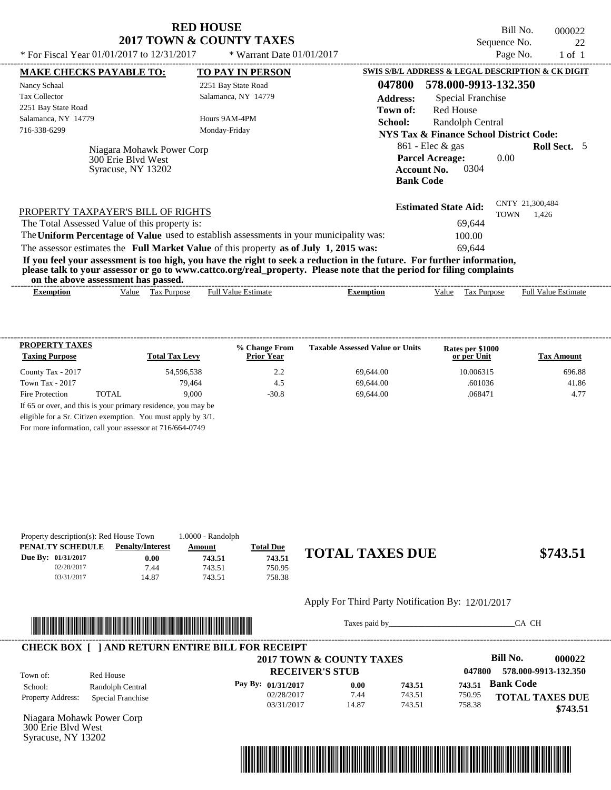Bill No. 000022 Sequence No. 22<br>Page No. 22

 $$743.51$ 

| * For Fiscal Year $01/01/2017$ to $12/31/2017$                                                                                                                                                                                                                                          | * Warrant Date $01/01/2017$ |                                                   |                                                      | Page No.                       | $1$ of $1$                 |  |
|-----------------------------------------------------------------------------------------------------------------------------------------------------------------------------------------------------------------------------------------------------------------------------------------|-----------------------------|---------------------------------------------------|------------------------------------------------------|--------------------------------|----------------------------|--|
| <b>MAKE CHECKS PAYABLE TO:</b>                                                                                                                                                                                                                                                          | <b>TO PAY IN PERSON</b>     | SWIS S/B/L ADDRESS & LEGAL DESCRIPTION & CK DIGIT |                                                      |                                |                            |  |
| Nancy Schaal                                                                                                                                                                                                                                                                            | 2251 Bay State Road         | 047800                                            | 578.000-9913-132.350                                 |                                |                            |  |
| <b>Tax Collector</b>                                                                                                                                                                                                                                                                    | Salamanca, NY 14779         | <b>Address:</b>                                   | Special Franchise                                    |                                |                            |  |
| 2251 Bay State Road                                                                                                                                                                                                                                                                     |                             | Town of:                                          | <b>Red House</b>                                     |                                |                            |  |
| Salamanca, NY 14779                                                                                                                                                                                                                                                                     | Hours 9AM-4PM               | School:                                           | Randolph Central                                     |                                |                            |  |
| 716-338-6299                                                                                                                                                                                                                                                                            | Monday-Friday               |                                                   | NYS Tax & Finance School District Code:              |                                |                            |  |
| Niagara Mohawk Power Corp<br>300 Erie Blyd West<br>Syracuse, NY 13202                                                                                                                                                                                                                   |                             | <b>Account No.</b><br><b>Bank Code</b>            | $861$ - Elec & gas<br><b>Parcel Acreage:</b><br>0304 | 0.00                           | <b>Roll Sect.</b> 5        |  |
| PROPERTY TAXPAYER'S BILL OF RIGHTS                                                                                                                                                                                                                                                      |                             |                                                   | <b>Estimated State Aid:</b>                          | CNTY 21,300,484<br><b>TOWN</b> | 1,426                      |  |
| The Total Assessed Value of this property is:                                                                                                                                                                                                                                           |                             |                                                   | 69,644                                               |                                |                            |  |
| The Uniform Percentage of Value used to establish assessments in your municipality was:                                                                                                                                                                                                 |                             |                                                   | 100.00                                               |                                |                            |  |
| The assessor estimates the Full Market Value of this property as of July 1, 2015 was:                                                                                                                                                                                                   |                             |                                                   | 69.644                                               |                                |                            |  |
| If you feel your assessment is too high, you have the right to seek a reduction in the future. For further information,<br>please talk to your assessor or go to www.cattco.org/real_property. Please note that the period for filing complaints<br>on the above assessment has passed. |                             |                                                   |                                                      |                                |                            |  |
| Tax Purpose<br><b>Exemption</b><br>Value                                                                                                                                                                                                                                                | <b>Full Value Estimate</b>  | <b>Exemption</b>                                  | Tax Purpose<br>Value                                 |                                | <b>Full Value Estimate</b> |  |
|                                                                                                                                                                                                                                                                                         |                             |                                                   |                                                      |                                |                            |  |

| <b>PROPERTY TAXES</b><br><b>Taxing Purpose</b> |       | <b>Total Tax Levy</b>                                         | % Change From<br><b>Prior Year</b> | <b>Taxable Assessed Value or Units</b> | Rates per \$1000<br>or per Unit | <b>Tax Amount</b> |
|------------------------------------------------|-------|---------------------------------------------------------------|------------------------------------|----------------------------------------|---------------------------------|-------------------|
| County Tax - 2017                              |       | 54,596,538                                                    | 2.2                                | 69.644.00                              | 10.006315                       | 696.88            |
| Town Tax - 2017                                |       | 79.464                                                        | 4.5                                | 69.644.00                              | .601036                         | 41.86             |
| Fire Protection                                | TOTAL | 9.000                                                         | $-30.8$                            | 69.644.00                              | .068471                         | 4.77              |
|                                                |       | If 65 or over, and this is your primary residence, you may be |                                    |                                        |                                 |                   |
|                                                |       | eligible for a Sr. Citizen exemption. You must apply by 3/1.  |                                    |                                        |                                 |                   |

For more information, call your assessor at 716/664-0749

|                    | Property description(s): Red House Town |                         | 1.0000 - Randolph |                  |                        |
|--------------------|-----------------------------------------|-------------------------|-------------------|------------------|------------------------|
|                    | PENALTY SCHEDULE                        | <b>Penalty/Interest</b> | Amount            | <u>Total Due</u> |                        |
| Due By: 01/31/2017 |                                         | $0.00\,$                | 743.51            | 743.51           | <b>TOTAL TAXES DUE</b> |
|                    | 02/28/2017                              | 7.44                    | 743.51            | 750.95           |                        |
|                    | 03/31/2017                              | 4.87                    | 743.51            | 758.38           |                        |

#### Apply For Third Party Notification By: 12/01/2017



Taxes paid by\_\_\_\_\_\_\_\_\_\_\_\_\_\_\_\_\_\_\_\_\_\_\_\_\_\_\_\_\_\_\_CA CH

|                          |                   | 2017 TOWN & COUNTY TAXES |       |        |        | Bill No.<br>000022     |
|--------------------------|-------------------|--------------------------|-------|--------|--------|------------------------|
| Town of:                 | Red House         | <b>RECEIVER'S STUB</b>   |       |        | 047800 | 578.000-9913-132.350   |
| School:                  | Randolph Central  | Pay By: 01/31/2017       | 0.00  | 743.51 | 743.51 | <b>Bank Code</b>       |
| <b>Property Address:</b> | Special Franchise | 02/28/2017               | 7.44  | 743.51 | 750.95 | <b>TOTAL TAXES DUE</b> |
|                          |                   | 03/31/2017               | 14.87 | 743.51 | 758.38 | \$743.51               |

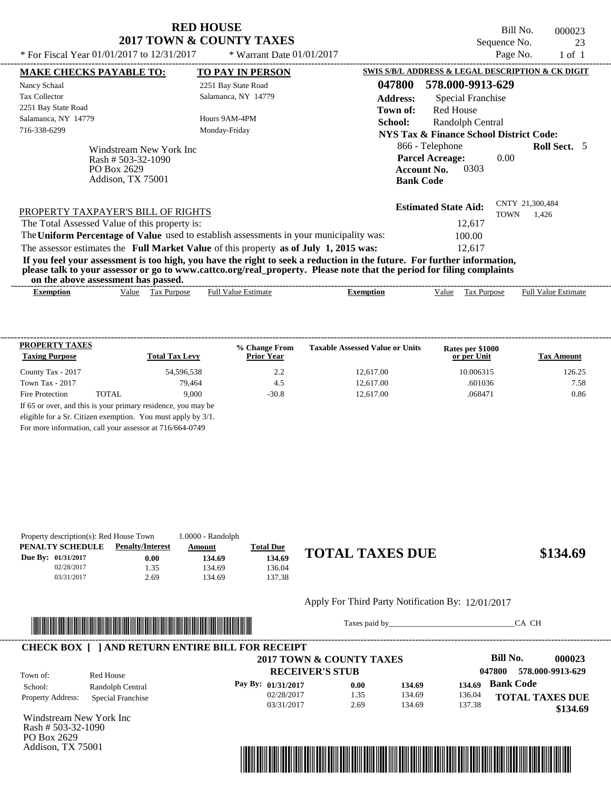Bill No. 000023 Sequence No. 23

| * For Fiscal Year $01/01/2017$ to $12/31/2017$         |                         | * Warrant Date $01/01/2017$                                                                                                                                                                                                                      |                  |                                                                                             | Page No.    | $1$ of $1$                 |  |
|--------------------------------------------------------|-------------------------|--------------------------------------------------------------------------------------------------------------------------------------------------------------------------------------------------------------------------------------------------|------------------|---------------------------------------------------------------------------------------------|-------------|----------------------------|--|
| <b>MAKE CHECKS PAYABLE TO:</b>                         |                         | <b>TO PAY IN PERSON</b>                                                                                                                                                                                                                          |                  | SWIS S/B/L ADDRESS & LEGAL DESCRIPTION & CK DIGIT                                           |             |                            |  |
| Nancy Schaal                                           |                         | 2251 Bay State Road                                                                                                                                                                                                                              | 047800           | 578.000-9913-629                                                                            |             |                            |  |
| <b>Tax Collector</b>                                   |                         | Salamanca, NY 14779                                                                                                                                                                                                                              | <b>Address:</b>  | Special Franchise                                                                           |             |                            |  |
| 2251 Bay State Road                                    |                         |                                                                                                                                                                                                                                                  | Town of:         | <b>Red House</b>                                                                            |             |                            |  |
| Salamanca, NY 14779                                    |                         | Hours 9AM-4PM                                                                                                                                                                                                                                    | School:          | Randolph Central                                                                            |             |                            |  |
| 716-338-6299                                           |                         | Monday-Friday                                                                                                                                                                                                                                    |                  | NYS Tax & Finance School District Code:                                                     |             |                            |  |
| Rash # 503-32-1090<br>PO Box 2629<br>Addison, TX 75001 | Windstream New York Inc |                                                                                                                                                                                                                                                  |                  | 866 - Telephone<br><b>Parcel Acreage:</b><br>0303<br><b>Account No.</b><br><b>Bank Code</b> | 0.00        | <b>Roll Sect.</b> 5        |  |
| PROPERTY TAXPAYER'S BILL OF RIGHTS                     |                         |                                                                                                                                                                                                                                                  |                  | <b>Estimated State Aid:</b>                                                                 | <b>TOWN</b> | CNTY 21,300,484<br>1.426   |  |
| The Total Assessed Value of this property is:          |                         |                                                                                                                                                                                                                                                  |                  | 12,617                                                                                      |             |                            |  |
|                                                        |                         | The Uniform Percentage of Value used to establish assessments in your municipality was:                                                                                                                                                          |                  | 100.00                                                                                      |             |                            |  |
|                                                        |                         | The assessor estimates the Full Market Value of this property as of July 1, 2015 was:                                                                                                                                                            |                  | 12,617                                                                                      |             |                            |  |
| on the above assessment has passed.                    |                         | If you feel your assessment is too high, you have the right to seek a reduction in the future. For further information,<br>please talk to your assessor or go to www.cattco.org/real_property. Please note that the period for filing complaints |                  |                                                                                             |             |                            |  |
| <b>Exemption</b><br>Value                              | Tax Purpose             | <b>Full Value Estimate</b>                                                                                                                                                                                                                       | <b>Exemption</b> | Value<br>Tax Purpose                                                                        |             | <b>Full Value Estimate</b> |  |
|                                                        |                         |                                                                                                                                                                                                                                                  |                  |                                                                                             |             |                            |  |

| <b>PROPERTY TAXES</b><br><b>Taxing Purpose</b> |       | <b>Total Tax Levy</b>                                         | % Change From<br><b>Prior Year</b> | <b>Taxable Assessed Value or Units</b> | Rates per \$1000<br>or per Unit | <b>Tax Amount</b> |
|------------------------------------------------|-------|---------------------------------------------------------------|------------------------------------|----------------------------------------|---------------------------------|-------------------|
| County Tax - 2017                              |       | 54,596,538                                                    | 2.2                                | 12.617.00                              | 10.006315                       | 126.25            |
| Town Tax - 2017                                |       | 79.464                                                        | 4.5                                | 12.617.00                              | .601036                         | 7.58              |
| Fire Protection                                | TOTAL | 9.000                                                         | $-30.8$                            | 12.617.00                              | .068471                         | 0.86              |
|                                                |       | If 65 or over, and this is your primary residence, you may be |                                    |                                        |                                 |                   |
|                                                |       | eligible for a Sr. Citizen exemption. You must apply by 3/1.  |                                    |                                        |                                 |                   |

For more information, call your assessor at 716/664-0749

| Property description(s): Red House Town |                         | $1.0000 - Random$ |                  |                 |
|-----------------------------------------|-------------------------|-------------------|------------------|-----------------|
| PENALTY SCHEDULE                        | <b>Penalty/Interest</b> | Amount            | <b>Total Due</b> |                 |
| Due By: 01/31/2017                      | 0.00                    | 134.69            | 134.69           | <b>TOTAL TA</b> |
| 02/28/2017                              | 1.35                    | 134.69            | 136.04           |                 |
| 03/31/2017                              | 2.69                    | 134.69            | 137.38           |                 |

# **134.69 134.69**

Apply For Third Party Notification By: 12/01/2017



Taxes paid by\_\_\_\_\_\_\_\_\_\_\_\_\_\_\_\_\_\_\_\_\_\_\_\_\_\_\_\_\_\_\_CA CH

|                          |                   | 2017 TOWN & COUNTY TAXES |      |        |        | Bill No.<br>000023         |
|--------------------------|-------------------|--------------------------|------|--------|--------|----------------------------|
| Town of:                 | Red House         | <b>RECEIVER'S STUB</b>   |      |        |        | 578.000-9913-629<br>047800 |
| School:                  | Randolph Central  | Pay By: 01/31/2017       | 0.00 | 134.69 | 134.69 | <b>Bank Code</b>           |
| <b>Property Address:</b> | Special Franchise | 02/28/2017               | 1.35 | 134.69 | 136.04 | <b>TOTAL TAXES DUE</b>     |
|                          |                   | 03/31/2017               | 2.69 | 134.69 | 137.38 | \$134.69                   |

Windstream New York Inc Rash # 503-32-1090 PO Box 2629 Addison, TX 75001

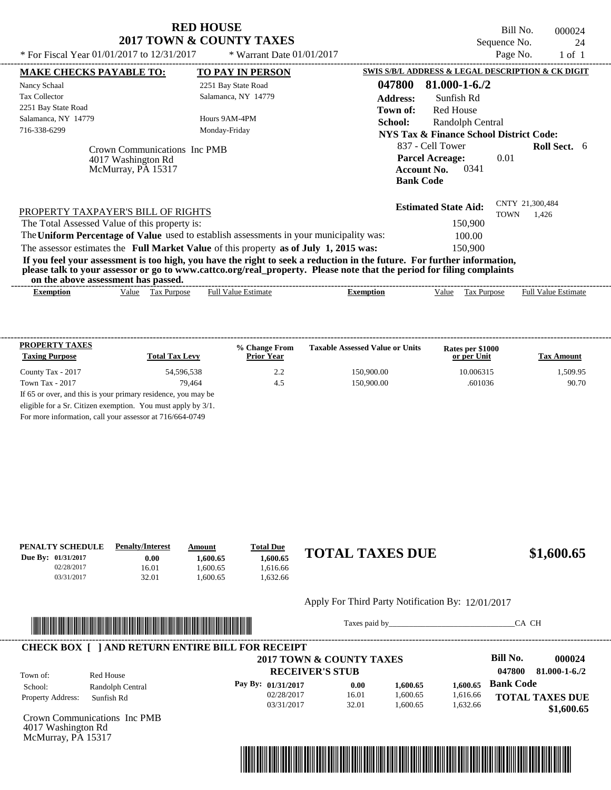| <b>RED HOUSE</b>         |  |
|--------------------------|--|
| 2017 TOWN & COUNTY TAXES |  |

Bill No. 000024 Sequence No. 24<br>Page No. 24<br>1 of 1

| * For Fiscal Year 01/01/2017 to 12/31/2017                                                                                                                                                                                                                                              | * Warrant Date 01/01/2017                                                            |                                                   | Page No.                       | $1$ of $1$                 |
|-----------------------------------------------------------------------------------------------------------------------------------------------------------------------------------------------------------------------------------------------------------------------------------------|--------------------------------------------------------------------------------------|---------------------------------------------------|--------------------------------|----------------------------|
| <b>MAKE CHECKS PAYABLE TO:</b>                                                                                                                                                                                                                                                          | TO PAY IN PERSON                                                                     | SWIS S/B/L ADDRESS & LEGAL DESCRIPTION & CK DIGIT |                                |                            |
| Nancy Schaal                                                                                                                                                                                                                                                                            | 2251 Bay State Road                                                                  | $81.000 - 1 - 6.72$<br>047800                     |                                |                            |
| <b>Tax Collector</b>                                                                                                                                                                                                                                                                    | Salamanca, NY 14779                                                                  | <b>Address:</b><br>Sunfish Rd                     |                                |                            |
| 2251 Bay State Road                                                                                                                                                                                                                                                                     |                                                                                      | Town of:<br><b>Red House</b>                      |                                |                            |
| Salamanca, NY 14779                                                                                                                                                                                                                                                                     | Hours 9AM-4PM                                                                        | School:<br>Randolph Central                       |                                |                            |
| 716-338-6299                                                                                                                                                                                                                                                                            | Monday-Friday                                                                        | NYS Tax & Finance School District Code:           |                                |                            |
| Crown Communications Inc PMB<br>4017 Washington Rd<br>McMurray, PA 15317                                                                                                                                                                                                                | 837 - Cell Tower<br><b>Parcel Acreage:</b><br><b>Account No.</b><br><b>Bank Code</b> | 0.01<br>0341                                      | Roll Sect. 6                   |                            |
| PROPERTY TAXPAYER'S BILL OF RIGHTS                                                                                                                                                                                                                                                      |                                                                                      | <b>Estimated State Aid:</b>                       | CNTY 21,300,484<br><b>TOWN</b> | 1,426                      |
| The Total Assessed Value of this property is:                                                                                                                                                                                                                                           |                                                                                      | 150,900                                           |                                |                            |
| The Uniform Percentage of Value used to establish assessments in your municipality was:                                                                                                                                                                                                 |                                                                                      | 100.00                                            |                                |                            |
| The assessor estimates the Full Market Value of this property as of July 1, 2015 was:                                                                                                                                                                                                   |                                                                                      | 150,900                                           |                                |                            |
| If you feel your assessment is too high, you have the right to seek a reduction in the future. For further information,<br>please talk to your assessor or go to www.cattco.org/real_property. Please note that the period for filing complaints<br>on the above assessment has passed. |                                                                                      |                                                   |                                |                            |
| Tax Purpose<br>Value<br><b>Exemption</b>                                                                                                                                                                                                                                                | <b>Full Value Estimate</b>                                                           | <b>Exemption</b><br>Value                         | Tax Purpose                    | <b>Full Value Estimate</b> |
|                                                                                                                                                                                                                                                                                         |                                                                                      |                                                   |                                |                            |

| <b>PROPERTY TAXES</b>                                           |                       | % Change From     | <b>Taxable Assessed Value or Units</b> | Rates per \$1000 |                   |  |  |
|-----------------------------------------------------------------|-----------------------|-------------------|----------------------------------------|------------------|-------------------|--|--|
| <b>Taxing Purpose</b>                                           | <b>Total Tax Levy</b> | <b>Prior Year</b> |                                        | or per Unit      | <b>Tax Amount</b> |  |  |
| County Tax - 2017                                               | 54.596.538            | 2.2               | 150,900.00                             | 10.006315        | 1,509.95          |  |  |
| Town Tax - 2017                                                 | 79.464                | 4.5               | 150,900.00                             | .601036          | 90.70             |  |  |
| If 65 or over, and this is your primary residence, you may be   |                       |                   |                                        |                  |                   |  |  |
| eligible for a Sr. Citizen exemption. You must apply by $3/1$ . |                       |                   |                                        |                  |                   |  |  |

For more information, call your assessor at 716/664-0749

| PENALTY SCHEDULE          | <b>Penalty/Interest</b> | Amount   | <b>Total Due</b> |                                                   |            |
|---------------------------|-------------------------|----------|------------------|---------------------------------------------------|------------|
| <b>Due By: 01/31/2017</b> | $0.00\,$                | 1.600.65 | 1.600.65         | <b>TOTAL TAXES DUE</b>                            | \$1,600.65 |
| 02/28/2017                | 16.01                   | .600.65  | 1.616.66         |                                                   |            |
| 03/31/2017                | 32.01                   | .600.65  | .632.66          |                                                   |            |
|                           |                         |          |                  |                                                   |            |
|                           |                         |          |                  | Apply For Third Party Notification By: 12/01/2017 |            |



Taxes paid by\_\_\_\_\_\_\_\_\_\_\_\_\_\_\_\_\_\_\_\_\_\_\_\_\_\_\_\_\_\_\_CA CH

| Town of:                               | Red House        | 2017 TOWN & COUNTY TAXES<br><b>RECEIVER'S STUB</b> |          |          |          | Bill No.<br>047800     | 000024<br>$81.000 - 1 - 6.72$ |
|----------------------------------------|------------------|----------------------------------------------------|----------|----------|----------|------------------------|-------------------------------|
| School:                                | Randolph Central | Pay By: $01/31/2017$                               | 0.00     | 1.600.65 | 1.600.65 | <b>Bank Code</b>       |                               |
| <b>Property Address:</b><br>Sunfish Rd | 02/28/2017       | 16.01                                              | 1,600.65 | 1,616.66 |          | <b>TOTAL TAXES DUE</b> |                               |
|                                        | 03/31/2017       | 32.01                                              | 1.600.65 | 1,632.66 |          | \$1,600.65             |                               |

Crown Communications Inc PMB 4017 Washington Rd McMurray, PA 15317

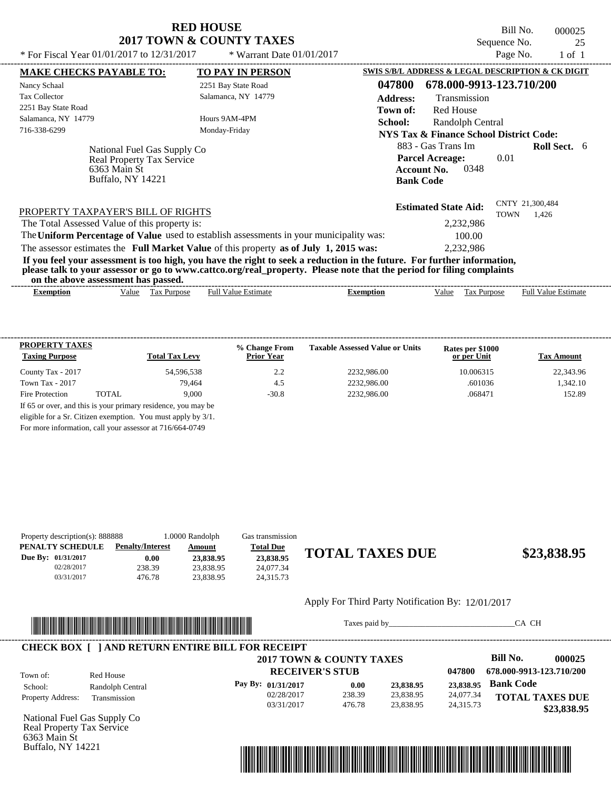Bill No. 000025 Sequence No. 25<br>Page No. 1 of 1

| * For Fiscal Year $01/01/2017$ to $12/31/2017$                                                                                                                                                                                                                                          | * Warrant Date $01/01/2017$ |                                                    |                                                   | Page No.    | $1$ of $1$                 |  |
|-----------------------------------------------------------------------------------------------------------------------------------------------------------------------------------------------------------------------------------------------------------------------------------------|-----------------------------|----------------------------------------------------|---------------------------------------------------|-------------|----------------------------|--|
| <b>MAKE CHECKS PAYABLE TO:</b>                                                                                                                                                                                                                                                          | <b>TO PAY IN PERSON</b>     |                                                    | SWIS S/B/L ADDRESS & LEGAL DESCRIPTION & CK DIGIT |             |                            |  |
| Nancy Schaal                                                                                                                                                                                                                                                                            | 2251 Bay State Road         | 047800                                             | 678.000-9913-123.710/200                          |             |                            |  |
| <b>Tax Collector</b>                                                                                                                                                                                                                                                                    | Salamanca, NY 14779         | <b>Address:</b>                                    | Transmission                                      |             |                            |  |
| 2251 Bay State Road                                                                                                                                                                                                                                                                     |                             | Town of:                                           | <b>Red House</b>                                  |             |                            |  |
| Salamanca, NY 14779                                                                                                                                                                                                                                                                     | Hours 9AM-4PM               | School:                                            | Randolph Central                                  |             |                            |  |
| 716-338-6299                                                                                                                                                                                                                                                                            | Monday-Friday               | <b>NYS Tax &amp; Finance School District Code:</b> |                                                   |             |                            |  |
| National Fuel Gas Supply Co<br><b>Real Property Tax Service</b>                                                                                                                                                                                                                         |                             |                                                    | 883 - Gas Trans Im<br><b>Parcel Acreage:</b>      | 0.01        | <b>Roll Sect.</b> 6        |  |
| 6363 Main St                                                                                                                                                                                                                                                                            |                             | 0348<br><b>Account No.</b>                         |                                                   |             |                            |  |
| Buffalo, NY 14221                                                                                                                                                                                                                                                                       |                             | <b>Bank Code</b>                                   |                                                   |             |                            |  |
| PROPERTY TAXPAYER'S BILL OF RIGHTS                                                                                                                                                                                                                                                      |                             |                                                    | <b>Estimated State Aid:</b>                       | <b>TOWN</b> | CNTY 21,300,484<br>1.426   |  |
| The Total Assessed Value of this property is:                                                                                                                                                                                                                                           |                             | 2,232,986                                          |                                                   |             |                            |  |
| The Uniform Percentage of Value used to establish assessments in your municipality was:                                                                                                                                                                                                 |                             |                                                    | 100.00                                            |             |                            |  |
| The assessor estimates the Full Market Value of this property as of July 1, 2015 was:                                                                                                                                                                                                   |                             |                                                    | 2,232,986                                         |             |                            |  |
| If you feel your assessment is too high, you have the right to seek a reduction in the future. For further information,<br>please talk to your assessor or go to www.cattco.org/real_property. Please note that the period for filing complaints<br>on the above assessment has passed. |                             |                                                    |                                                   |             |                            |  |
| Value Tax Purpose<br><b>Exemption</b>                                                                                                                                                                                                                                                   | <b>Full Value Estimate</b>  | <b>Exemption</b>                                   | Value<br>Tax Purpose                              |             | <b>Full Value Estimate</b> |  |

| <b>PROPERTY TAXES</b><br><b>Taxing Purpose</b> |        | <b>Total Tax Levy</b> | % Change From<br><b>Prior Year</b> | <b>Taxable Assessed Value or Units</b> | Rates per \$1000<br>or per Unit | <b>Tax Amount</b> |
|------------------------------------------------|--------|-----------------------|------------------------------------|----------------------------------------|---------------------------------|-------------------|
| County Tax - 2017                              |        | 54.596.538            | 2.2                                | 2232,986.00                            | 10.006315                       | 22,343.96         |
| Town Tax - 2017                                |        | 79.464                | 4.5                                | 2232,986.00                            | .601036                         | 1.342.10          |
| Fire Protection                                | TOTAL. | 9.000                 | $-30.8$                            | 2232,986.00                            | .068471                         | 152.89            |

For more information, call your assessor at 716/664-0749

| Property description(s): 888888 |                         | 1.0000 Randolph | Gas transmission |                        |             |
|---------------------------------|-------------------------|-----------------|------------------|------------------------|-------------|
| PENALTY SCHEDULE                | <b>Penalty/Interest</b> | <u>Amount</u>   | <b>Total Due</b> |                        |             |
| Due By: 01/31/2017              | 0.00                    | 23,838.95       | 23,838.95        | <b>TOTAL TAXES DUE</b> | \$23,838.95 |
| 02/28/2017                      | 238.39                  | 23,838.95       | 24,077.34        |                        |             |
| 03/31/2017                      | 476.78                  | 23.838.95       | 24.315.73        |                        |             |
|                                 |                         |                 |                  |                        |             |

#### Apply For Third Party Notification By: 12/01/2017



Taxes paid by\_\_\_\_\_\_\_\_\_\_\_\_\_\_\_\_\_\_\_\_\_\_\_\_\_\_\_\_\_\_\_CA CH



National Fuel Gas Supply Co Real Property Tax Service 6363 Main St Buffalo, NY 14221

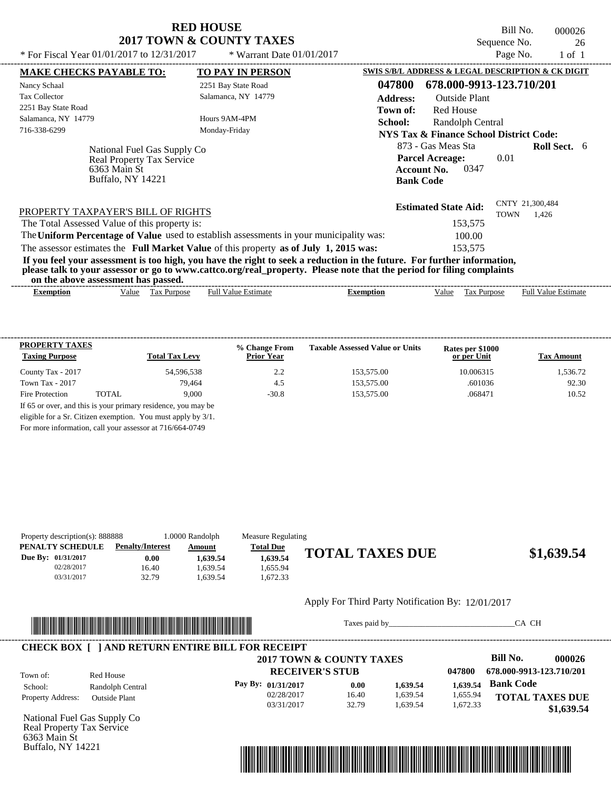Bill No. 000026 Sequence No. 26

| * For Fiscal Year $01/01/2017$ to $12/31/2017$                                                                                                                                                                                                                                          | * Warrant Date $01/01/2017$ |                            |                                                   | Page No.            | $1$ of $1$                 |  |
|-----------------------------------------------------------------------------------------------------------------------------------------------------------------------------------------------------------------------------------------------------------------------------------------|-----------------------------|----------------------------|---------------------------------------------------|---------------------|----------------------------|--|
| <b>MAKE CHECKS PAYABLE TO:</b>                                                                                                                                                                                                                                                          | <b>TO PAY IN PERSON</b>     |                            | SWIS S/B/L ADDRESS & LEGAL DESCRIPTION & CK DIGIT |                     |                            |  |
| Nancy Schaal                                                                                                                                                                                                                                                                            | 2251 Bay State Road         | 047800                     | 678.000-9913-123.710/201                          |                     |                            |  |
| <b>Tax Collector</b>                                                                                                                                                                                                                                                                    | Salamanca, NY 14779         | <b>Address:</b>            | <b>Outside Plant</b>                              |                     |                            |  |
| 2251 Bay State Road                                                                                                                                                                                                                                                                     |                             | Town of:                   | <b>Red House</b>                                  |                     |                            |  |
| Salamanca, NY 14779                                                                                                                                                                                                                                                                     | Hours 9AM-4PM               | School:                    | Randolph Central                                  |                     |                            |  |
| 716-338-6299                                                                                                                                                                                                                                                                            | Monday-Friday               |                            | NYS Tax & Finance School District Code:           |                     |                            |  |
| National Fuel Gas Supply Co                                                                                                                                                                                                                                                             |                             | 873 - Gas Meas Sta         |                                                   | <b>Roll Sect.</b> 6 |                            |  |
| Real Property Tax Service                                                                                                                                                                                                                                                               |                             | <b>Parcel Acreage:</b>     | 0.01                                              |                     |                            |  |
| 6363 Main St                                                                                                                                                                                                                                                                            |                             | 0347<br><b>Account No.</b> |                                                   |                     |                            |  |
| <b>Buffalo, NY 14221</b>                                                                                                                                                                                                                                                                |                             |                            |                                                   |                     |                            |  |
| PROPERTY TAXPAYER'S BILL OF RIGHTS                                                                                                                                                                                                                                                      |                             |                            | <b>Estimated State Aid:</b>                       | <b>TOWN</b>         | CNTY 21,300,484<br>1.426   |  |
| The Total Assessed Value of this property is:                                                                                                                                                                                                                                           |                             |                            | 153,575                                           |                     |                            |  |
| The Uniform Percentage of Value used to establish assessments in your municipality was:                                                                                                                                                                                                 |                             |                            | 100.00                                            |                     |                            |  |
| The assessor estimates the Full Market Value of this property as of July 1, 2015 was:                                                                                                                                                                                                   |                             |                            | 153.575                                           |                     |                            |  |
| If you feel your assessment is too high, you have the right to seek a reduction in the future. For further information,<br>please talk to your assessor or go to www.cattco.org/real_property. Please note that the period for filing complaints<br>on the above assessment has passed. |                             |                            |                                                   |                     |                            |  |
| Tax Purpose<br><b>Exemption</b><br>Value                                                                                                                                                                                                                                                | <b>Full Value Estimate</b>  | <b>Exemption</b>           | Value<br>Tax Purpose                              |                     | <b>Full Value Estimate</b> |  |

| <b>PROPERTY TAXES</b><br><b>Taxing Purpose</b> |       | <b>Total Tax Levy</b>                                         | % Change From<br><b>Prior Year</b> | <b>Taxable Assessed Value or Units</b> | Rates per \$1000<br>or per Unit | <b>Tax Amount</b> |
|------------------------------------------------|-------|---------------------------------------------------------------|------------------------------------|----------------------------------------|---------------------------------|-------------------|
| County Tax - 2017                              |       | 54,596,538                                                    | 2.2                                | 153,575.00                             | 10.006315                       | 1,536.72          |
| Town Tax - 2017                                |       | 79.464                                                        | 4.5                                | 153,575.00                             | .601036                         | 92.30             |
| Fire Protection                                | TOTAL | 9.000                                                         | $-30.8$                            | 153,575.00                             | .068471                         | 10.52             |
|                                                |       | If 65 or over, and this is your primary residence, you may be |                                    |                                        |                                 |                   |
|                                                |       | eligible for a Sr. Citizen exemption. You must apply by 3/1.  |                                    |                                        |                                 |                   |

For more information, call your assessor at 716/664-0749

| Property description(s): 888888 |                         | 1.0000 Randolph | Measure Regulating |                        |            |
|---------------------------------|-------------------------|-----------------|--------------------|------------------------|------------|
| PENALTY SCHEDULE                | <b>Penalty/Interest</b> | <u>Amount</u>   | <b>Total Due</b>   |                        |            |
| Due By: 01/31/2017              | 0.00                    | 1.639.54        | 1.639.54           | <b>TOTAL TAXES DUE</b> | \$1,639.54 |
| 02/28/2017                      | 16.40                   | 1.639.54        | 1.655.94           |                        |            |
| 03/31/2017                      | 32.79                   | 1.639.54        | .672.33            |                        |            |

## Apply For Third Party Notification By: 12/01/2017



Taxes paid by\_\_\_\_\_\_\_\_\_\_\_\_\_\_\_\_\_\_\_\_\_\_\_\_\_\_\_\_\_\_\_CA CH

|                          |                      | 2017 TOWN & COUNTY TAXES |          |                          |          | Bill No.               | 000026 |
|--------------------------|----------------------|--------------------------|----------|--------------------------|----------|------------------------|--------|
| Red House<br>Town of:    |                      | <b>RECEIVER'S STUB</b>   | 047800   | 678.000-9913-123.710/201 |          |                        |        |
| School:                  | Randolph Central     | Pay By: 01/31/2017       | 0.00     | 1,639.54                 | 1.639.54 | <b>Bank Code</b>       |        |
| <b>Property Address:</b> | <b>Outside Plant</b> | 02/28/2017               | 16.40    | 1,639.54                 | 1,655.94 | <b>TOTAL TAXES DUE</b> |        |
|                          | 03/31/2017           | 32.79                    | 1.639.54 | 1.672.33                 |          | \$1,639.54             |        |

National Fuel Gas Supply Co Real Property Tax Service 6363 Main St Buffalo, NY 14221

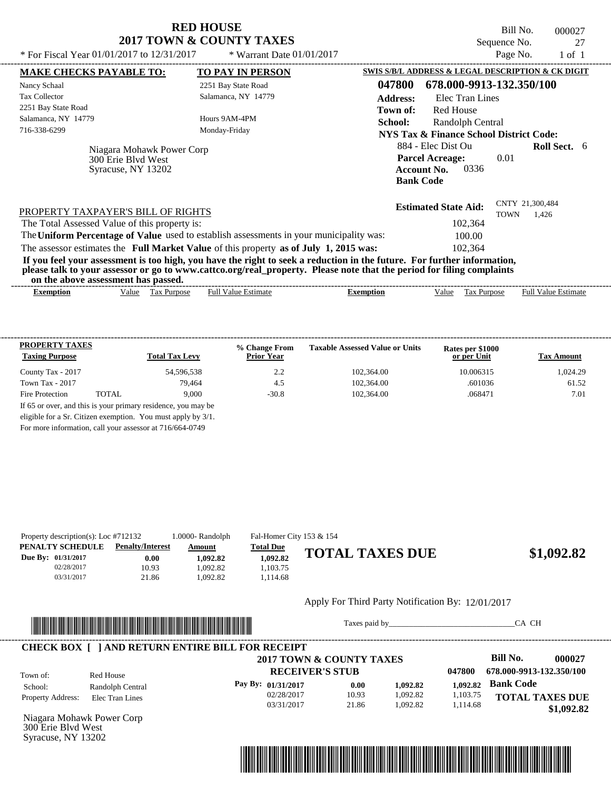| <b>RED HOUSE</b>         |  |  |  |  |  |  |
|--------------------------|--|--|--|--|--|--|
| 2017 TOWN & COUNTY TAXES |  |  |  |  |  |  |

Bill No. 000027 Sequence No. 27<br>Page No. 1 of 1

| <b>SWIS S/B/L ADDRESS &amp; LEGAL DESCRIPTION &amp; CK DIGIT</b><br><b>MAKE CHECKS PAYABLE TO:</b><br><b>TO PAY IN PERSON</b><br>047800<br>678.000-9913-132.350/100<br>Nancy Schaal<br>2251 Bay State Road<br><b>Tax Collector</b><br>Salamanca, NY 14779<br><b>Address:</b><br>Elec Tran Lines<br>2251 Bay State Road<br><b>Red House</b><br>Town of:<br>Salamanca, NY 14779<br>Hours 9AM-4PM<br>Randolph Central<br>School:<br>716-338-6299<br>Monday-Friday<br><b>NYS Tax &amp; Finance School District Code:</b><br>884 - Elec Dist Ou<br><b>Roll Sect.</b> 6<br>Niagara Mohawk Power Corp<br><b>Parcel Acreage:</b><br>0.01<br>300 Erie Blyd West<br>0336<br><b>Account No.</b><br>Syracuse, NY 13202<br><b>Bank Code</b><br>CNTY 21.300.484<br><b>Estimated State Aid:</b><br>PROPERTY TAXPAYER'S BILL OF RIGHTS<br><b>TOWN</b><br>1.426<br>102,364<br>The Total Assessed Value of this property is:<br>The Uniform Percentage of Value used to establish assessments in your municipality was:<br>100.00<br>The assessor estimates the Full Market Value of this property as of July 1, 2015 was:<br>102.364<br>If you feel your assessment is too high, you have the right to seek a reduction in the future. For further information,<br>please talk to your assessor or go to www.cattco.org/real_property. Please note that the period for filing complaints<br>on the above assessment has passed. | * For Fiscal Year 01/01/2017 to 12/31/2017 | * Warrant Date $01/01/2017$ |  | Page No. | $1$ of $1$ |  |
|----------------------------------------------------------------------------------------------------------------------------------------------------------------------------------------------------------------------------------------------------------------------------------------------------------------------------------------------------------------------------------------------------------------------------------------------------------------------------------------------------------------------------------------------------------------------------------------------------------------------------------------------------------------------------------------------------------------------------------------------------------------------------------------------------------------------------------------------------------------------------------------------------------------------------------------------------------------------------------------------------------------------------------------------------------------------------------------------------------------------------------------------------------------------------------------------------------------------------------------------------------------------------------------------------------------------------------------------------------------------------------------------------------------|--------------------------------------------|-----------------------------|--|----------|------------|--|
|                                                                                                                                                                                                                                                                                                                                                                                                                                                                                                                                                                                                                                                                                                                                                                                                                                                                                                                                                                                                                                                                                                                                                                                                                                                                                                                                                                                                                |                                            |                             |  |          |            |  |
|                                                                                                                                                                                                                                                                                                                                                                                                                                                                                                                                                                                                                                                                                                                                                                                                                                                                                                                                                                                                                                                                                                                                                                                                                                                                                                                                                                                                                |                                            |                             |  |          |            |  |
|                                                                                                                                                                                                                                                                                                                                                                                                                                                                                                                                                                                                                                                                                                                                                                                                                                                                                                                                                                                                                                                                                                                                                                                                                                                                                                                                                                                                                |                                            |                             |  |          |            |  |
|                                                                                                                                                                                                                                                                                                                                                                                                                                                                                                                                                                                                                                                                                                                                                                                                                                                                                                                                                                                                                                                                                                                                                                                                                                                                                                                                                                                                                |                                            |                             |  |          |            |  |
|                                                                                                                                                                                                                                                                                                                                                                                                                                                                                                                                                                                                                                                                                                                                                                                                                                                                                                                                                                                                                                                                                                                                                                                                                                                                                                                                                                                                                |                                            |                             |  |          |            |  |
|                                                                                                                                                                                                                                                                                                                                                                                                                                                                                                                                                                                                                                                                                                                                                                                                                                                                                                                                                                                                                                                                                                                                                                                                                                                                                                                                                                                                                |                                            |                             |  |          |            |  |
|                                                                                                                                                                                                                                                                                                                                                                                                                                                                                                                                                                                                                                                                                                                                                                                                                                                                                                                                                                                                                                                                                                                                                                                                                                                                                                                                                                                                                |                                            |                             |  |          |            |  |
|                                                                                                                                                                                                                                                                                                                                                                                                                                                                                                                                                                                                                                                                                                                                                                                                                                                                                                                                                                                                                                                                                                                                                                                                                                                                                                                                                                                                                |                                            |                             |  |          |            |  |
|                                                                                                                                                                                                                                                                                                                                                                                                                                                                                                                                                                                                                                                                                                                                                                                                                                                                                                                                                                                                                                                                                                                                                                                                                                                                                                                                                                                                                |                                            |                             |  |          |            |  |
|                                                                                                                                                                                                                                                                                                                                                                                                                                                                                                                                                                                                                                                                                                                                                                                                                                                                                                                                                                                                                                                                                                                                                                                                                                                                                                                                                                                                                |                                            |                             |  |          |            |  |
|                                                                                                                                                                                                                                                                                                                                                                                                                                                                                                                                                                                                                                                                                                                                                                                                                                                                                                                                                                                                                                                                                                                                                                                                                                                                                                                                                                                                                |                                            |                             |  |          |            |  |
|                                                                                                                                                                                                                                                                                                                                                                                                                                                                                                                                                                                                                                                                                                                                                                                                                                                                                                                                                                                                                                                                                                                                                                                                                                                                                                                                                                                                                |                                            |                             |  |          |            |  |
|                                                                                                                                                                                                                                                                                                                                                                                                                                                                                                                                                                                                                                                                                                                                                                                                                                                                                                                                                                                                                                                                                                                                                                                                                                                                                                                                                                                                                |                                            |                             |  |          |            |  |
| <b>Full Value Estimate</b><br>Tax Purpose<br><b>Full Value Estimate</b><br>Value<br>Tax Purpose<br><b>Exemption</b><br><b>Exemption</b><br>Value                                                                                                                                                                                                                                                                                                                                                                                                                                                                                                                                                                                                                                                                                                                                                                                                                                                                                                                                                                                                                                                                                                                                                                                                                                                               |                                            |                             |  |          |            |  |

| <b>PROPERTY TAXES</b><br><b>Taxing Purpose</b> |       | <b>Total Tax Levy</b>                                         | % Change From<br><b>Prior Year</b> | <b>Taxable Assessed Value or Units</b> | Rates per \$1000<br>or per Unit | <b>Tax Amount</b> |
|------------------------------------------------|-------|---------------------------------------------------------------|------------------------------------|----------------------------------------|---------------------------------|-------------------|
| County Tax - 2017                              |       | 54,596,538                                                    | 2.2                                | 102,364.00                             | 10.006315                       | 1.024.29          |
| Town Tax - 2017                                |       | 79.464                                                        | 4.5                                | 102,364.00                             | .601036                         | 61.52             |
| Fire Protection                                | TOTAL | 9.000                                                         | $-30.8$                            | 102,364.00                             | .068471                         | 7.01              |
|                                                |       | If 65 or over, and this is your primary residence, you may be |                                    |                                        |                                 |                   |
|                                                |       | eligible for a Sr. Citizen exemption. You must apply by 3/1.  |                                    |                                        |                                 |                   |

For more information, call your assessor at 716/664-0749

|                                                            |                         | 1.0000- Randolph     | Fal-Homer City 153 & 154 |                        |            |
|------------------------------------------------------------|-------------------------|----------------------|--------------------------|------------------------|------------|
| Property description(s): Loc $#712132$<br>PENALTY SCHEDULE | <b>Penalty/Interest</b> | Amount               | <b>Total Due</b>         |                        |            |
| Due By: 01/31/2017<br>02/28/2017                           | 0.00                    | 1.092.82             | 1,092.82                 | <b>TOTAL TAXES DUE</b> | \$1,092.82 |
| 03/31/2017                                                 | 10.93<br>21.86          | 1.092.82<br>1.092.82 | 1,103.75<br>1.114.68     |                        |            |
|                                                            |                         |                      |                          |                        |            |

#### Apply For Third Party Notification By: 12/01/2017



Taxes paid by\_\_\_\_\_\_\_\_\_\_\_\_\_\_\_\_\_\_\_\_\_\_\_\_\_\_\_\_\_\_\_CA CH

|                          |                  | 2017 TOWN & COUNTY TAXES |       |          |          | Bill No.                 | 000027     |
|--------------------------|------------------|--------------------------|-------|----------|----------|--------------------------|------------|
| Town of:                 | Red House        | <b>RECEIVER'S STUB</b>   |       |          | 047800   | 678.000-9913-132.350/100 |            |
| School:                  | Randolph Central | Pay By: $01/31/2017$     | 0.00  | 1.092.82 | 1.092.82 | <b>Bank Code</b>         |            |
| <b>Property Address:</b> | Elec Tran Lines  | 02/28/2017               | 10.93 | 1.092.82 | 1,103.75 | <b>TOTAL TAXES DUE</b>   |            |
|                          |                  | 03/31/2017               | 21.86 | 1.092.82 | 1.114.68 |                          | \$1,092.82 |

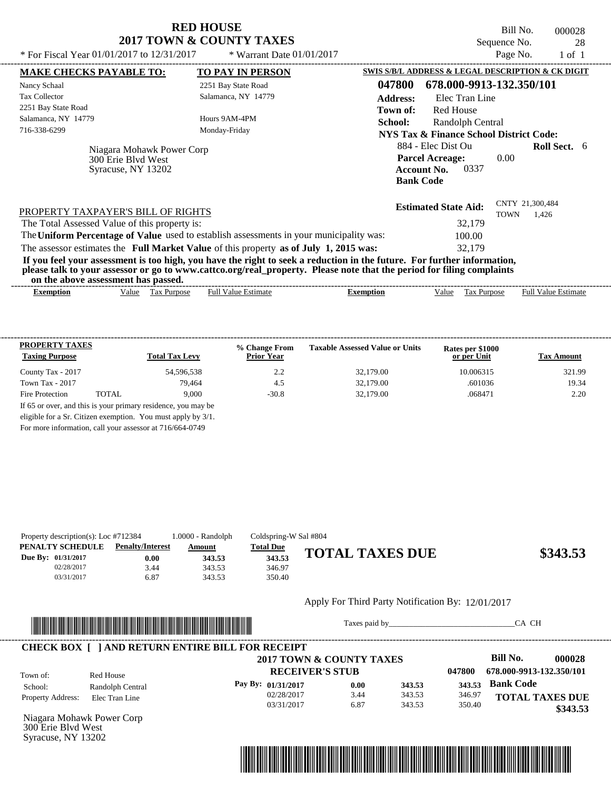Bill No. 000028 Sequence No. 28

| <b>MAKE CHECKS PAYABLE TO:</b>                                                                                                                                                                                                                                                          | <b>TO PAY IN PERSON</b>    |                  | SWIS S/B/L ADDRESS & LEGAL DESCRIPTION & CK DIGIT  |             |                            |  |
|-----------------------------------------------------------------------------------------------------------------------------------------------------------------------------------------------------------------------------------------------------------------------------------------|----------------------------|------------------|----------------------------------------------------|-------------|----------------------------|--|
| Nancy Schaal                                                                                                                                                                                                                                                                            | 2251 Bay State Road        | 047800           | 678.000-9913-132.350/101                           |             |                            |  |
| <b>Tax Collector</b>                                                                                                                                                                                                                                                                    | Salamanca, NY 14779        | <b>Address:</b>  | Elec Tran Line                                     |             |                            |  |
| 2251 Bay State Road                                                                                                                                                                                                                                                                     |                            | Town of:         | <b>Red House</b>                                   |             |                            |  |
| Salamanca, NY 14779                                                                                                                                                                                                                                                                     | Hours 9AM-4PM              | School:          | Randolph Central                                   |             |                            |  |
| 716-338-6299                                                                                                                                                                                                                                                                            | Monday-Friday              |                  | <b>NYS Tax &amp; Finance School District Code:</b> |             |                            |  |
| Niagara Mohawk Power Corp<br>300 Erie Blyd West                                                                                                                                                                                                                                         |                            |                  | 884 - Elec Dist Ou<br><b>Parcel Acreage:</b>       | 0.00        | <b>Roll Sect.</b> 6        |  |
| Syracuse, NY 13202                                                                                                                                                                                                                                                                      |                            |                  | <b>Account No.</b><br>0337<br><b>Bank Code</b>     |             |                            |  |
| PROPERTY TAXPAYER'S BILL OF RIGHTS                                                                                                                                                                                                                                                      |                            |                  | <b>Estimated State Aid:</b>                        | <b>TOWN</b> | CNTY 21,300,484<br>1.426   |  |
| The Total Assessed Value of this property is:                                                                                                                                                                                                                                           |                            |                  | 32,179                                             |             |                            |  |
| The Uniform Percentage of Value used to establish assessments in your municipality was:                                                                                                                                                                                                 |                            |                  | 100.00                                             |             |                            |  |
| The assessor estimates the Full Market Value of this property as of July 1, 2015 was:                                                                                                                                                                                                   |                            |                  | 32,179                                             |             |                            |  |
| If you feel your assessment is too high, you have the right to seek a reduction in the future. For further information,<br>please talk to your assessor or go to www.cattco.org/real_property. Please note that the period for filing complaints<br>on the above assessment has passed. |                            |                  |                                                    |             |                            |  |
| Value Tax Purpose<br><b>Exemption</b>                                                                                                                                                                                                                                                   | <b>Full Value Estimate</b> | <b>Exemption</b> | Value<br>Tax Purpose                               |             | <b>Full Value Estimate</b> |  |

| <b>PROPERTY TAXES</b><br><b>Taxing Purpose</b> |       | <b>Total Tax Levy</b>                                         | % Change From<br><b>Prior Year</b> | <b>Taxable Assessed Value or Units</b> | Rates per \$1000<br>or per Unit | <b>Tax Amount</b> |
|------------------------------------------------|-------|---------------------------------------------------------------|------------------------------------|----------------------------------------|---------------------------------|-------------------|
| County Tax - 2017                              |       | 54,596,538                                                    | 2.2                                | 32,179.00                              | 10.006315                       | 321.99            |
| Town Tax - 2017                                |       | 79.464                                                        | 4.5                                | 32,179.00                              | .601036                         | 19.34             |
| Fire Protection                                | TOTAL | 9.000                                                         | $-30.8$                            | 32,179.00                              | .068471                         | 2.20              |
|                                                |       | If 65 or over, and this is your primary residence, you may be |                                    |                                        |                                 |                   |
|                                                |       | eligible for a Sr. Citizen exemption. You must apply by 3/1.  |                                    |                                        |                                 |                   |

For more information, call your assessor at 716/664-0749

| Property description(s): Loc $#712384$ |                         | 1.0000 - Randolph | Coldspring-W Sal #804 |                        |          |
|----------------------------------------|-------------------------|-------------------|-----------------------|------------------------|----------|
| PENALTY SCHEDULE                       | <b>Penalty/Interest</b> | Amount            | <b>Total Due</b>      |                        |          |
| Due By: 01/31/2017                     | $0.00\,$                | 343.53            | 343.53                | <b>TOTAL TAXES DUE</b> | \$343.53 |
| 02/28/2017                             | 3.44                    | 343.53            | 346.97                |                        |          |
| 03/31/2017                             | 6.87                    | 343.53            | 350.40                |                        |          |

#### Apply For Third Party Notification By: 12/01/2017



Taxes paid by\_\_\_\_\_\_\_\_\_\_\_\_\_\_\_\_\_\_\_\_\_\_\_\_\_\_\_\_\_\_\_CA CH

|                          |                  | 2017 TOWN & COUNTY TAXES |      |        |        | Bill No.                 | 000028   |
|--------------------------|------------------|--------------------------|------|--------|--------|--------------------------|----------|
| Town of:                 | Red House        | <b>RECEIVER'S STUB</b>   |      |        | 047800 | 678.000-9913-132.350/101 |          |
| School:                  | Randolph Central | Pay By: 01/31/2017       | 0.00 | 343.53 | 343.53 | <b>Bank Code</b>         |          |
| <b>Property Address:</b> | Elec Tran Line   | 02/28/2017               | 3.44 | 343.53 | 346.97 | <b>TOTAL TAXES DUE</b>   |          |
|                          |                  | 03/31/2017               | 6.87 | 343.53 | 350.40 |                          | \$343.53 |

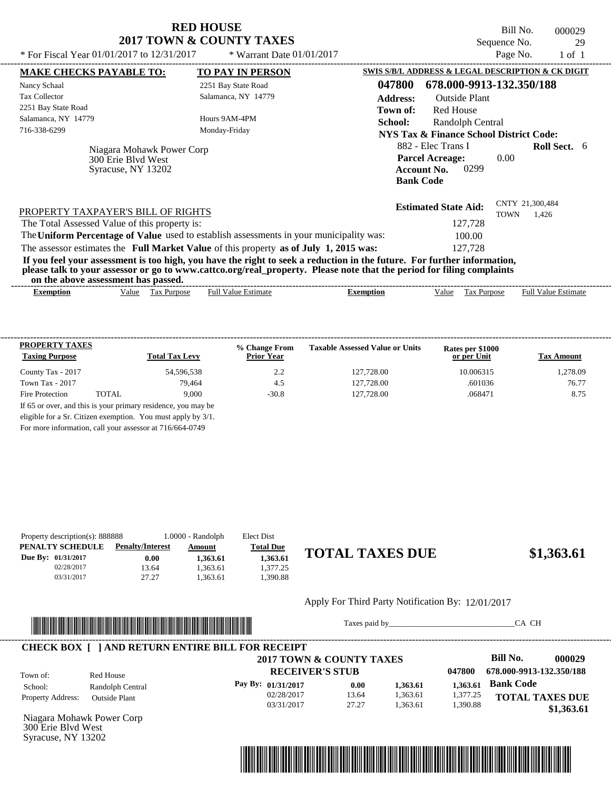| <b>RED HOUSE</b>         |
|--------------------------|
| 2017 TOWN & COUNTY TAXES |

Bill No. 000029 Sequence No. 29<br>Page No. 1 of 1

| * For Fiscal Year $01/01/2017$ to $12/31/2017$                        | * Warrant Date $01/01/2017$                                                                                                                                                                                                                      |                  |                                                                                                | Page No.    | $1$ of $1$                 |  |
|-----------------------------------------------------------------------|--------------------------------------------------------------------------------------------------------------------------------------------------------------------------------------------------------------------------------------------------|------------------|------------------------------------------------------------------------------------------------|-------------|----------------------------|--|
| <b>MAKE CHECKS PAYABLE TO:</b>                                        | <b>TO PAY IN PERSON</b>                                                                                                                                                                                                                          |                  | SWIS S/B/L ADDRESS & LEGAL DESCRIPTION & CK DIGIT                                              |             |                            |  |
| Nancy Schaal                                                          | 2251 Bay State Road                                                                                                                                                                                                                              | 047800           | 678.000-9913-132.350/188                                                                       |             |                            |  |
| <b>Tax Collector</b>                                                  | Salamanca, NY 14779                                                                                                                                                                                                                              | <b>Address:</b>  | <b>Outside Plant</b>                                                                           |             |                            |  |
| 2251 Bay State Road                                                   |                                                                                                                                                                                                                                                  | Town of:         | <b>Red House</b>                                                                               |             |                            |  |
| Salamanca, NY 14779                                                   | Hours 9AM-4PM                                                                                                                                                                                                                                    | School:          | Randolph Central                                                                               |             |                            |  |
| 716-338-6299                                                          | Monday-Friday                                                                                                                                                                                                                                    |                  | NYS Tax & Finance School District Code:                                                        |             |                            |  |
| Niagara Mohawk Power Corp<br>300 Erie Blyd West<br>Syracuse, NY 13202 |                                                                                                                                                                                                                                                  |                  | 882 - Elec Trans I<br><b>Parcel Acreage:</b><br>0299<br><b>Account No.</b><br><b>Bank Code</b> | 0.00        | <b>Roll Sect.</b> 6        |  |
| PROPERTY TAXPAYER'S BILL OF RIGHTS                                    |                                                                                                                                                                                                                                                  |                  | <b>Estimated State Aid:</b>                                                                    | <b>TOWN</b> | CNTY 21,300,484<br>1.426   |  |
| The Total Assessed Value of this property is:                         |                                                                                                                                                                                                                                                  |                  | 127,728                                                                                        |             |                            |  |
|                                                                       | The Uniform Percentage of Value used to establish assessments in your municipality was:                                                                                                                                                          |                  | 100.00                                                                                         |             |                            |  |
|                                                                       | The assessor estimates the Full Market Value of this property as of July 1, 2015 was:                                                                                                                                                            |                  | 127,728                                                                                        |             |                            |  |
| on the above assessment has passed.                                   | If you feel your assessment is too high, you have the right to seek a reduction in the future. For further information,<br>please talk to your assessor or go to www.cattco.org/real_property. Please note that the period for filing complaints |                  |                                                                                                |             |                            |  |
|                                                                       | <b>Full Value Estimate</b><br>Tax Purpose                                                                                                                                                                                                        | <b>Exemption</b> | Value                                                                                          | Tax Purpose | <b>Full Value Estimate</b> |  |

| <b>PROPERTY TAXES</b><br><b>Taxing Purpose</b> |       | <b>Total Tax Levy</b> | % Change From<br><b>Prior Year</b> | <b>Taxable Assessed Value or Units</b> | Rates per \$1000<br>or per Unit | <b>Tax Amount</b> |
|------------------------------------------------|-------|-----------------------|------------------------------------|----------------------------------------|---------------------------------|-------------------|
| County Tax - 2017                              |       | 54.596.538            | 2.2                                | 127,728.00                             | 10.006315                       | 1.278.09          |
| Town Tax - 2017                                |       | 79.464                | 4.5                                | 127,728.00                             | .601036                         | 76.77             |
| Fire Protection                                | TOTAL | 9.000                 | $-30.8$                            | 127,728.00                             | .068471                         | 8.75              |

For more information, call your assessor at 716/664-0749

| Property description(s): 888888 |                         | $1.0000 - Random$ | Elect Dist       |                        |            |
|---------------------------------|-------------------------|-------------------|------------------|------------------------|------------|
| PENALTY SCHEDULE                | <b>Penalty/Interest</b> | Amount            | <b>Total Due</b> |                        |            |
| Due By: 01/31/2017              | 0.00                    | ,363.61           | 1.363.61         | <b>TOTAL TAXES DUE</b> | \$1,363.61 |
| 02/28/2017                      | 13.64                   | .363.61           | .377.25          |                        |            |
| 03/31/2017                      | 27.27                   | .363.61           | .390.88          |                        |            |
|                                 |                         |                   |                  |                        |            |

Apply For Third Party Notification By: 12/01/2017



Taxes paid by\_\_\_\_\_\_\_\_\_\_\_\_\_\_\_\_\_\_\_\_\_\_\_\_\_\_\_\_\_\_\_CA CH

|                          |                      | 2017 TOWN & COUNTY TAXES |       |          |          | Bill No.                 | 000029     |
|--------------------------|----------------------|--------------------------|-------|----------|----------|--------------------------|------------|
| Town of:                 | Red House            | <b>RECEIVER'S STUB</b>   |       |          | 047800   | 678.000-9913-132.350/188 |            |
| School:                  | Randolph Central     | Pay By: $01/31/2017$     | 0.00  | 1,363.61 | 1.363.61 | <b>Bank Code</b>         |            |
| <b>Property Address:</b> | <b>Outside Plant</b> | 02/28/2017               | 13.64 | 1.363.61 | 1,377.25 | <b>TOTAL TAXES DUE</b>   |            |
|                          |                      | 03/31/2017               | 27.27 | 1.363.61 | 1,390.88 |                          | \$1,363.61 |

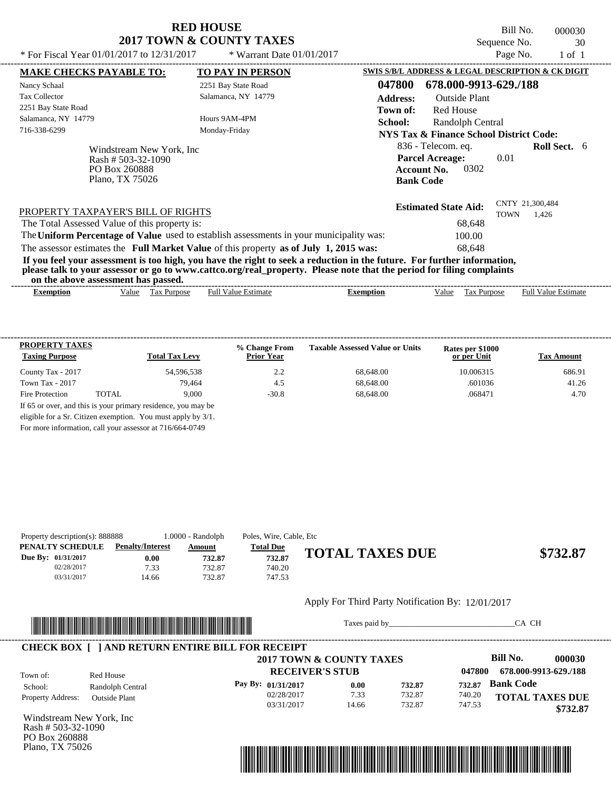Bill No. 000030 Sequence No. 30

| * For Fiscal Year 01/01/2017 to 12/31/2017                                                                                                                                                                                                                                              | * Warrant Date $01/01/2017$ |                                                    |                                                                            | Page No.    | $1$ of $1$                 |  |
|-----------------------------------------------------------------------------------------------------------------------------------------------------------------------------------------------------------------------------------------------------------------------------------------|-----------------------------|----------------------------------------------------|----------------------------------------------------------------------------|-------------|----------------------------|--|
| <b>MAKE CHECKS PAYABLE TO:</b>                                                                                                                                                                                                                                                          | <b>TO PAY IN PERSON</b>     |                                                    | SWIS S/B/L ADDRESS & LEGAL DESCRIPTION & CK DIGIT                          |             |                            |  |
| Nancy Schaal                                                                                                                                                                                                                                                                            | 2251 Bay State Road         | 047800                                             | 678.000-9913-629./188                                                      |             |                            |  |
| <b>Tax Collector</b>                                                                                                                                                                                                                                                                    | Salamanca, NY 14779         | <b>Address:</b>                                    | <b>Outside Plant</b>                                                       |             |                            |  |
| 2251 Bay State Road                                                                                                                                                                                                                                                                     |                             | Town of:                                           | Red House                                                                  |             |                            |  |
| Salamanca, NY 14779                                                                                                                                                                                                                                                                     | Hours 9AM-4PM               | School:                                            | Randolph Central                                                           |             |                            |  |
| 716-338-6299                                                                                                                                                                                                                                                                            |                             | <b>NYS Tax &amp; Finance School District Code:</b> |                                                                            |             |                            |  |
| Windstream New York, Inc.<br>Rash # 503-32-1090<br>PO Box 260888<br>Plano, TX 75026                                                                                                                                                                                                     |                             | <b>Bank Code</b>                                   | 836 - Telecom. eq.<br><b>Parcel Acreage:</b><br>0302<br><b>Account No.</b> | 0.01        | <b>Roll Sect.</b> 6        |  |
| PROPERTY TAXPAYER'S BILL OF RIGHTS                                                                                                                                                                                                                                                      |                             |                                                    | <b>Estimated State Aid:</b>                                                | <b>TOWN</b> | CNTY 21,300,484<br>1.426   |  |
| The Total Assessed Value of this property is:                                                                                                                                                                                                                                           |                             |                                                    | 68,648                                                                     |             |                            |  |
| The Uniform Percentage of Value used to establish assessments in your municipality was:                                                                                                                                                                                                 |                             |                                                    | 100.00                                                                     |             |                            |  |
| The assessor estimates the Full Market Value of this property as of July 1, 2015 was:                                                                                                                                                                                                   |                             |                                                    | 68,648                                                                     |             |                            |  |
| If you feel your assessment is too high, you have the right to seek a reduction in the future. For further information,<br>please talk to your assessor or go to www.cattco.org/real_property. Please note that the period for filing complaints<br>on the above assessment has passed. |                             |                                                    |                                                                            |             |                            |  |
| Tax Purpose<br><b>Exemption</b><br>Value                                                                                                                                                                                                                                                | <b>Full Value Estimate</b>  | <b>Exemption</b>                                   | Value<br>Tax Purpose                                                       |             | <b>Full Value Estimate</b> |  |
|                                                                                                                                                                                                                                                                                         |                             |                                                    |                                                                            |             |                            |  |

| <b>PROPERTY TAXES</b><br><b>Taxing Purpose</b> |       | <b>Total Tax Levy</b> | % Change From<br><b>Prior Year</b> | <b>Taxable Assessed Value or Units</b> | Rates per \$1000<br>or per Unit | <b>Tax Amount</b> |
|------------------------------------------------|-------|-----------------------|------------------------------------|----------------------------------------|---------------------------------|-------------------|
| County Tax - 2017                              |       | 54,596,538            | 2.2                                | 68,648.00                              | 10.006315                       | 686.91            |
| Town Tax - 2017                                |       | 79.464                | 4.5                                | 68,648.00                              | .601036                         | 41.26             |
| Fire Protection                                | TOTAL | 9.000                 | $-30.8$                            | 68,648.00                              | .068471                         | 4.70              |

|  | For more information, call your assessor at 716/664-0749 |
|--|----------------------------------------------------------|
|--|----------------------------------------------------------|

| Property description(s): 888888 |                         | 1.0000 - Randolph | Poles, Wire, Cable, Etc |                        |          |
|---------------------------------|-------------------------|-------------------|-------------------------|------------------------|----------|
| PENALTY SCHEDULE                | <b>Penalty/Interest</b> | Amount            | <b>Total Due</b>        |                        |          |
| <b>Due By: 01/31/2017</b>       | 0.00                    | 732.87            | 732.87                  | <b>TOTAL TAXES DUE</b> | \$732.87 |
| 02/28/2017                      | 7.33                    | 732.87            | 740.20                  |                        |          |
| 03/31/2017                      | 14.66                   | 732.87            | 747.53                  |                        |          |

#### Apply For Third Party Notification By: 12/01/2017



Taxes paid by\_\_\_\_\_\_\_\_\_\_\_\_\_\_\_\_\_\_\_\_\_\_\_\_\_\_\_\_\_\_\_CA CH

|                          |                      | 2017 TOWN & COUNTY TAXES |       |        |        | Bill No.<br>000030     |
|--------------------------|----------------------|--------------------------|-------|--------|--------|------------------------|
| Town of:                 | Red House            | <b>RECEIVER'S STUB</b>   |       |        | 047800 | 678.000-9913-629./188  |
| School:                  | Randolph Central     | Pay By: 01/31/2017       | 0.00  | 732.87 | 732.87 | <b>Bank Code</b>       |
| <b>Property Address:</b> | <b>Outside Plant</b> | 02/28/2017               | 7.33  | 732.87 | 740.20 | <b>TOTAL TAXES DUE</b> |
|                          |                      | 03/31/2017               | 14.66 | 732.87 | 747.53 | \$732.87               |

Windstream New York, Inc Rash # 503-32-1090 PO Box 260888 Plano, TX 75026

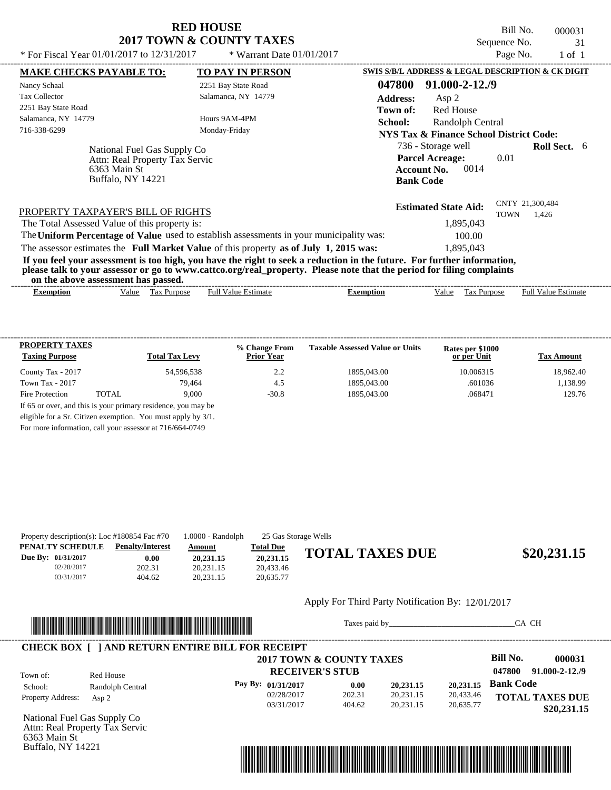Bill No. 000031 Sequence No. 31

| * For Fiscal Year 01/01/2017 to 12/31/2017                                                                                                                                     | * Warrant Date $01/01/2017$ | Page No.<br>$1$ of $1$                                                                                                               |
|--------------------------------------------------------------------------------------------------------------------------------------------------------------------------------|-----------------------------|--------------------------------------------------------------------------------------------------------------------------------------|
| <b>MAKE CHECKS PAYABLE TO:</b>                                                                                                                                                 | TO PAY IN PERSON            | SWIS S/B/L ADDRESS & LEGAL DESCRIPTION & CK DIGIT                                                                                    |
| Nancy Schaal                                                                                                                                                                   | 2251 Bay State Road         | 91.000-2-12./9<br>047800                                                                                                             |
| <b>Tax Collector</b>                                                                                                                                                           | Salamanca, NY 14779         | <b>Address:</b><br>Asp 2                                                                                                             |
| 2251 Bay State Road                                                                                                                                                            |                             | <b>Red House</b><br>Town of:                                                                                                         |
| Salamanca, NY 14779                                                                                                                                                            | Hours 9AM-4PM               | School:<br>Randolph Central                                                                                                          |
| 716-338-6299                                                                                                                                                                   | Monday-Friday               | NYS Tax & Finance School District Code:                                                                                              |
| National Fuel Gas Supply Co                                                                                                                                                    |                             | 736 - Storage well<br><b>Roll Sect.</b> 6<br><b>Parcel Acreage:</b><br>0.01                                                          |
| Attn: Real Property Tax Servic<br>6363 Main St<br>Buffalo, NY 14221                                                                                                            |                             | 0014<br><b>Account No.</b><br><b>Bank Code</b>                                                                                       |
| PROPERTY TAXPAYER'S BILL OF RIGHTS<br>The Total Assessed Value of this property is:<br>The Uniform Percentage of Value used to establish assessments in your municipality was: |                             | CNTY 21,300,484<br><b>Estimated State Aid:</b><br><b>TOWN</b><br>1.426<br>1,895,043<br>100.00                                        |
| The assessor estimates the Full Market Value of this property as of July 1, 2015 was:                                                                                          |                             | 1,895,043<br>If you feel your assessment is too high, you have the right to seek a reduction in the future. For further information, |
| on the above assessment has passed.                                                                                                                                            |                             | please talk to your assessor or go to www.cattco.org/real_property. Please note that the period for filing complaints                |
|                                                                                                                                                                                |                             | <b>Full Value Estimate</b><br>Tax Purpose<br><b>Exemption</b><br>Value                                                               |

| <b>PROPERTY TAXES</b><br><b>Taxing Purpose</b> |       | <b>Total Tax Levy</b>                                         | % Change From<br><b>Prior Year</b> | <b>Taxable Assessed Value or Units</b> | Rates per \$1000<br>or per Unit | <b>Tax Amount</b> |
|------------------------------------------------|-------|---------------------------------------------------------------|------------------------------------|----------------------------------------|---------------------------------|-------------------|
| County Tax - 2017                              |       | 54,596,538                                                    | 2.2                                | 1895.043.00                            | 10.006315                       | 18.962.40         |
| Town Tax - 2017                                |       | 79.464                                                        | 4.5                                | 1895.043.00                            | .601036                         | 1,138.99          |
| Fire Protection                                | TOTAL | 9.000                                                         | $-30.8$                            | 1895.043.00                            | .068471                         | 129.76            |
|                                                |       | If 65 or over, and this is your primary residence, you may be |                                    |                                        |                                 |                   |
|                                                |       | eligible for a Sr. Citizen exemption. You must apply by 3/1.  |                                    |                                        |                                 |                   |

For more information, call your assessor at 716/664-0749

|                    | Property description(s): Loc $\#180854$ Fac $\#70$ | $1.0000 - Random$ | 25 Gas Storage Wells |                        |             |
|--------------------|----------------------------------------------------|-------------------|----------------------|------------------------|-------------|
| PENALTY SCHEDULE   | <b>Penalty/Interest</b>                            | Amount            | <b>Total Due</b>     |                        |             |
| Due By: 01/31/2017 | 0.00                                               | 20,231.15         | 20.231.15            | <b>TOTAL TAXES DUE</b> | \$20,231.15 |
| 02/28/2017         | 202.31                                             | 20.231.15         | 20.433.46            |                        |             |
| 03/31/2017         | 404.62                                             | 20.231.15         | 20.635.77            |                        |             |
|                    |                                                    |                   |                      |                        |             |

#### Apply For Third Party Notification By: 12/01/2017



Taxes paid by\_\_\_\_\_\_\_\_\_\_\_\_\_\_\_\_\_\_\_\_\_\_\_\_\_\_\_\_\_\_\_CA CH



National Fuel Gas Supply Co Attn: Real Property Tax Servic 6363 Main St Buffalo, NY 14221